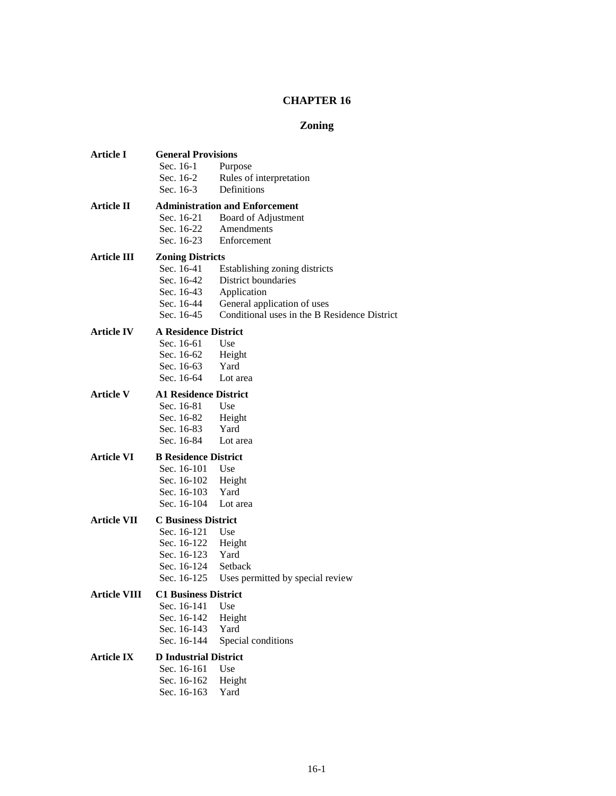# **CHAPTER 16**

# **Zoning**

| Article I          | <b>General Provisions</b>                   |                                              |  |  |  |
|--------------------|---------------------------------------------|----------------------------------------------|--|--|--|
|                    | Sec. 16-1                                   | Purpose                                      |  |  |  |
|                    | Sec. 16-2                                   | Rules of interpretation                      |  |  |  |
|                    | Sec. $16-3$                                 | Definitions                                  |  |  |  |
| Article II         |                                             | <b>Administration and Enforcement</b>        |  |  |  |
|                    | Sec. 16-21                                  | Board of Adjustment                          |  |  |  |
|                    | Sec. 16-22                                  | Amendments                                   |  |  |  |
|                    | Sec. 16-23                                  | Enforcement                                  |  |  |  |
| <b>Article III</b> | <b>Zoning Districts</b>                     |                                              |  |  |  |
|                    | Sec. 16-41                                  | Establishing zoning districts                |  |  |  |
|                    | Sec. 16-42                                  | District boundaries                          |  |  |  |
|                    | Sec. 16-43                                  | Application                                  |  |  |  |
|                    | Sec. 16-44                                  | General application of uses                  |  |  |  |
|                    | Sec. 16-45                                  | Conditional uses in the B Residence District |  |  |  |
| <b>Article IV</b>  | <b>A Residence District</b>                 |                                              |  |  |  |
|                    | Sec. 16-61                                  | Use                                          |  |  |  |
|                    | Sec. 16-62                                  | Height                                       |  |  |  |
|                    | Sec. 16-63                                  | Yard                                         |  |  |  |
|                    | Sec. 16-64                                  | Lot area                                     |  |  |  |
| <b>Article V</b>   | <b>A1 Residence District</b>                |                                              |  |  |  |
|                    | Sec. 16-81                                  | Use                                          |  |  |  |
|                    | Sec. 16-82                                  | Height                                       |  |  |  |
|                    | Sec. 16-83                                  | Yard                                         |  |  |  |
|                    | Sec. 16-84                                  | Lot area                                     |  |  |  |
| Article VI         | <b>B</b> Residence District                 |                                              |  |  |  |
|                    | Sec. 16-101                                 | Use                                          |  |  |  |
|                    | Sec. 16-102                                 | Height                                       |  |  |  |
|                    | Sec. 16-103                                 | Yard                                         |  |  |  |
|                    | Sec. 16-104                                 | Lot area                                     |  |  |  |
| <b>Article VII</b> | <b>C</b> Business District                  |                                              |  |  |  |
|                    | Sec. 16-121                                 | Use                                          |  |  |  |
|                    | Sec. 16-122                                 | Height                                       |  |  |  |
|                    | Sec. 16-123                                 | Yard                                         |  |  |  |
|                    | Sec. 16-124                                 | Setback                                      |  |  |  |
|                    | Sec. 16-125                                 | Uses permitted by special review             |  |  |  |
| Article VIII       | <b>C1 Business District</b>                 |                                              |  |  |  |
|                    | Sec. 16-141                                 | Use                                          |  |  |  |
|                    | Sec. 16-142                                 | Height<br>Yard                               |  |  |  |
|                    | Sec. 16-143                                 |                                              |  |  |  |
|                    | Sec. 16-144<br>Special conditions           |                                              |  |  |  |
| <b>Article IX</b>  | <b>D</b> Industrial District<br>Sec. 16-161 |                                              |  |  |  |
|                    | Use                                         |                                              |  |  |  |
|                    | Sec. 16-162                                 | Height                                       |  |  |  |
|                    | Sec. 16-163                                 | Yard                                         |  |  |  |
|                    |                                             |                                              |  |  |  |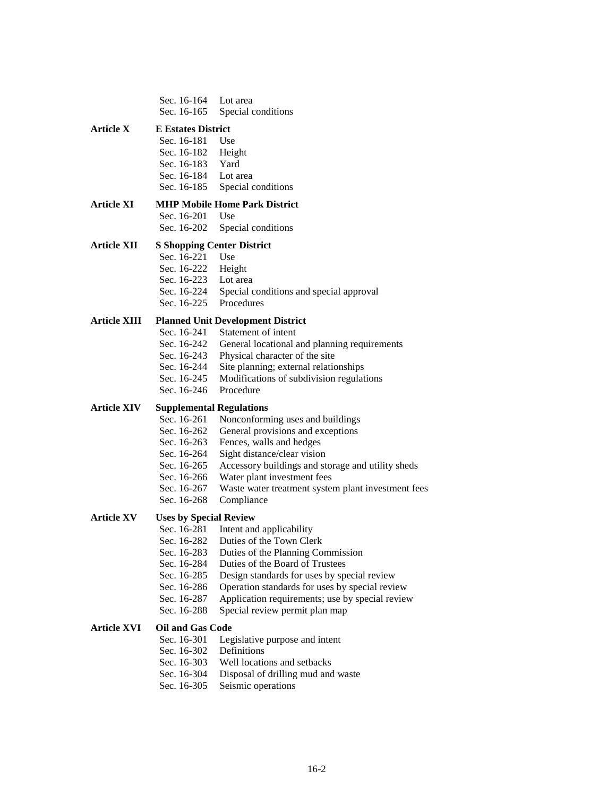| Article X<br><b>E</b> Estates District<br>Sec. 16-181<br>Use<br>Sec. 16-182<br>Height<br>Yard<br>Sec. 16-183<br>Sec. 16-184<br>Lot area<br>Sec. 16-185<br>Special conditions<br><b>Article XI</b><br><b>MHP Mobile Home Park District</b><br>Sec. 16-201<br>Use<br>Sec. 16-202<br>Special conditions<br><b>Article XII</b><br><b>S Shopping Center District</b><br>Sec. 16-221<br>Use<br>Sec. 16-222<br>Height<br>Lot area<br>Sec. 16-223<br>Sec. 16-224<br>Special conditions and special approval<br>Procedures<br>Sec. 16-225<br><b>Article XIII</b><br><b>Planned Unit Development District</b><br>Sec. 16-241<br>Statement of intent<br>Sec. 16-242<br>General locational and planning requirements<br>Sec. 16-243<br>Physical character of the site<br>Sec. 16-244<br>Site planning; external relationships<br>Sec. 16-245<br>Modifications of subdivision regulations<br>Procedure<br>Sec. 16-246<br><b>Article XIV</b><br><b>Supplemental Regulations</b><br>Sec. 16-261<br>Nonconforming uses and buildings<br>General provisions and exceptions<br>Sec. 16-262<br>Fences, walls and hedges<br>Sec. 16-263<br>Sec. 16-264<br>Sight distance/clear vision<br>Accessory buildings and storage and utility sheds<br>Sec. 16-265 |
|---------------------------------------------------------------------------------------------------------------------------------------------------------------------------------------------------------------------------------------------------------------------------------------------------------------------------------------------------------------------------------------------------------------------------------------------------------------------------------------------------------------------------------------------------------------------------------------------------------------------------------------------------------------------------------------------------------------------------------------------------------------------------------------------------------------------------------------------------------------------------------------------------------------------------------------------------------------------------------------------------------------------------------------------------------------------------------------------------------------------------------------------------------------------------------------------------------------------------------------|
|                                                                                                                                                                                                                                                                                                                                                                                                                                                                                                                                                                                                                                                                                                                                                                                                                                                                                                                                                                                                                                                                                                                                                                                                                                       |
|                                                                                                                                                                                                                                                                                                                                                                                                                                                                                                                                                                                                                                                                                                                                                                                                                                                                                                                                                                                                                                                                                                                                                                                                                                       |
|                                                                                                                                                                                                                                                                                                                                                                                                                                                                                                                                                                                                                                                                                                                                                                                                                                                                                                                                                                                                                                                                                                                                                                                                                                       |
|                                                                                                                                                                                                                                                                                                                                                                                                                                                                                                                                                                                                                                                                                                                                                                                                                                                                                                                                                                                                                                                                                                                                                                                                                                       |
|                                                                                                                                                                                                                                                                                                                                                                                                                                                                                                                                                                                                                                                                                                                                                                                                                                                                                                                                                                                                                                                                                                                                                                                                                                       |
|                                                                                                                                                                                                                                                                                                                                                                                                                                                                                                                                                                                                                                                                                                                                                                                                                                                                                                                                                                                                                                                                                                                                                                                                                                       |
|                                                                                                                                                                                                                                                                                                                                                                                                                                                                                                                                                                                                                                                                                                                                                                                                                                                                                                                                                                                                                                                                                                                                                                                                                                       |
|                                                                                                                                                                                                                                                                                                                                                                                                                                                                                                                                                                                                                                                                                                                                                                                                                                                                                                                                                                                                                                                                                                                                                                                                                                       |
|                                                                                                                                                                                                                                                                                                                                                                                                                                                                                                                                                                                                                                                                                                                                                                                                                                                                                                                                                                                                                                                                                                                                                                                                                                       |
|                                                                                                                                                                                                                                                                                                                                                                                                                                                                                                                                                                                                                                                                                                                                                                                                                                                                                                                                                                                                                                                                                                                                                                                                                                       |
|                                                                                                                                                                                                                                                                                                                                                                                                                                                                                                                                                                                                                                                                                                                                                                                                                                                                                                                                                                                                                                                                                                                                                                                                                                       |
|                                                                                                                                                                                                                                                                                                                                                                                                                                                                                                                                                                                                                                                                                                                                                                                                                                                                                                                                                                                                                                                                                                                                                                                                                                       |
|                                                                                                                                                                                                                                                                                                                                                                                                                                                                                                                                                                                                                                                                                                                                                                                                                                                                                                                                                                                                                                                                                                                                                                                                                                       |
|                                                                                                                                                                                                                                                                                                                                                                                                                                                                                                                                                                                                                                                                                                                                                                                                                                                                                                                                                                                                                                                                                                                                                                                                                                       |
|                                                                                                                                                                                                                                                                                                                                                                                                                                                                                                                                                                                                                                                                                                                                                                                                                                                                                                                                                                                                                                                                                                                                                                                                                                       |
|                                                                                                                                                                                                                                                                                                                                                                                                                                                                                                                                                                                                                                                                                                                                                                                                                                                                                                                                                                                                                                                                                                                                                                                                                                       |
|                                                                                                                                                                                                                                                                                                                                                                                                                                                                                                                                                                                                                                                                                                                                                                                                                                                                                                                                                                                                                                                                                                                                                                                                                                       |
|                                                                                                                                                                                                                                                                                                                                                                                                                                                                                                                                                                                                                                                                                                                                                                                                                                                                                                                                                                                                                                                                                                                                                                                                                                       |
|                                                                                                                                                                                                                                                                                                                                                                                                                                                                                                                                                                                                                                                                                                                                                                                                                                                                                                                                                                                                                                                                                                                                                                                                                                       |
|                                                                                                                                                                                                                                                                                                                                                                                                                                                                                                                                                                                                                                                                                                                                                                                                                                                                                                                                                                                                                                                                                                                                                                                                                                       |
|                                                                                                                                                                                                                                                                                                                                                                                                                                                                                                                                                                                                                                                                                                                                                                                                                                                                                                                                                                                                                                                                                                                                                                                                                                       |
|                                                                                                                                                                                                                                                                                                                                                                                                                                                                                                                                                                                                                                                                                                                                                                                                                                                                                                                                                                                                                                                                                                                                                                                                                                       |
|                                                                                                                                                                                                                                                                                                                                                                                                                                                                                                                                                                                                                                                                                                                                                                                                                                                                                                                                                                                                                                                                                                                                                                                                                                       |
|                                                                                                                                                                                                                                                                                                                                                                                                                                                                                                                                                                                                                                                                                                                                                                                                                                                                                                                                                                                                                                                                                                                                                                                                                                       |
|                                                                                                                                                                                                                                                                                                                                                                                                                                                                                                                                                                                                                                                                                                                                                                                                                                                                                                                                                                                                                                                                                                                                                                                                                                       |
|                                                                                                                                                                                                                                                                                                                                                                                                                                                                                                                                                                                                                                                                                                                                                                                                                                                                                                                                                                                                                                                                                                                                                                                                                                       |
|                                                                                                                                                                                                                                                                                                                                                                                                                                                                                                                                                                                                                                                                                                                                                                                                                                                                                                                                                                                                                                                                                                                                                                                                                                       |
| Water plant investment fees<br>Sec. 16-266                                                                                                                                                                                                                                                                                                                                                                                                                                                                                                                                                                                                                                                                                                                                                                                                                                                                                                                                                                                                                                                                                                                                                                                            |
| Sec. 16-267<br>Waste water treatment system plant investment fees                                                                                                                                                                                                                                                                                                                                                                                                                                                                                                                                                                                                                                                                                                                                                                                                                                                                                                                                                                                                                                                                                                                                                                     |
| Sec. 16-268<br>Compliance                                                                                                                                                                                                                                                                                                                                                                                                                                                                                                                                                                                                                                                                                                                                                                                                                                                                                                                                                                                                                                                                                                                                                                                                             |
| <b>Article XV</b><br><b>Uses by Special Review</b>                                                                                                                                                                                                                                                                                                                                                                                                                                                                                                                                                                                                                                                                                                                                                                                                                                                                                                                                                                                                                                                                                                                                                                                    |
| Sec. 16-281<br>Intent and applicability                                                                                                                                                                                                                                                                                                                                                                                                                                                                                                                                                                                                                                                                                                                                                                                                                                                                                                                                                                                                                                                                                                                                                                                               |
| Duties of the Town Clerk<br>Sec. 16-282                                                                                                                                                                                                                                                                                                                                                                                                                                                                                                                                                                                                                                                                                                                                                                                                                                                                                                                                                                                                                                                                                                                                                                                               |
| Sec. 16-283<br>Duties of the Planning Commission                                                                                                                                                                                                                                                                                                                                                                                                                                                                                                                                                                                                                                                                                                                                                                                                                                                                                                                                                                                                                                                                                                                                                                                      |
| Duties of the Board of Trustees<br>Sec. 16-284                                                                                                                                                                                                                                                                                                                                                                                                                                                                                                                                                                                                                                                                                                                                                                                                                                                                                                                                                                                                                                                                                                                                                                                        |
| Sec. 16-285<br>Design standards for uses by special review                                                                                                                                                                                                                                                                                                                                                                                                                                                                                                                                                                                                                                                                                                                                                                                                                                                                                                                                                                                                                                                                                                                                                                            |
| Sec. 16-286<br>Operation standards for uses by special review<br>Sec. 16-287                                                                                                                                                                                                                                                                                                                                                                                                                                                                                                                                                                                                                                                                                                                                                                                                                                                                                                                                                                                                                                                                                                                                                          |
| Application requirements; use by special review<br>Sec. 16-288<br>Special review permit plan map                                                                                                                                                                                                                                                                                                                                                                                                                                                                                                                                                                                                                                                                                                                                                                                                                                                                                                                                                                                                                                                                                                                                      |
|                                                                                                                                                                                                                                                                                                                                                                                                                                                                                                                                                                                                                                                                                                                                                                                                                                                                                                                                                                                                                                                                                                                                                                                                                                       |
| <b>Article XVI</b><br><b>Oil and Gas Code</b>                                                                                                                                                                                                                                                                                                                                                                                                                                                                                                                                                                                                                                                                                                                                                                                                                                                                                                                                                                                                                                                                                                                                                                                         |
| Sec. 16-301<br>Legislative purpose and intent<br>Definitions<br>Sec. 16-302                                                                                                                                                                                                                                                                                                                                                                                                                                                                                                                                                                                                                                                                                                                                                                                                                                                                                                                                                                                                                                                                                                                                                           |
| Sec. 16-303<br>Well locations and setbacks                                                                                                                                                                                                                                                                                                                                                                                                                                                                                                                                                                                                                                                                                                                                                                                                                                                                                                                                                                                                                                                                                                                                                                                            |
|                                                                                                                                                                                                                                                                                                                                                                                                                                                                                                                                                                                                                                                                                                                                                                                                                                                                                                                                                                                                                                                                                                                                                                                                                                       |
|                                                                                                                                                                                                                                                                                                                                                                                                                                                                                                                                                                                                                                                                                                                                                                                                                                                                                                                                                                                                                                                                                                                                                                                                                                       |
| Sec. 16-304<br>Disposal of drilling mud and waste<br>Seismic operations<br>Sec. 16-305                                                                                                                                                                                                                                                                                                                                                                                                                                                                                                                                                                                                                                                                                                                                                                                                                                                                                                                                                                                                                                                                                                                                                |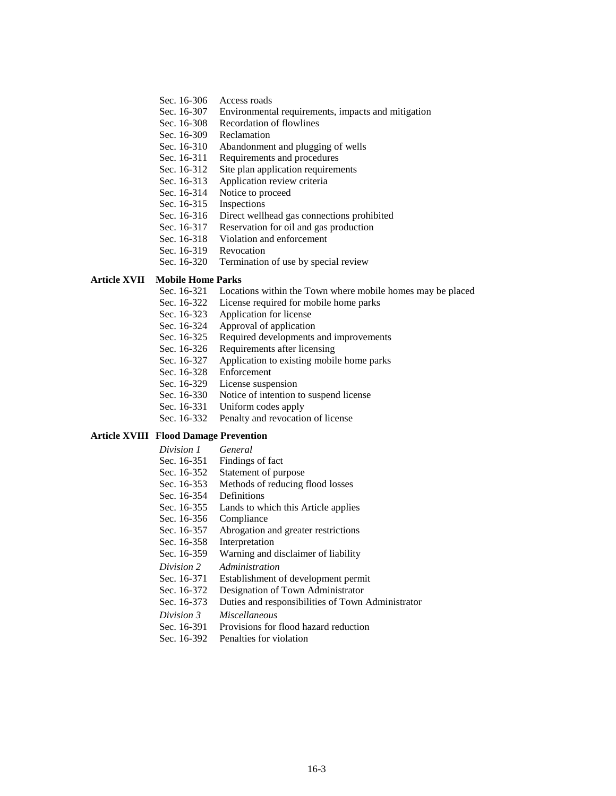- Sec. 16-306 Access roads
- Sec. 16-307 Environmental requirements, impacts and mitigation
- Sec. 16-308 Recordation of flowlines
- Sec. 16-309 Reclamation
- Sec. 16-310 Abandonment and plugging of wells
- Sec. 16-311 Requirements and procedures
- Sec. 16-312 Site plan application requirements
- Sec. 16-313 Application review criteria
- Sec. 16-314 Notice to proceed
- Sec. 16-315 Inspections
- Sec. 16-316 Direct wellhead gas connections prohibited
- Sec. 16-317 Reservation for oil and gas production
- Sec. 16-318 Violation and enforcement
- Sec. 16-319 Revocation
- Sec. 16-320 Termination of use by special review

#### **Article XVII Mobile Home Parks**

- Sec. 16-321 Locations within the Town where mobile homes may be placed
- Sec. 16-322 License required for mobile home parks
- Sec. 16-323 Application for license
- Sec. 16-324 Approval of application
- Sec. 16-325 Required developments and improvements
- Sec. 16-326 Requirements after licensing
- Sec. 16-327 Application to existing mobile home parks
- Sec. 16-328 Enforcement
- Sec. 16-329 License suspension
- Sec. 16-330 Notice of intention to suspend license
- Sec. 16-331 Uniform codes apply
- Sec. 16-332 Penalty and revocation of license

### **Article XVIII Flood Damage Prevention**

- *Division 1 General*
- Sec. 16-351 Findings of fact
- Sec. 16-352 Statement of purpose
- Sec. 16-353 Methods of reducing flood losses
- Sec. 16-354 Definitions
- Sec. 16-355 Lands to which this Article applies
- Sec. 16-356 Compliance
- Sec. 16-357 Abrogation and greater restrictions
- Sec. 16-358 Interpretation
- Sec. 16-359 Warning and disclaimer of liability
- *Division 2 Administration*
- Sec. 16-371 Establishment of development permit
- Sec. 16-372 Designation of Town Administrator
- Sec. 16-373 Duties and responsibilities of Town Administrator
- *Division 3 Miscellaneous*
- Sec. 16-391 Provisions for flood hazard reduction
- Sec. 16-392 Penalties for violation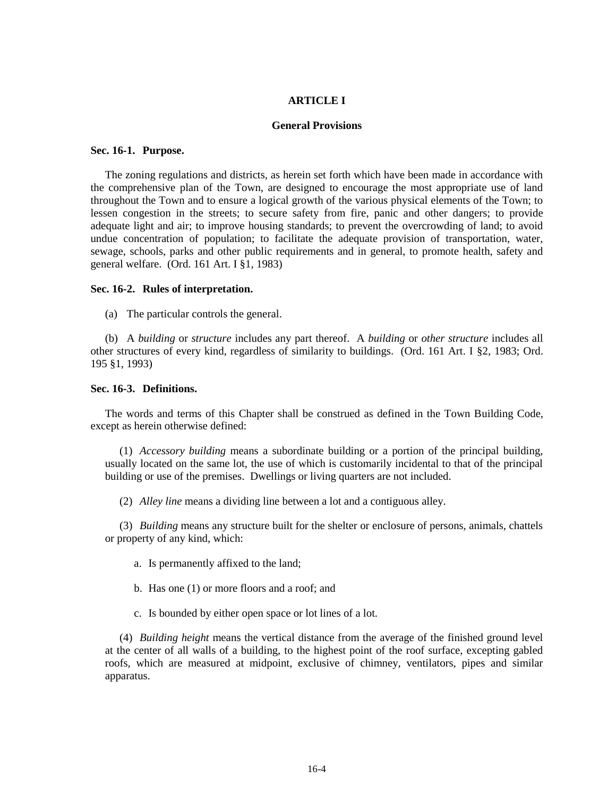#### **ARTICLE I**

#### **General Provisions**

#### **Sec. 16-1. Purpose.**

The zoning regulations and districts, as herein set forth which have been made in accordance with the comprehensive plan of the Town, are designed to encourage the most appropriate use of land throughout the Town and to ensure a logical growth of the various physical elements of the Town; to lessen congestion in the streets; to secure safety from fire, panic and other dangers; to provide adequate light and air; to improve housing standards; to prevent the overcrowding of land; to avoid undue concentration of population; to facilitate the adequate provision of transportation, water, sewage, schools, parks and other public requirements and in general, to promote health, safety and general welfare. (Ord. 161 Art. I §1, 1983)

#### **Sec. 16-2. Rules of interpretation.**

(a) The particular controls the general.

(b) A *building* or *structure* includes any part thereof. A *building* or *other structure* includes all other structures of every kind, regardless of similarity to buildings. (Ord. 161 Art. I §2, 1983; Ord. 195 §1, 1993)

## **Sec. 16-3. Definitions.**

The words and terms of this Chapter shall be construed as defined in the Town Building Code, except as herein otherwise defined:

(1) *Accessory building* means a subordinate building or a portion of the principal building, usually located on the same lot, the use of which is customarily incidental to that of the principal building or use of the premises. Dwellings or living quarters are not included.

(2) *Alley line* means a dividing line between a lot and a contiguous alley.

(3) *Building* means any structure built for the shelter or enclosure of persons, animals, chattels or property of any kind, which:

- a. Is permanently affixed to the land;
- b. Has one (1) or more floors and a roof; and
- c. Is bounded by either open space or lot lines of a lot.

(4) *Building height* means the vertical distance from the average of the finished ground level at the center of all walls of a building, to the highest point of the roof surface, excepting gabled roofs, which are measured at midpoint, exclusive of chimney, ventilators, pipes and similar apparatus.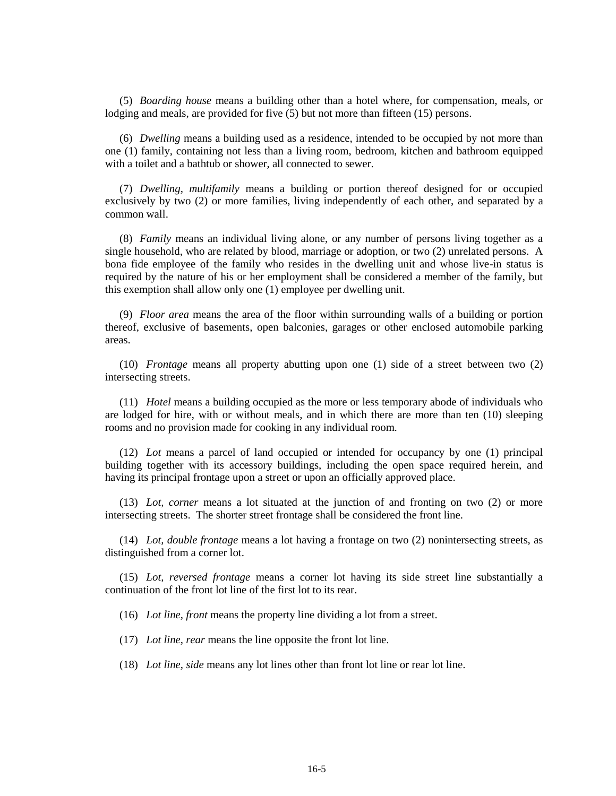(5) *Boarding house* means a building other than a hotel where, for compensation, meals, or lodging and meals, are provided for five (5) but not more than fifteen (15) persons.

(6) *Dwelling* means a building used as a residence, intended to be occupied by not more than one (1) family, containing not less than a living room, bedroom, kitchen and bathroom equipped with a toilet and a bathtub or shower, all connected to sewer.

(7) *Dwelling, multifamily* means a building or portion thereof designed for or occupied exclusively by two (2) or more families, living independently of each other, and separated by a common wall.

(8) *Family* means an individual living alone, or any number of persons living together as a single household, who are related by blood, marriage or adoption, or two (2) unrelated persons. A bona fide employee of the family who resides in the dwelling unit and whose live-in status is required by the nature of his or her employment shall be considered a member of the family, but this exemption shall allow only one (1) employee per dwelling unit.

(9) *Floor area* means the area of the floor within surrounding walls of a building or portion thereof, exclusive of basements, open balconies, garages or other enclosed automobile parking areas.

(10) *Frontage* means all property abutting upon one (1) side of a street between two (2) intersecting streets.

(11) *Hotel* means a building occupied as the more or less temporary abode of individuals who are lodged for hire, with or without meals, and in which there are more than ten (10) sleeping rooms and no provision made for cooking in any individual room.

(12) *Lot* means a parcel of land occupied or intended for occupancy by one (1) principal building together with its accessory buildings, including the open space required herein, and having its principal frontage upon a street or upon an officially approved place.

(13) *Lot, corner* means a lot situated at the junction of and fronting on two (2) or more intersecting streets. The shorter street frontage shall be considered the front line.

(14) *Lot, double frontage* means a lot having a frontage on two (2) nonintersecting streets, as distinguished from a corner lot.

(15) *Lot, reversed frontage* means a corner lot having its side street line substantially a continuation of the front lot line of the first lot to its rear.

(16) *Lot line, front* means the property line dividing a lot from a street.

(17) *Lot line, rear* means the line opposite the front lot line.

(18) *Lot line, side* means any lot lines other than front lot line or rear lot line.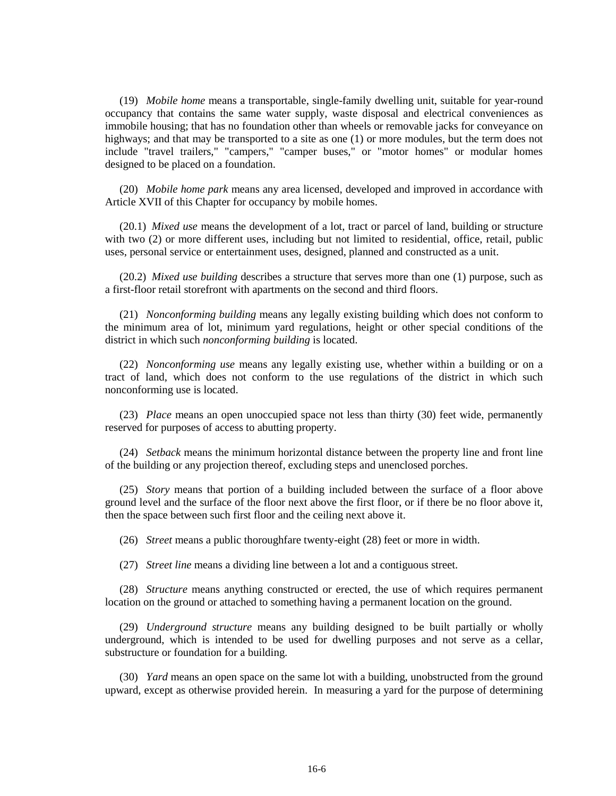(19) *Mobile home* means a transportable, single-family dwelling unit, suitable for year-round occupancy that contains the same water supply, waste disposal and electrical conveniences as immobile housing; that has no foundation other than wheels or removable jacks for conveyance on highways; and that may be transported to a site as one  $(1)$  or more modules, but the term does not include "travel trailers," "campers," "camper buses," or "motor homes" or modular homes designed to be placed on a foundation.

(20) *Mobile home park* means any area licensed, developed and improved in accordance with Article XVII of this Chapter for occupancy by mobile homes.

(20.1) *Mixed use* means the development of a lot, tract or parcel of land, building or structure with two (2) or more different uses, including but not limited to residential, office, retail, public uses, personal service or entertainment uses, designed, planned and constructed as a unit.

(20.2) *Mixed use building* describes a structure that serves more than one (1) purpose, such as a first-floor retail storefront with apartments on the second and third floors.

(21) *Nonconforming building* means any legally existing building which does not conform to the minimum area of lot, minimum yard regulations, height or other special conditions of the district in which such *nonconforming building* is located.

(22) *Nonconforming use* means any legally existing use, whether within a building or on a tract of land, which does not conform to the use regulations of the district in which such nonconforming use is located.

(23) *Place* means an open unoccupied space not less than thirty (30) feet wide, permanently reserved for purposes of access to abutting property.

(24) *Setback* means the minimum horizontal distance between the property line and front line of the building or any projection thereof, excluding steps and unenclosed porches.

(25) *Story* means that portion of a building included between the surface of a floor above ground level and the surface of the floor next above the first floor, or if there be no floor above it, then the space between such first floor and the ceiling next above it.

(26) *Street* means a public thoroughfare twenty-eight (28) feet or more in width.

(27) *Street line* means a dividing line between a lot and a contiguous street.

(28) *Structure* means anything constructed or erected, the use of which requires permanent location on the ground or attached to something having a permanent location on the ground.

(29) *Underground structure* means any building designed to be built partially or wholly underground, which is intended to be used for dwelling purposes and not serve as a cellar, substructure or foundation for a building.

(30) *Yard* means an open space on the same lot with a building, unobstructed from the ground upward, except as otherwise provided herein. In measuring a yard for the purpose of determining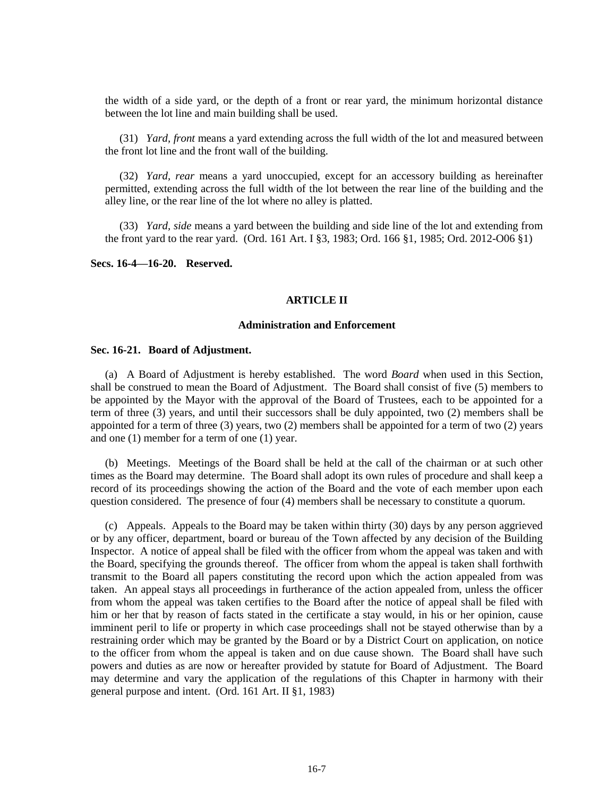the width of a side yard, or the depth of a front or rear yard, the minimum horizontal distance between the lot line and main building shall be used.

(31) *Yard, front* means a yard extending across the full width of the lot and measured between the front lot line and the front wall of the building.

(32) *Yard, rear* means a yard unoccupied, except for an accessory building as hereinafter permitted, extending across the full width of the lot between the rear line of the building and the alley line, or the rear line of the lot where no alley is platted.

(33) *Yard, side* means a yard between the building and side line of the lot and extending from the front yard to the rear yard. (Ord. 161 Art. I §3, 1983; Ord. 166 §1, 1985; Ord. 2012-O06 §1)

**Secs. 16-4—16-20. Reserved.**

#### **ARTICLE II**

#### **Administration and Enforcement**

#### **Sec. 16-21. Board of Adjustment.**

(a) A Board of Adjustment is hereby established. The word *Board* when used in this Section, shall be construed to mean the Board of Adjustment. The Board shall consist of five (5) members to be appointed by the Mayor with the approval of the Board of Trustees, each to be appointed for a term of three (3) years, and until their successors shall be duly appointed, two (2) members shall be appointed for a term of three (3) years, two (2) members shall be appointed for a term of two (2) years and one (1) member for a term of one (1) year.

(b) Meetings. Meetings of the Board shall be held at the call of the chairman or at such other times as the Board may determine. The Board shall adopt its own rules of procedure and shall keep a record of its proceedings showing the action of the Board and the vote of each member upon each question considered. The presence of four (4) members shall be necessary to constitute a quorum.

(c) Appeals. Appeals to the Board may be taken within thirty (30) days by any person aggrieved or by any officer, department, board or bureau of the Town affected by any decision of the Building Inspector. A notice of appeal shall be filed with the officer from whom the appeal was taken and with the Board, specifying the grounds thereof. The officer from whom the appeal is taken shall forthwith transmit to the Board all papers constituting the record upon which the action appealed from was taken. An appeal stays all proceedings in furtherance of the action appealed from, unless the officer from whom the appeal was taken certifies to the Board after the notice of appeal shall be filed with him or her that by reason of facts stated in the certificate a stay would, in his or her opinion, cause imminent peril to life or property in which case proceedings shall not be stayed otherwise than by a restraining order which may be granted by the Board or by a District Court on application, on notice to the officer from whom the appeal is taken and on due cause shown. The Board shall have such powers and duties as are now or hereafter provided by statute for Board of Adjustment. The Board may determine and vary the application of the regulations of this Chapter in harmony with their general purpose and intent. (Ord. 161 Art. II §1, 1983)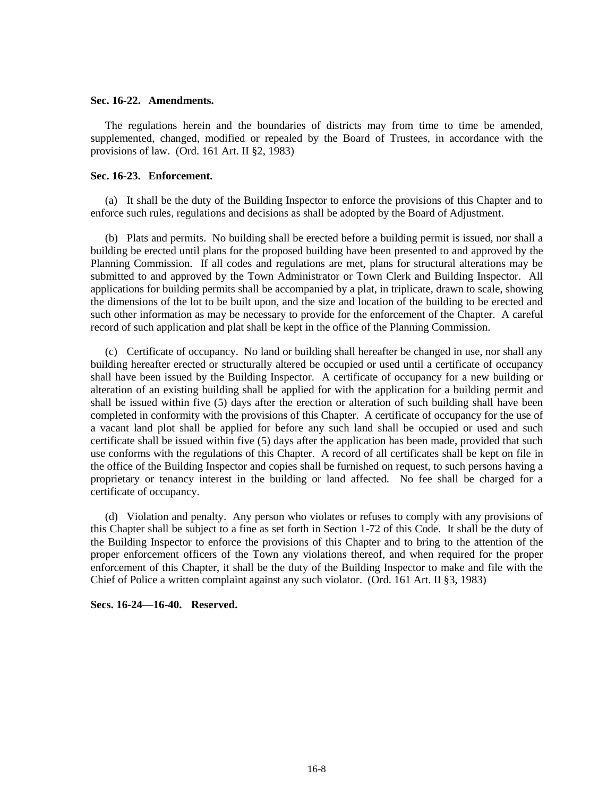#### **Sec. 16-22. Amendments.**

The regulations herein and the boundaries of districts may from time to time be amended, supplemented, changed, modified or repealed by the Board of Trustees, in accordance with the provisions of law. (Ord. 161 Art. II §2, 1983)

#### **Sec. 16-23. Enforcement.**

(a) It shall be the duty of the Building Inspector to enforce the provisions of this Chapter and to enforce such rules, regulations and decisions as shall be adopted by the Board of Adjustment.

(b) Plats and permits. No building shall be erected before a building permit is issued, nor shall a building be erected until plans for the proposed building have been presented to and approved by the Planning Commission. If all codes and regulations are met, plans for structural alterations may be submitted to and approved by the Town Administrator or Town Clerk and Building Inspector. All applications for building permits shall be accompanied by a plat, in triplicate, drawn to scale, showing the dimensions of the lot to be built upon, and the size and location of the building to be erected and such other information as may be necessary to provide for the enforcement of the Chapter. A careful record of such application and plat shall be kept in the office of the Planning Commission.

(c) Certificate of occupancy. No land or building shall hereafter be changed in use, nor shall any building hereafter erected or structurally altered be occupied or used until a certificate of occupancy shall have been issued by the Building Inspector. A certificate of occupancy for a new building or alteration of an existing building shall be applied for with the application for a building permit and shall be issued within five (5) days after the erection or alteration of such building shall have been completed in conformity with the provisions of this Chapter. A certificate of occupancy for the use of a vacant land plot shall be applied for before any such land shall be occupied or used and such certificate shall be issued within five (5) days after the application has been made, provided that such use conforms with the regulations of this Chapter. A record of all certificates shall be kept on file in the office of the Building Inspector and copies shall be furnished on request, to such persons having a proprietary or tenancy interest in the building or land affected. No fee shall be charged for a certificate of occupancy.

(d) Violation and penalty. Any person who violates or refuses to comply with any provisions of this Chapter shall be subject to a fine as set forth in Section 1-72 of this Code. It shall be the duty of the Building Inspector to enforce the provisions of this Chapter and to bring to the attention of the proper enforcement officers of the Town any violations thereof, and when required for the proper enforcement of this Chapter, it shall be the duty of the Building Inspector to make and file with the Chief of Police a written complaint against any such violator. (Ord. 161 Art. II §3, 1983)

**Secs. 16-24—16-40. Reserved.**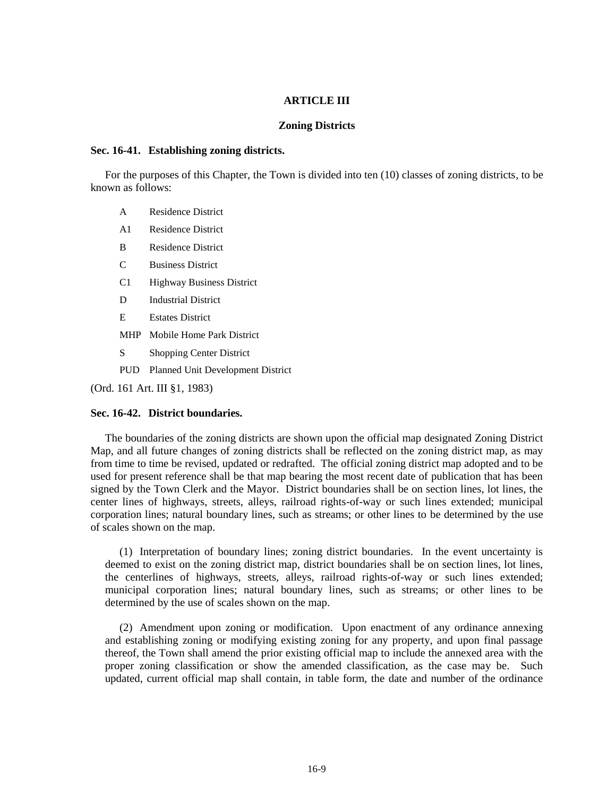### **ARTICLE III**

### **Zoning Districts**

#### **Sec. 16-41. Establishing zoning districts.**

For the purposes of this Chapter, the Town is divided into ten (10) classes of zoning districts, to be known as follows:

- A Residence District
- A1 Residence District
- B Residence District
- C Business District
- C1 Highway Business District
- D Industrial District
- E Estates District
- MHP Mobile Home Park District
- S Shopping Center District
- PUD Planned Unit Development District

(Ord. 161 Art. III §1, 1983)

### **Sec. 16-42. District boundaries.**

The boundaries of the zoning districts are shown upon the official map designated Zoning District Map, and all future changes of zoning districts shall be reflected on the zoning district map, as may from time to time be revised, updated or redrafted. The official zoning district map adopted and to be used for present reference shall be that map bearing the most recent date of publication that has been signed by the Town Clerk and the Mayor. District boundaries shall be on section lines, lot lines, the center lines of highways, streets, alleys, railroad rights-of-way or such lines extended; municipal corporation lines; natural boundary lines, such as streams; or other lines to be determined by the use of scales shown on the map.

(1) Interpretation of boundary lines; zoning district boundaries. In the event uncertainty is deemed to exist on the zoning district map, district boundaries shall be on section lines, lot lines, the centerlines of highways, streets, alleys, railroad rights-of-way or such lines extended; municipal corporation lines; natural boundary lines, such as streams; or other lines to be determined by the use of scales shown on the map.

(2) Amendment upon zoning or modification. Upon enactment of any ordinance annexing and establishing zoning or modifying existing zoning for any property, and upon final passage thereof, the Town shall amend the prior existing official map to include the annexed area with the proper zoning classification or show the amended classification, as the case may be. Such updated, current official map shall contain, in table form, the date and number of the ordinance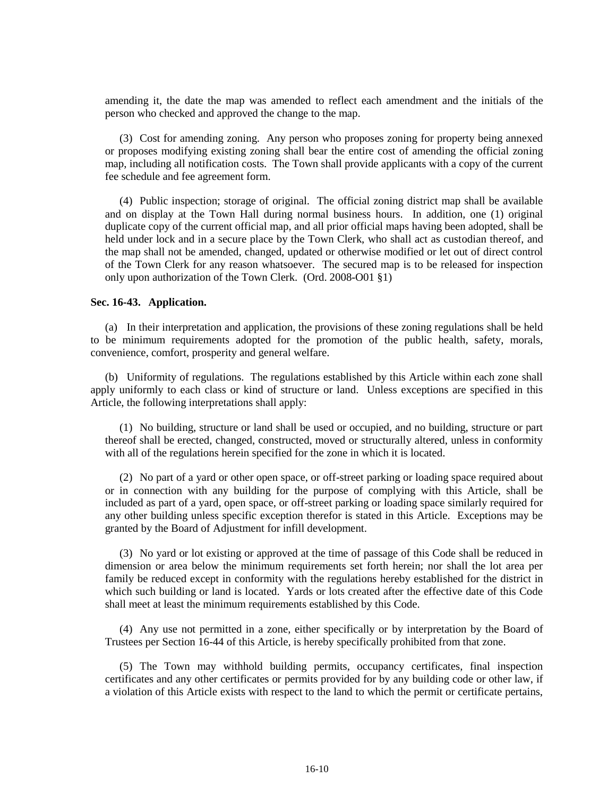amending it, the date the map was amended to reflect each amendment and the initials of the person who checked and approved the change to the map.

(3) Cost for amending zoning. Any person who proposes zoning for property being annexed or proposes modifying existing zoning shall bear the entire cost of amending the official zoning map, including all notification costs. The Town shall provide applicants with a copy of the current fee schedule and fee agreement form.

(4) Public inspection; storage of original. The official zoning district map shall be available and on display at the Town Hall during normal business hours. In addition, one (1) original duplicate copy of the current official map, and all prior official maps having been adopted, shall be held under lock and in a secure place by the Town Clerk, who shall act as custodian thereof, and the map shall not be amended, changed, updated or otherwise modified or let out of direct control of the Town Clerk for any reason whatsoever. The secured map is to be released for inspection only upon authorization of the Town Clerk. (Ord. 2008-O01 §1)

#### **Sec. 16-43. Application.**

(a) In their interpretation and application, the provisions of these zoning regulations shall be held to be minimum requirements adopted for the promotion of the public health, safety, morals, convenience, comfort, prosperity and general welfare.

(b) Uniformity of regulations. The regulations established by this Article within each zone shall apply uniformly to each class or kind of structure or land. Unless exceptions are specified in this Article, the following interpretations shall apply:

(1) No building, structure or land shall be used or occupied, and no building, structure or part thereof shall be erected, changed, constructed, moved or structurally altered, unless in conformity with all of the regulations herein specified for the zone in which it is located.

(2) No part of a yard or other open space, or off-street parking or loading space required about or in connection with any building for the purpose of complying with this Article, shall be included as part of a yard, open space, or off-street parking or loading space similarly required for any other building unless specific exception therefor is stated in this Article. Exceptions may be granted by the Board of Adjustment for infill development.

(3) No yard or lot existing or approved at the time of passage of this Code shall be reduced in dimension or area below the minimum requirements set forth herein; nor shall the lot area per family be reduced except in conformity with the regulations hereby established for the district in which such building or land is located. Yards or lots created after the effective date of this Code shall meet at least the minimum requirements established by this Code.

(4) Any use not permitted in a zone, either specifically or by interpretation by the Board of Trustees per Section 16-44 of this Article, is hereby specifically prohibited from that zone.

(5) The Town may withhold building permits, occupancy certificates, final inspection certificates and any other certificates or permits provided for by any building code or other law, if a violation of this Article exists with respect to the land to which the permit or certificate pertains,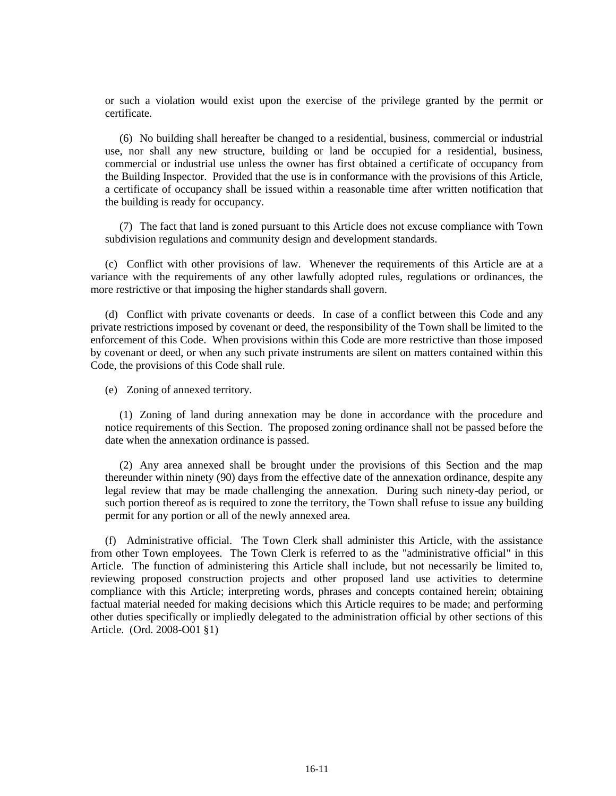or such a violation would exist upon the exercise of the privilege granted by the permit or certificate.

(6) No building shall hereafter be changed to a residential, business, commercial or industrial use, nor shall any new structure, building or land be occupied for a residential, business, commercial or industrial use unless the owner has first obtained a certificate of occupancy from the Building Inspector. Provided that the use is in conformance with the provisions of this Article, a certificate of occupancy shall be issued within a reasonable time after written notification that the building is ready for occupancy.

(7) The fact that land is zoned pursuant to this Article does not excuse compliance with Town subdivision regulations and community design and development standards.

(c) Conflict with other provisions of law. Whenever the requirements of this Article are at a variance with the requirements of any other lawfully adopted rules, regulations or ordinances, the more restrictive or that imposing the higher standards shall govern.

(d) Conflict with private covenants or deeds. In case of a conflict between this Code and any private restrictions imposed by covenant or deed, the responsibility of the Town shall be limited to the enforcement of this Code. When provisions within this Code are more restrictive than those imposed by covenant or deed, or when any such private instruments are silent on matters contained within this Code, the provisions of this Code shall rule.

(e) Zoning of annexed territory.

(1) Zoning of land during annexation may be done in accordance with the procedure and notice requirements of this Section. The proposed zoning ordinance shall not be passed before the date when the annexation ordinance is passed.

(2) Any area annexed shall be brought under the provisions of this Section and the map thereunder within ninety (90) days from the effective date of the annexation ordinance, despite any legal review that may be made challenging the annexation. During such ninety-day period, or such portion thereof as is required to zone the territory, the Town shall refuse to issue any building permit for any portion or all of the newly annexed area.

(f) Administrative official. The Town Clerk shall administer this Article, with the assistance from other Town employees. The Town Clerk is referred to as the "administrative official" in this Article. The function of administering this Article shall include, but not necessarily be limited to, reviewing proposed construction projects and other proposed land use activities to determine compliance with this Article; interpreting words, phrases and concepts contained herein; obtaining factual material needed for making decisions which this Article requires to be made; and performing other duties specifically or impliedly delegated to the administration official by other sections of this Article. (Ord. 2008-O01 §1)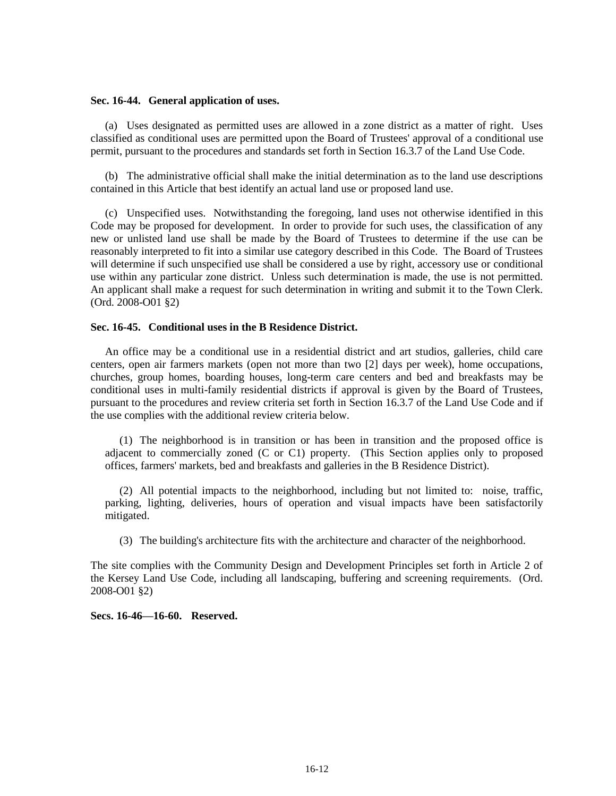### **Sec. 16-44. General application of uses.**

(a) Uses designated as permitted uses are allowed in a zone district as a matter of right. Uses classified as conditional uses are permitted upon the Board of Trustees' approval of a conditional use permit, pursuant to the procedures and standards set forth in Section 16.3.7 of the Land Use Code.

(b) The administrative official shall make the initial determination as to the land use descriptions contained in this Article that best identify an actual land use or proposed land use.

(c) Unspecified uses. Notwithstanding the foregoing, land uses not otherwise identified in this Code may be proposed for development. In order to provide for such uses, the classification of any new or unlisted land use shall be made by the Board of Trustees to determine if the use can be reasonably interpreted to fit into a similar use category described in this Code. The Board of Trustees will determine if such unspecified use shall be considered a use by right, accessory use or conditional use within any particular zone district. Unless such determination is made, the use is not permitted. An applicant shall make a request for such determination in writing and submit it to the Town Clerk. (Ord. 2008-O01 §2)

## **Sec. 16-45. Conditional uses in the B Residence District.**

An office may be a conditional use in a residential district and art studios, galleries, child care centers, open air farmers markets (open not more than two [2] days per week), home occupations, churches, group homes, boarding houses, long-term care centers and bed and breakfasts may be conditional uses in multi-family residential districts if approval is given by the Board of Trustees, pursuant to the procedures and review criteria set forth in Section 16.3.7 of the Land Use Code and if the use complies with the additional review criteria below.

(1) The neighborhood is in transition or has been in transition and the proposed office is adjacent to commercially zoned (C or C1) property. (This Section applies only to proposed offices, farmers' markets, bed and breakfasts and galleries in the B Residence District).

(2) All potential impacts to the neighborhood, including but not limited to: noise, traffic, parking, lighting, deliveries, hours of operation and visual impacts have been satisfactorily mitigated.

(3) The building's architecture fits with the architecture and character of the neighborhood.

The site complies with the Community Design and Development Principles set forth in Article 2 of the Kersey Land Use Code, including all landscaping, buffering and screening requirements. (Ord. 2008-O01 §2)

**Secs. 16-46—16-60. Reserved.**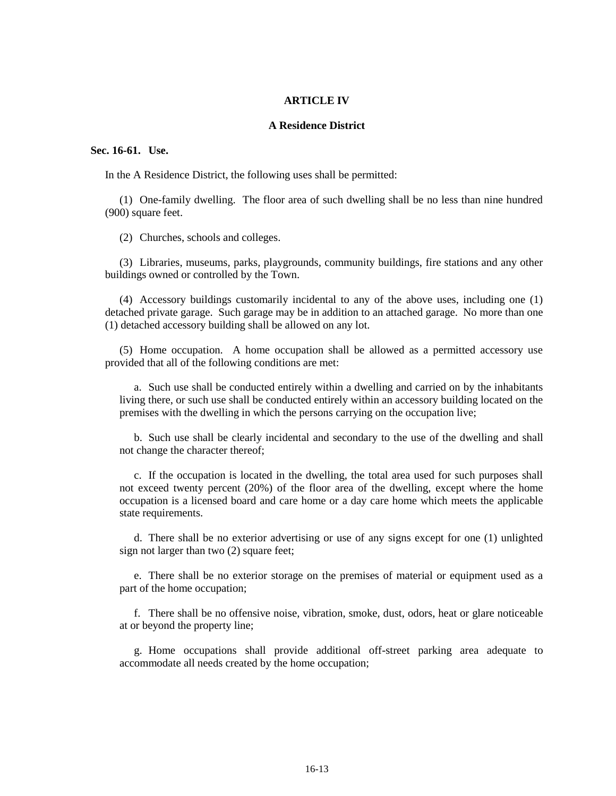#### **ARTICLE IV**

### **A Residence District**

### **Sec. 16-61. Use.**

In the A Residence District, the following uses shall be permitted:

(1) One-family dwelling. The floor area of such dwelling shall be no less than nine hundred (900) square feet.

(2) Churches, schools and colleges.

(3) Libraries, museums, parks, playgrounds, community buildings, fire stations and any other buildings owned or controlled by the Town.

(4) Accessory buildings customarily incidental to any of the above uses, including one (1) detached private garage. Such garage may be in addition to an attached garage. No more than one (1) detached accessory building shall be allowed on any lot.

(5) Home occupation. A home occupation shall be allowed as a permitted accessory use provided that all of the following conditions are met:

a. Such use shall be conducted entirely within a dwelling and carried on by the inhabitants living there, or such use shall be conducted entirely within an accessory building located on the premises with the dwelling in which the persons carrying on the occupation live;

b. Such use shall be clearly incidental and secondary to the use of the dwelling and shall not change the character thereof;

c. If the occupation is located in the dwelling, the total area used for such purposes shall not exceed twenty percent (20%) of the floor area of the dwelling, except where the home occupation is a licensed board and care home or a day care home which meets the applicable state requirements.

d. There shall be no exterior advertising or use of any signs except for one (1) unlighted sign not larger than two (2) square feet;

e. There shall be no exterior storage on the premises of material or equipment used as a part of the home occupation;

f. There shall be no offensive noise, vibration, smoke, dust, odors, heat or glare noticeable at or beyond the property line;

g. Home occupations shall provide additional off-street parking area adequate to accommodate all needs created by the home occupation;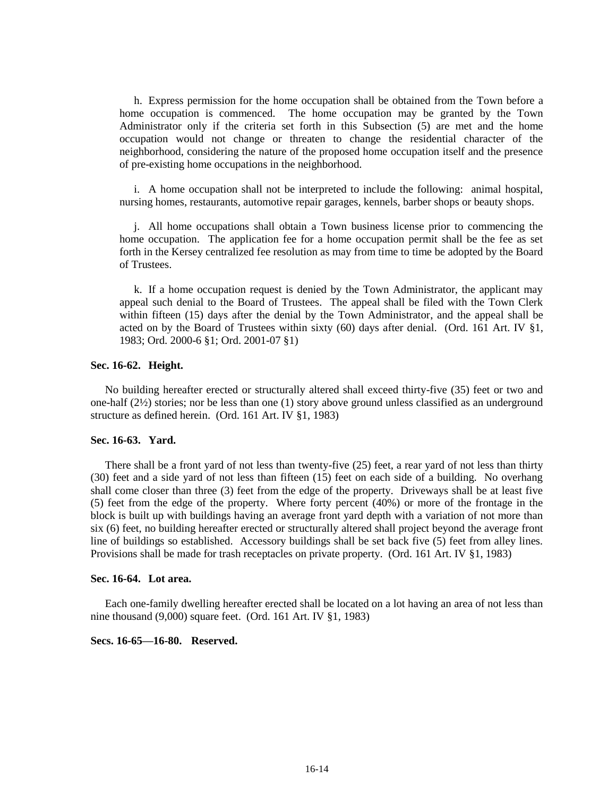h. Express permission for the home occupation shall be obtained from the Town before a home occupation is commenced. The home occupation may be granted by the Town Administrator only if the criteria set forth in this Subsection (5) are met and the home occupation would not change or threaten to change the residential character of the neighborhood, considering the nature of the proposed home occupation itself and the presence of pre-existing home occupations in the neighborhood.

i. A home occupation shall not be interpreted to include the following: animal hospital, nursing homes, restaurants, automotive repair garages, kennels, barber shops or beauty shops.

j. All home occupations shall obtain a Town business license prior to commencing the home occupation. The application fee for a home occupation permit shall be the fee as set forth in the Kersey centralized fee resolution as may from time to time be adopted by the Board of Trustees.

k. If a home occupation request is denied by the Town Administrator, the applicant may appeal such denial to the Board of Trustees. The appeal shall be filed with the Town Clerk within fifteen (15) days after the denial by the Town Administrator, and the appeal shall be acted on by the Board of Trustees within sixty (60) days after denial. (Ord. 161 Art. IV §1, 1983; Ord. 2000-6 §1; Ord. 2001-07 §1)

## **Sec. 16-62. Height.**

No building hereafter erected or structurally altered shall exceed thirty-five (35) feet or two and one-half (2½) stories; nor be less than one (1) story above ground unless classified as an underground structure as defined herein. (Ord. 161 Art. IV §1, 1983)

## **Sec. 16-63. Yard.**

There shall be a front yard of not less than twenty-five (25) feet, a rear yard of not less than thirty (30) feet and a side yard of not less than fifteen (15) feet on each side of a building. No overhang shall come closer than three (3) feet from the edge of the property. Driveways shall be at least five (5) feet from the edge of the property. Where forty percent (40%) or more of the frontage in the block is built up with buildings having an average front yard depth with a variation of not more than six (6) feet, no building hereafter erected or structurally altered shall project beyond the average front line of buildings so established. Accessory buildings shall be set back five (5) feet from alley lines. Provisions shall be made for trash receptacles on private property. (Ord. 161 Art. IV §1, 1983)

## **Sec. 16-64. Lot area.**

Each one-family dwelling hereafter erected shall be located on a lot having an area of not less than nine thousand (9,000) square feet. (Ord. 161 Art. IV §1, 1983)

## **Secs. 16-65—16-80. Reserved.**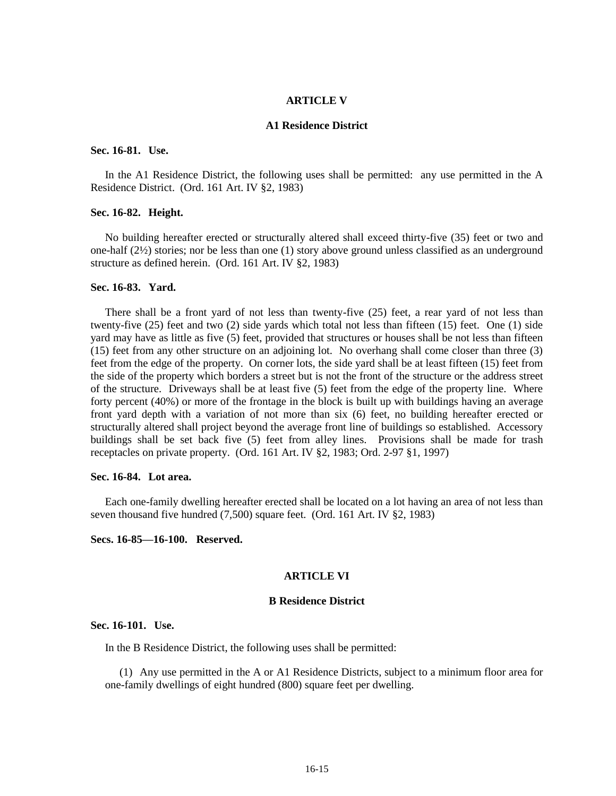#### **ARTICLE V**

#### **A1 Residence District**

## **Sec. 16-81. Use.**

In the A1 Residence District, the following uses shall be permitted: any use permitted in the A Residence District. (Ord. 161 Art. IV §2, 1983)

## **Sec. 16-82. Height.**

No building hereafter erected or structurally altered shall exceed thirty-five (35) feet or two and one-half (2½) stories; nor be less than one (1) story above ground unless classified as an underground structure as defined herein. (Ord. 161 Art. IV §2, 1983)

## **Sec. 16-83. Yard.**

There shall be a front yard of not less than twenty-five (25) feet, a rear yard of not less than twenty-five (25) feet and two (2) side yards which total not less than fifteen (15) feet. One (1) side yard may have as little as five (5) feet, provided that structures or houses shall be not less than fifteen (15) feet from any other structure on an adjoining lot. No overhang shall come closer than three (3) feet from the edge of the property. On corner lots, the side yard shall be at least fifteen (15) feet from the side of the property which borders a street but is not the front of the structure or the address street of the structure. Driveways shall be at least five (5) feet from the edge of the property line. Where forty percent (40%) or more of the frontage in the block is built up with buildings having an average front yard depth with a variation of not more than six (6) feet, no building hereafter erected or structurally altered shall project beyond the average front line of buildings so established. Accessory buildings shall be set back five (5) feet from alley lines. Provisions shall be made for trash receptacles on private property. (Ord. 161 Art. IV §2, 1983; Ord. 2-97 §1, 1997)

#### **Sec. 16-84. Lot area.**

Each one-family dwelling hereafter erected shall be located on a lot having an area of not less than seven thousand five hundred (7,500) square feet. (Ord. 161 Art. IV §2, 1983)

### **Secs. 16-85—16-100. Reserved.**

### **ARTICLE VI**

### **B Residence District**

## **Sec. 16-101. Use.**

In the B Residence District, the following uses shall be permitted:

(1) Any use permitted in the A or A1 Residence Districts, subject to a minimum floor area for one-family dwellings of eight hundred (800) square feet per dwelling.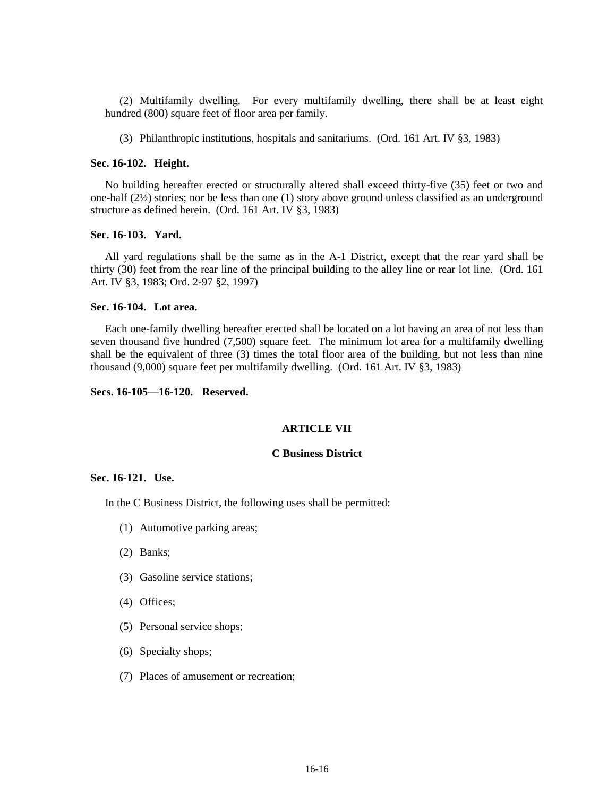(2) Multifamily dwelling. For every multifamily dwelling, there shall be at least eight hundred (800) square feet of floor area per family.

(3) Philanthropic institutions, hospitals and sanitariums. (Ord. 161 Art. IV §3, 1983)

#### **Sec. 16-102. Height.**

No building hereafter erected or structurally altered shall exceed thirty-five (35) feet or two and one-half (2½) stories; nor be less than one (1) story above ground unless classified as an underground structure as defined herein. (Ord. 161 Art. IV §3, 1983)

#### **Sec. 16-103. Yard.**

All yard regulations shall be the same as in the A-1 District, except that the rear yard shall be thirty (30) feet from the rear line of the principal building to the alley line or rear lot line. (Ord. 161 Art. IV §3, 1983; Ord. 2-97 §2, 1997)

### **Sec. 16-104. Lot area.**

Each one-family dwelling hereafter erected shall be located on a lot having an area of not less than seven thousand five hundred (7,500) square feet. The minimum lot area for a multifamily dwelling shall be the equivalent of three (3) times the total floor area of the building, but not less than nine thousand (9,000) square feet per multifamily dwelling. (Ord. 161 Art. IV §3, 1983)

## **Secs. 16-105—16-120. Reserved.**

## **ARTICLE VII**

## **C Business District**

### **Sec. 16-121. Use.**

In the C Business District, the following uses shall be permitted:

- (1) Automotive parking areas;
- (2) Banks;
- (3) Gasoline service stations;
- (4) Offices;
- (5) Personal service shops;
- (6) Specialty shops;
- (7) Places of amusement or recreation;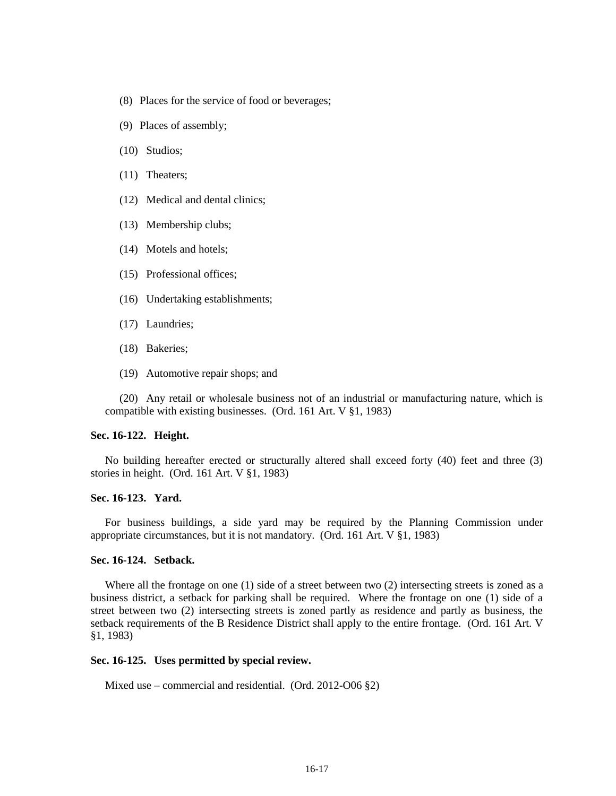- (8) Places for the service of food or beverages;
- (9) Places of assembly;
- (10) Studios;
- (11) Theaters;
- (12) Medical and dental clinics;
- (13) Membership clubs;
- (14) Motels and hotels;
- (15) Professional offices;
- (16) Undertaking establishments;
- (17) Laundries;
- (18) Bakeries;
- (19) Automotive repair shops; and

(20) Any retail or wholesale business not of an industrial or manufacturing nature, which is compatible with existing businesses. (Ord. 161 Art. V §1, 1983)

### **Sec. 16-122. Height.**

No building hereafter erected or structurally altered shall exceed forty (40) feet and three (3) stories in height. (Ord. 161 Art. V §1, 1983)

## **Sec. 16-123. Yard.**

For business buildings, a side yard may be required by the Planning Commission under appropriate circumstances, but it is not mandatory. (Ord. 161 Art. V §1, 1983)

### **Sec. 16-124. Setback.**

Where all the frontage on one (1) side of a street between two (2) intersecting streets is zoned as a business district, a setback for parking shall be required. Where the frontage on one (1) side of a street between two (2) intersecting streets is zoned partly as residence and partly as business, the setback requirements of the B Residence District shall apply to the entire frontage. (Ord. 161 Art. V §1, 1983)

### **Sec. 16-125. Uses permitted by special review.**

Mixed use – commercial and residential. (Ord. 2012-O06 §2)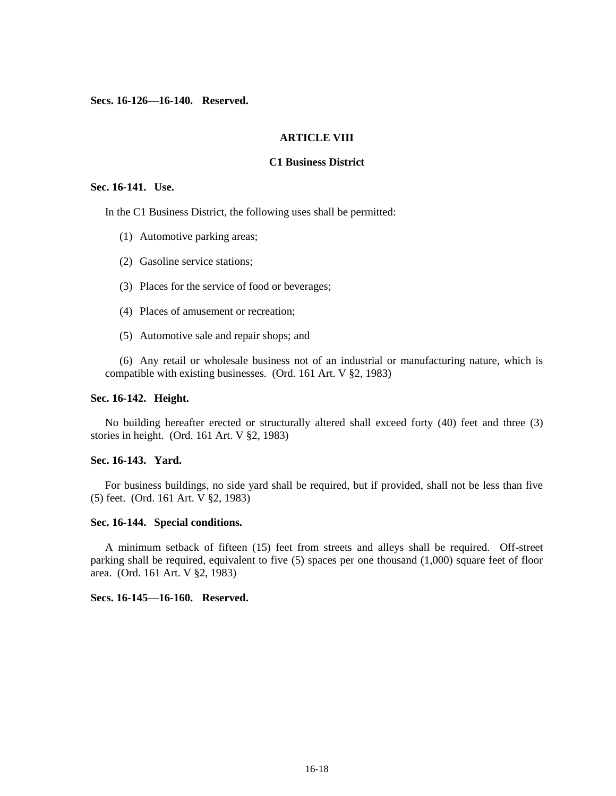**Secs. 16-126—16-140. Reserved.**

#### **ARTICLE VIII**

#### **C1 Business District**

#### **Sec. 16-141. Use.**

In the C1 Business District, the following uses shall be permitted:

- (1) Automotive parking areas;
- (2) Gasoline service stations;
- (3) Places for the service of food or beverages;
- (4) Places of amusement or recreation;
- (5) Automotive sale and repair shops; and

(6) Any retail or wholesale business not of an industrial or manufacturing nature, which is compatible with existing businesses. (Ord. 161 Art. V §2, 1983)

### **Sec. 16-142. Height.**

No building hereafter erected or structurally altered shall exceed forty (40) feet and three (3) stories in height. (Ord. 161 Art. V §2, 1983)

## **Sec. 16-143. Yard.**

For business buildings, no side yard shall be required, but if provided, shall not be less than five (5) feet. (Ord. 161 Art. V §2, 1983)

### **Sec. 16-144. Special conditions.**

A minimum setback of fifteen (15) feet from streets and alleys shall be required. Off-street parking shall be required, equivalent to five (5) spaces per one thousand (1,000) square feet of floor area. (Ord. 161 Art. V §2, 1983)

## **Secs. 16-145—16-160. Reserved.**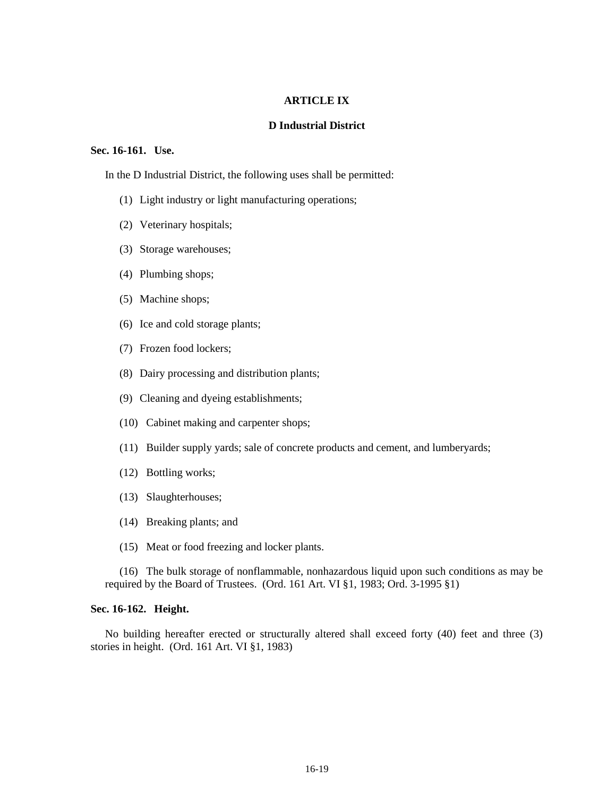### **ARTICLE IX**

### **D Industrial District**

## **Sec. 16-161. Use.**

In the D Industrial District, the following uses shall be permitted:

- (1) Light industry or light manufacturing operations;
- (2) Veterinary hospitals;
- (3) Storage warehouses;
- (4) Plumbing shops;
- (5) Machine shops;
- (6) Ice and cold storage plants;
- (7) Frozen food lockers;
- (8) Dairy processing and distribution plants;
- (9) Cleaning and dyeing establishments;
- (10) Cabinet making and carpenter shops;
- (11) Builder supply yards; sale of concrete products and cement, and lumberyards;
- (12) Bottling works;
- (13) Slaughterhouses;
- (14) Breaking plants; and
- (15) Meat or food freezing and locker plants.

(16) The bulk storage of nonflammable, nonhazardous liquid upon such conditions as may be required by the Board of Trustees. (Ord. 161 Art. VI §1, 1983; Ord. 3-1995 §1)

## **Sec. 16-162. Height.**

No building hereafter erected or structurally altered shall exceed forty (40) feet and three (3) stories in height. (Ord. 161 Art. VI §1, 1983)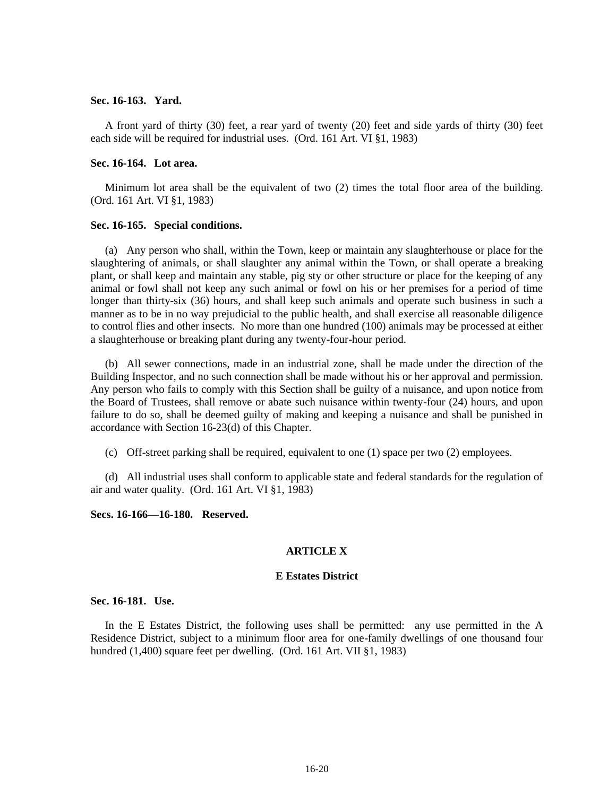#### **Sec. 16-163. Yard.**

A front yard of thirty (30) feet, a rear yard of twenty (20) feet and side yards of thirty (30) feet each side will be required for industrial uses. (Ord. 161 Art. VI §1, 1983)

## **Sec. 16-164. Lot area.**

Minimum lot area shall be the equivalent of two (2) times the total floor area of the building. (Ord. 161 Art. VI §1, 1983)

### **Sec. 16-165. Special conditions.**

(a) Any person who shall, within the Town, keep or maintain any slaughterhouse or place for the slaughtering of animals, or shall slaughter any animal within the Town, or shall operate a breaking plant, or shall keep and maintain any stable, pig sty or other structure or place for the keeping of any animal or fowl shall not keep any such animal or fowl on his or her premises for a period of time longer than thirty-six (36) hours, and shall keep such animals and operate such business in such a manner as to be in no way prejudicial to the public health, and shall exercise all reasonable diligence to control flies and other insects. No more than one hundred (100) animals may be processed at either a slaughterhouse or breaking plant during any twenty-four-hour period.

(b) All sewer connections, made in an industrial zone, shall be made under the direction of the Building Inspector, and no such connection shall be made without his or her approval and permission. Any person who fails to comply with this Section shall be guilty of a nuisance, and upon notice from the Board of Trustees, shall remove or abate such nuisance within twenty-four (24) hours, and upon failure to do so, shall be deemed guilty of making and keeping a nuisance and shall be punished in accordance with Section 16-23(d) of this Chapter.

(c) Off-street parking shall be required, equivalent to one (1) space per two (2) employees.

(d) All industrial uses shall conform to applicable state and federal standards for the regulation of air and water quality. (Ord. 161 Art. VI §1, 1983)

**Secs. 16-166—16-180. Reserved.**

## **ARTICLE X**

### **E Estates District**

## **Sec. 16-181. Use.**

In the E Estates District, the following uses shall be permitted: any use permitted in the A Residence District, subject to a minimum floor area for one-family dwellings of one thousand four hundred (1,400) square feet per dwelling. (Ord. 161 Art. VII §1, 1983)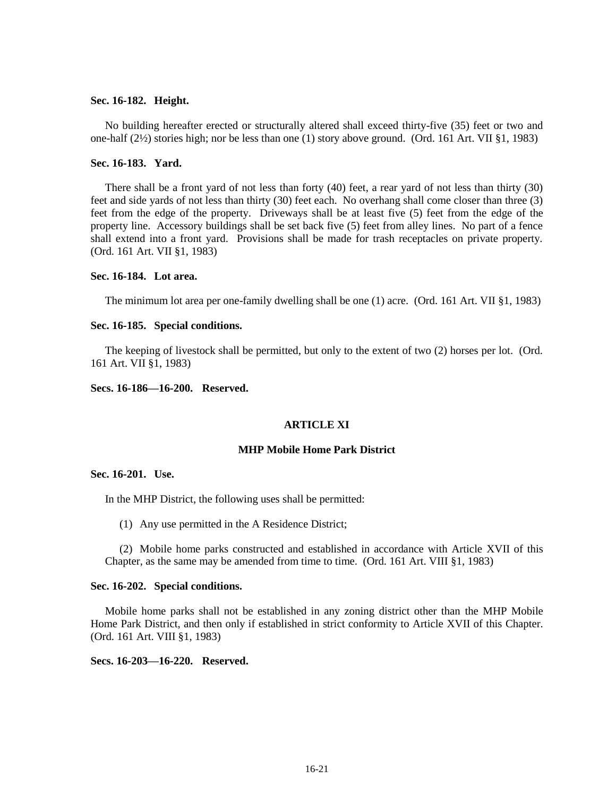### **Sec. 16-182. Height.**

No building hereafter erected or structurally altered shall exceed thirty-five (35) feet or two and one-half (2½) stories high; nor be less than one (1) story above ground. (Ord. 161 Art. VII §1, 1983)

### **Sec. 16-183. Yard.**

There shall be a front yard of not less than forty (40) feet, a rear yard of not less than thirty (30) feet and side yards of not less than thirty (30) feet each. No overhang shall come closer than three (3) feet from the edge of the property. Driveways shall be at least five (5) feet from the edge of the property line. Accessory buildings shall be set back five (5) feet from alley lines. No part of a fence shall extend into a front yard. Provisions shall be made for trash receptacles on private property. (Ord. 161 Art. VII §1, 1983)

### **Sec. 16-184. Lot area.**

The minimum lot area per one-family dwelling shall be one (1) acre. (Ord. 161 Art. VII §1, 1983)

### **Sec. 16-185. Special conditions.**

The keeping of livestock shall be permitted, but only to the extent of two (2) horses per lot. (Ord. 161 Art. VII §1, 1983)

## **Secs. 16-186—16-200. Reserved.**

## **ARTICLE XI**

## **MHP Mobile Home Park District**

### **Sec. 16-201. Use.**

In the MHP District, the following uses shall be permitted:

(1) Any use permitted in the A Residence District;

(2) Mobile home parks constructed and established in accordance with Article XVII of this Chapter, as the same may be amended from time to time. (Ord. 161 Art. VIII §1, 1983)

### **Sec. 16-202. Special conditions.**

Mobile home parks shall not be established in any zoning district other than the MHP Mobile Home Park District, and then only if established in strict conformity to Article XVII of this Chapter. (Ord. 161 Art. VIII §1, 1983)

**Secs. 16-203—16-220. Reserved.**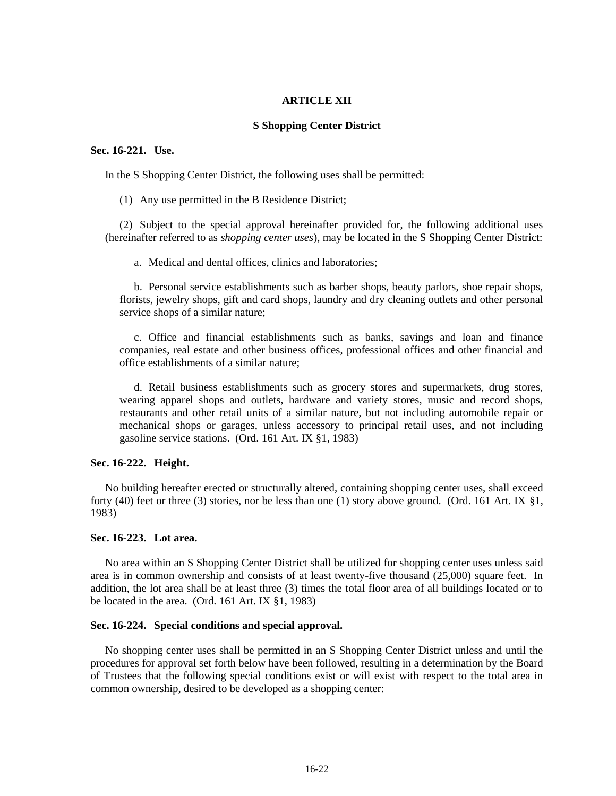### **ARTICLE XII**

### **S Shopping Center District**

## **Sec. 16-221. Use.**

In the S Shopping Center District, the following uses shall be permitted:

(1) Any use permitted in the B Residence District;

(2) Subject to the special approval hereinafter provided for, the following additional uses (hereinafter referred to as *shopping center uses*), may be located in the S Shopping Center District:

a. Medical and dental offices, clinics and laboratories;

b. Personal service establishments such as barber shops, beauty parlors, shoe repair shops, florists, jewelry shops, gift and card shops, laundry and dry cleaning outlets and other personal service shops of a similar nature;

c. Office and financial establishments such as banks, savings and loan and finance companies, real estate and other business offices, professional offices and other financial and office establishments of a similar nature;

d. Retail business establishments such as grocery stores and supermarkets, drug stores, wearing apparel shops and outlets, hardware and variety stores, music and record shops, restaurants and other retail units of a similar nature, but not including automobile repair or mechanical shops or garages, unless accessory to principal retail uses, and not including gasoline service stations. (Ord. 161 Art. IX §1, 1983)

## **Sec. 16-222. Height.**

No building hereafter erected or structurally altered, containing shopping center uses, shall exceed forty (40) feet or three (3) stories, nor be less than one (1) story above ground. (Ord. 161 Art. IX  $\S1$ , 1983)

## **Sec. 16-223. Lot area.**

No area within an S Shopping Center District shall be utilized for shopping center uses unless said area is in common ownership and consists of at least twenty-five thousand (25,000) square feet. In addition, the lot area shall be at least three (3) times the total floor area of all buildings located or to be located in the area. (Ord. 161 Art. IX §1, 1983)

## **Sec. 16-224. Special conditions and special approval.**

No shopping center uses shall be permitted in an S Shopping Center District unless and until the procedures for approval set forth below have been followed, resulting in a determination by the Board of Trustees that the following special conditions exist or will exist with respect to the total area in common ownership, desired to be developed as a shopping center: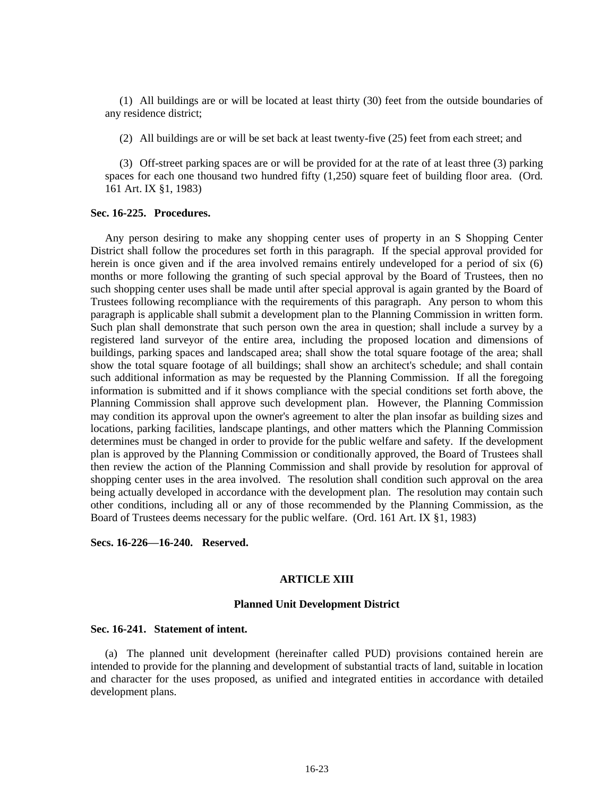(1) All buildings are or will be located at least thirty (30) feet from the outside boundaries of any residence district;

(2) All buildings are or will be set back at least twenty-five (25) feet from each street; and

(3) Off-street parking spaces are or will be provided for at the rate of at least three (3) parking spaces for each one thousand two hundred fifty (1,250) square feet of building floor area. (Ord. 161 Art. IX §1, 1983)

### **Sec. 16-225. Procedures.**

Any person desiring to make any shopping center uses of property in an S Shopping Center District shall follow the procedures set forth in this paragraph. If the special approval provided for herein is once given and if the area involved remains entirely undeveloped for a period of six (6) months or more following the granting of such special approval by the Board of Trustees, then no such shopping center uses shall be made until after special approval is again granted by the Board of Trustees following recompliance with the requirements of this paragraph. Any person to whom this paragraph is applicable shall submit a development plan to the Planning Commission in written form. Such plan shall demonstrate that such person own the area in question; shall include a survey by a registered land surveyor of the entire area, including the proposed location and dimensions of buildings, parking spaces and landscaped area; shall show the total square footage of the area; shall show the total square footage of all buildings; shall show an architect's schedule; and shall contain such additional information as may be requested by the Planning Commission. If all the foregoing information is submitted and if it shows compliance with the special conditions set forth above, the Planning Commission shall approve such development plan. However, the Planning Commission may condition its approval upon the owner's agreement to alter the plan insofar as building sizes and locations, parking facilities, landscape plantings, and other matters which the Planning Commission determines must be changed in order to provide for the public welfare and safety. If the development plan is approved by the Planning Commission or conditionally approved, the Board of Trustees shall then review the action of the Planning Commission and shall provide by resolution for approval of shopping center uses in the area involved. The resolution shall condition such approval on the area being actually developed in accordance with the development plan. The resolution may contain such other conditions, including all or any of those recommended by the Planning Commission, as the Board of Trustees deems necessary for the public welfare. (Ord. 161 Art. IX §1, 1983)

**Secs. 16-226—16-240. Reserved.**

### **ARTICLE XIII**

#### **Planned Unit Development District**

#### **Sec. 16-241. Statement of intent.**

(a) The planned unit development (hereinafter called PUD) provisions contained herein are intended to provide for the planning and development of substantial tracts of land, suitable in location and character for the uses proposed, as unified and integrated entities in accordance with detailed development plans.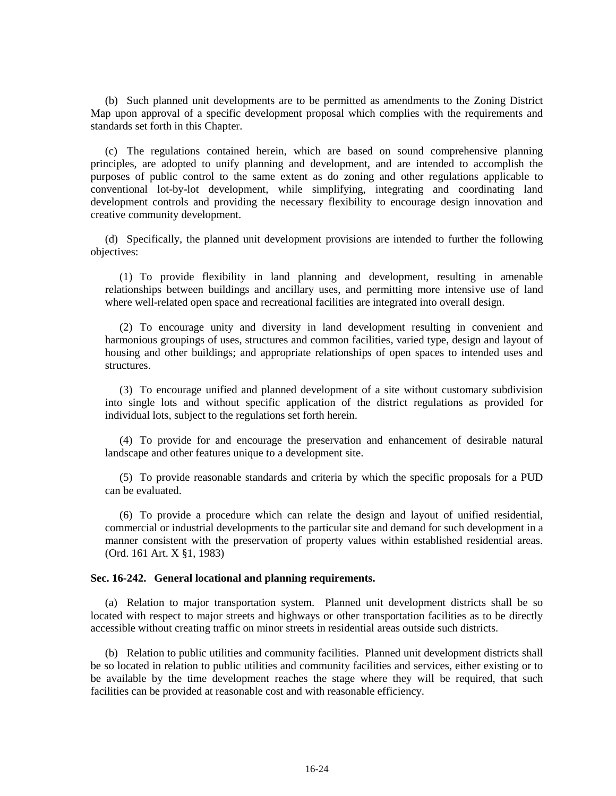(b) Such planned unit developments are to be permitted as amendments to the Zoning District Map upon approval of a specific development proposal which complies with the requirements and standards set forth in this Chapter.

(c) The regulations contained herein, which are based on sound comprehensive planning principles, are adopted to unify planning and development, and are intended to accomplish the purposes of public control to the same extent as do zoning and other regulations applicable to conventional lot-by-lot development, while simplifying, integrating and coordinating land development controls and providing the necessary flexibility to encourage design innovation and creative community development.

(d) Specifically, the planned unit development provisions are intended to further the following objectives:

(1) To provide flexibility in land planning and development, resulting in amenable relationships between buildings and ancillary uses, and permitting more intensive use of land where well-related open space and recreational facilities are integrated into overall design.

(2) To encourage unity and diversity in land development resulting in convenient and harmonious groupings of uses, structures and common facilities, varied type, design and layout of housing and other buildings; and appropriate relationships of open spaces to intended uses and structures.

(3) To encourage unified and planned development of a site without customary subdivision into single lots and without specific application of the district regulations as provided for individual lots, subject to the regulations set forth herein.

(4) To provide for and encourage the preservation and enhancement of desirable natural landscape and other features unique to a development site.

(5) To provide reasonable standards and criteria by which the specific proposals for a PUD can be evaluated.

(6) To provide a procedure which can relate the design and layout of unified residential, commercial or industrial developments to the particular site and demand for such development in a manner consistent with the preservation of property values within established residential areas. (Ord. 161 Art. X §1, 1983)

## **Sec. 16-242. General locational and planning requirements.**

(a) Relation to major transportation system. Planned unit development districts shall be so located with respect to major streets and highways or other transportation facilities as to be directly accessible without creating traffic on minor streets in residential areas outside such districts.

(b) Relation to public utilities and community facilities. Planned unit development districts shall be so located in relation to public utilities and community facilities and services, either existing or to be available by the time development reaches the stage where they will be required, that such facilities can be provided at reasonable cost and with reasonable efficiency.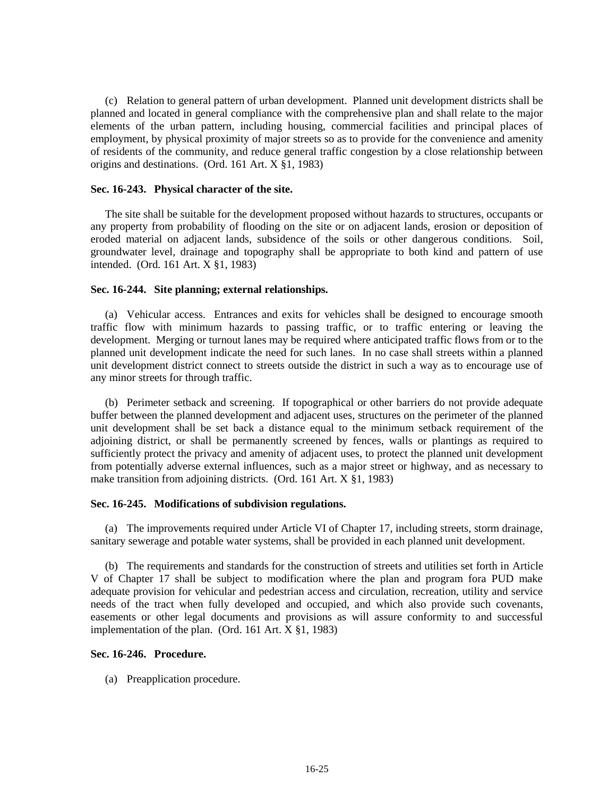(c) Relation to general pattern of urban development. Planned unit development districts shall be planned and located in general compliance with the comprehensive plan and shall relate to the major elements of the urban pattern, including housing, commercial facilities and principal places of employment, by physical proximity of major streets so as to provide for the convenience and amenity of residents of the community, and reduce general traffic congestion by a close relationship between origins and destinations. (Ord. 161 Art. X §1, 1983)

## **Sec. 16-243. Physical character of the site.**

The site shall be suitable for the development proposed without hazards to structures, occupants or any property from probability of flooding on the site or on adjacent lands, erosion or deposition of eroded material on adjacent lands, subsidence of the soils or other dangerous conditions. Soil, groundwater level, drainage and topography shall be appropriate to both kind and pattern of use intended. (Ord. 161 Art. X §1, 1983)

### **Sec. 16-244. Site planning; external relationships.**

(a) Vehicular access. Entrances and exits for vehicles shall be designed to encourage smooth traffic flow with minimum hazards to passing traffic, or to traffic entering or leaving the development. Merging or turnout lanes may be required where anticipated traffic flows from or to the planned unit development indicate the need for such lanes. In no case shall streets within a planned unit development district connect to streets outside the district in such a way as to encourage use of any minor streets for through traffic.

(b) Perimeter setback and screening. If topographical or other barriers do not provide adequate buffer between the planned development and adjacent uses, structures on the perimeter of the planned unit development shall be set back a distance equal to the minimum setback requirement of the adjoining district, or shall be permanently screened by fences, walls or plantings as required to sufficiently protect the privacy and amenity of adjacent uses, to protect the planned unit development from potentially adverse external influences, such as a major street or highway, and as necessary to make transition from adjoining districts. (Ord. 161 Art. X §1, 1983)

## **Sec. 16-245. Modifications of subdivision regulations.**

(a) The improvements required under Article VI of Chapter 17, including streets, storm drainage, sanitary sewerage and potable water systems, shall be provided in each planned unit development.

(b) The requirements and standards for the construction of streets and utilities set forth in Article V of Chapter 17 shall be subject to modification where the plan and program fora PUD make adequate provision for vehicular and pedestrian access and circulation, recreation, utility and service needs of the tract when fully developed and occupied, and which also provide such covenants, easements or other legal documents and provisions as will assure conformity to and successful implementation of the plan. (Ord. 161 Art. X §1, 1983)

## **Sec. 16-246. Procedure.**

(a) Preapplication procedure.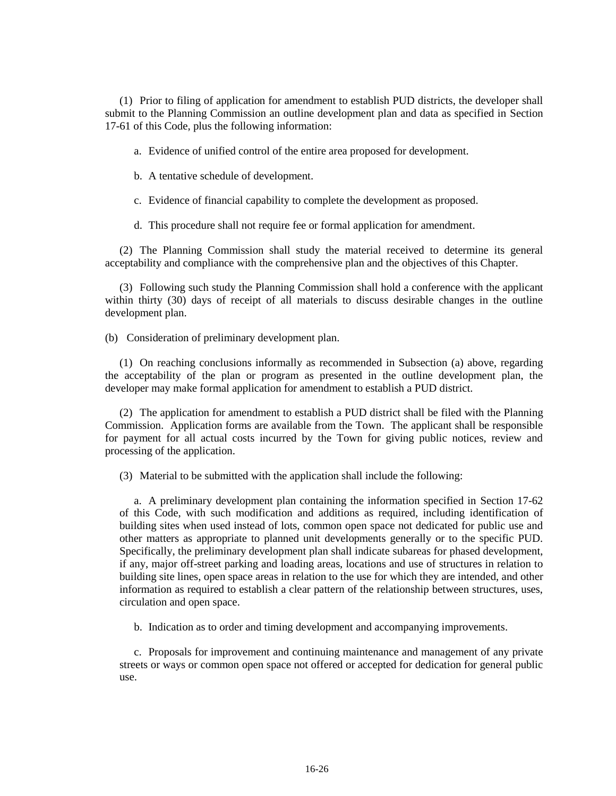(1) Prior to filing of application for amendment to establish PUD districts, the developer shall submit to the Planning Commission an outline development plan and data as specified in Section 17-61 of this Code, plus the following information:

a. Evidence of unified control of the entire area proposed for development.

b. A tentative schedule of development.

c. Evidence of financial capability to complete the development as proposed.

d. This procedure shall not require fee or formal application for amendment.

(2) The Planning Commission shall study the material received to determine its general acceptability and compliance with the comprehensive plan and the objectives of this Chapter.

(3) Following such study the Planning Commission shall hold a conference with the applicant within thirty (30) days of receipt of all materials to discuss desirable changes in the outline development plan.

(b) Consideration of preliminary development plan.

(1) On reaching conclusions informally as recommended in Subsection (a) above, regarding the acceptability of the plan or program as presented in the outline development plan, the developer may make formal application for amendment to establish a PUD district.

(2) The application for amendment to establish a PUD district shall be filed with the Planning Commission. Application forms are available from the Town. The applicant shall be responsible for payment for all actual costs incurred by the Town for giving public notices, review and processing of the application.

(3) Material to be submitted with the application shall include the following:

a. A preliminary development plan containing the information specified in Section 17-62 of this Code, with such modification and additions as required, including identification of building sites when used instead of lots, common open space not dedicated for public use and other matters as appropriate to planned unit developments generally or to the specific PUD. Specifically, the preliminary development plan shall indicate subareas for phased development, if any, major off-street parking and loading areas, locations and use of structures in relation to building site lines, open space areas in relation to the use for which they are intended, and other information as required to establish a clear pattern of the relationship between structures, uses, circulation and open space.

b. Indication as to order and timing development and accompanying improvements.

c. Proposals for improvement and continuing maintenance and management of any private streets or ways or common open space not offered or accepted for dedication for general public use.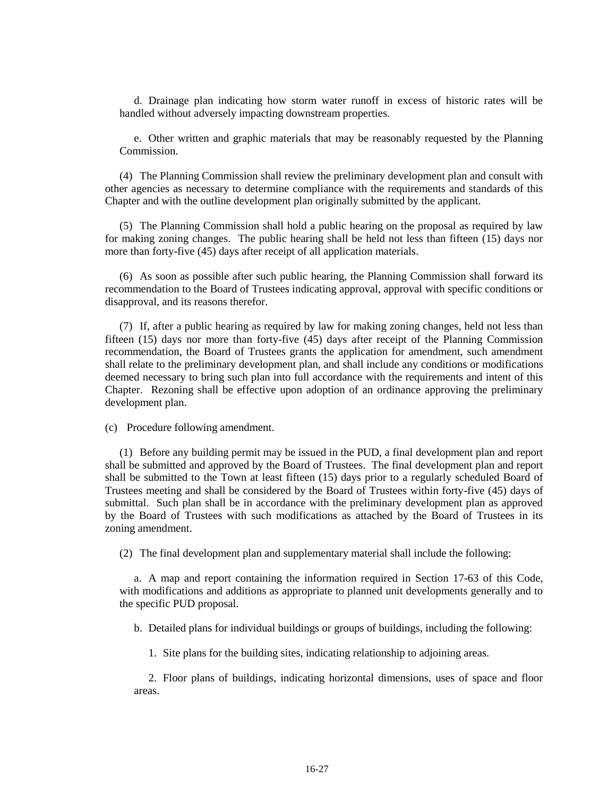d. Drainage plan indicating how storm water runoff in excess of historic rates will be handled without adversely impacting downstream properties.

e. Other written and graphic materials that may be reasonably requested by the Planning Commission.

(4) The Planning Commission shall review the preliminary development plan and consult with other agencies as necessary to determine compliance with the requirements and standards of this Chapter and with the outline development plan originally submitted by the applicant.

(5) The Planning Commission shall hold a public hearing on the proposal as required by law for making zoning changes. The public hearing shall be held not less than fifteen (15) days nor more than forty-five (45) days after receipt of all application materials.

(6) As soon as possible after such public hearing, the Planning Commission shall forward its recommendation to the Board of Trustees indicating approval, approval with specific conditions or disapproval, and its reasons therefor.

(7) If, after a public hearing as required by law for making zoning changes, held not less than fifteen (15) days nor more than forty-five (45) days after receipt of the Planning Commission recommendation, the Board of Trustees grants the application for amendment, such amendment shall relate to the preliminary development plan, and shall include any conditions or modifications deemed necessary to bring such plan into full accordance with the requirements and intent of this Chapter. Rezoning shall be effective upon adoption of an ordinance approving the preliminary development plan.

(c) Procedure following amendment.

(1) Before any building permit may be issued in the PUD, a final development plan and report shall be submitted and approved by the Board of Trustees. The final development plan and report shall be submitted to the Town at least fifteen (15) days prior to a regularly scheduled Board of Trustees meeting and shall be considered by the Board of Trustees within forty-five (45) days of submittal. Such plan shall be in accordance with the preliminary development plan as approved by the Board of Trustees with such modifications as attached by the Board of Trustees in its zoning amendment.

(2) The final development plan and supplementary material shall include the following:

a. A map and report containing the information required in Section 17-63 of this Code, with modifications and additions as appropriate to planned unit developments generally and to the specific PUD proposal.

b. Detailed plans for individual buildings or groups of buildings, including the following:

1. Site plans for the building sites, indicating relationship to adjoining areas.

2. Floor plans of buildings, indicating horizontal dimensions, uses of space and floor areas.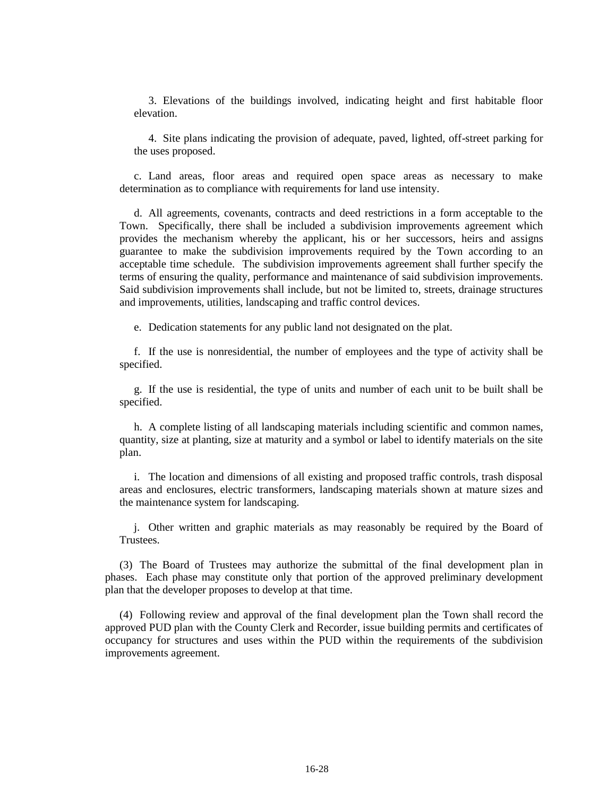3. Elevations of the buildings involved, indicating height and first habitable floor elevation.

4. Site plans indicating the provision of adequate, paved, lighted, off-street parking for the uses proposed.

c. Land areas, floor areas and required open space areas as necessary to make determination as to compliance with requirements for land use intensity.

d. All agreements, covenants, contracts and deed restrictions in a form acceptable to the Town. Specifically, there shall be included a subdivision improvements agreement which provides the mechanism whereby the applicant, his or her successors, heirs and assigns guarantee to make the subdivision improvements required by the Town according to an acceptable time schedule. The subdivision improvements agreement shall further specify the terms of ensuring the quality, performance and maintenance of said subdivision improvements. Said subdivision improvements shall include, but not be limited to, streets, drainage structures and improvements, utilities, landscaping and traffic control devices.

e. Dedication statements for any public land not designated on the plat.

f. If the use is nonresidential, the number of employees and the type of activity shall be specified.

g. If the use is residential, the type of units and number of each unit to be built shall be specified.

h. A complete listing of all landscaping materials including scientific and common names, quantity, size at planting, size at maturity and a symbol or label to identify materials on the site plan.

i. The location and dimensions of all existing and proposed traffic controls, trash disposal areas and enclosures, electric transformers, landscaping materials shown at mature sizes and the maintenance system for landscaping.

j. Other written and graphic materials as may reasonably be required by the Board of Trustees.

(3) The Board of Trustees may authorize the submittal of the final development plan in phases. Each phase may constitute only that portion of the approved preliminary development plan that the developer proposes to develop at that time.

(4) Following review and approval of the final development plan the Town shall record the approved PUD plan with the County Clerk and Recorder, issue building permits and certificates of occupancy for structures and uses within the PUD within the requirements of the subdivision improvements agreement.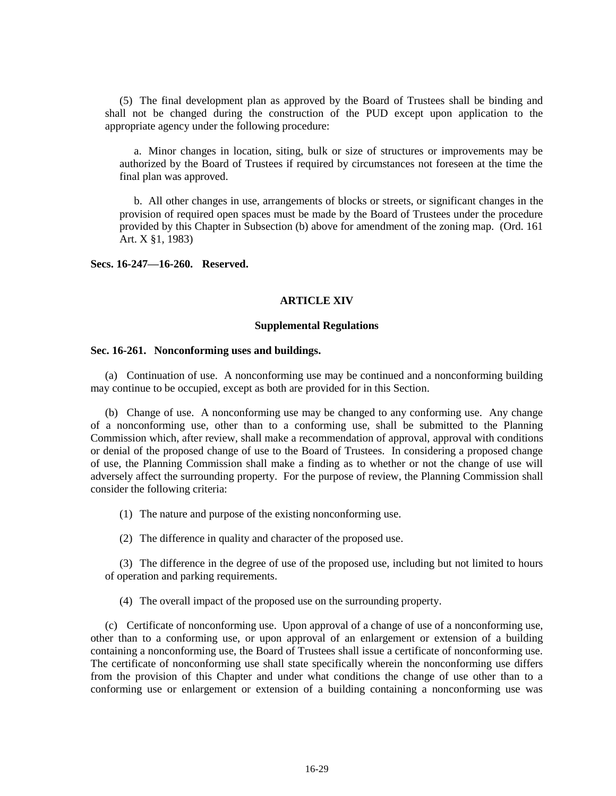(5) The final development plan as approved by the Board of Trustees shall be binding and shall not be changed during the construction of the PUD except upon application to the appropriate agency under the following procedure:

a. Minor changes in location, siting, bulk or size of structures or improvements may be authorized by the Board of Trustees if required by circumstances not foreseen at the time the final plan was approved.

b. All other changes in use, arrangements of blocks or streets, or significant changes in the provision of required open spaces must be made by the Board of Trustees under the procedure provided by this Chapter in Subsection (b) above for amendment of the zoning map. (Ord. 161 Art. X §1, 1983)

**Secs. 16-247—16-260. Reserved.**

## **ARTICLE XIV**

### **Supplemental Regulations**

### **Sec. 16-261. Nonconforming uses and buildings.**

(a) Continuation of use. A nonconforming use may be continued and a nonconforming building may continue to be occupied, except as both are provided for in this Section.

(b) Change of use. A nonconforming use may be changed to any conforming use. Any change of a nonconforming use, other than to a conforming use, shall be submitted to the Planning Commission which, after review, shall make a recommendation of approval, approval with conditions or denial of the proposed change of use to the Board of Trustees. In considering a proposed change of use, the Planning Commission shall make a finding as to whether or not the change of use will adversely affect the surrounding property. For the purpose of review, the Planning Commission shall consider the following criteria:

(1) The nature and purpose of the existing nonconforming use.

(2) The difference in quality and character of the proposed use.

(3) The difference in the degree of use of the proposed use, including but not limited to hours of operation and parking requirements.

(4) The overall impact of the proposed use on the surrounding property.

(c) Certificate of nonconforming use. Upon approval of a change of use of a nonconforming use, other than to a conforming use, or upon approval of an enlargement or extension of a building containing a nonconforming use, the Board of Trustees shall issue a certificate of nonconforming use. The certificate of nonconforming use shall state specifically wherein the nonconforming use differs from the provision of this Chapter and under what conditions the change of use other than to a conforming use or enlargement or extension of a building containing a nonconforming use was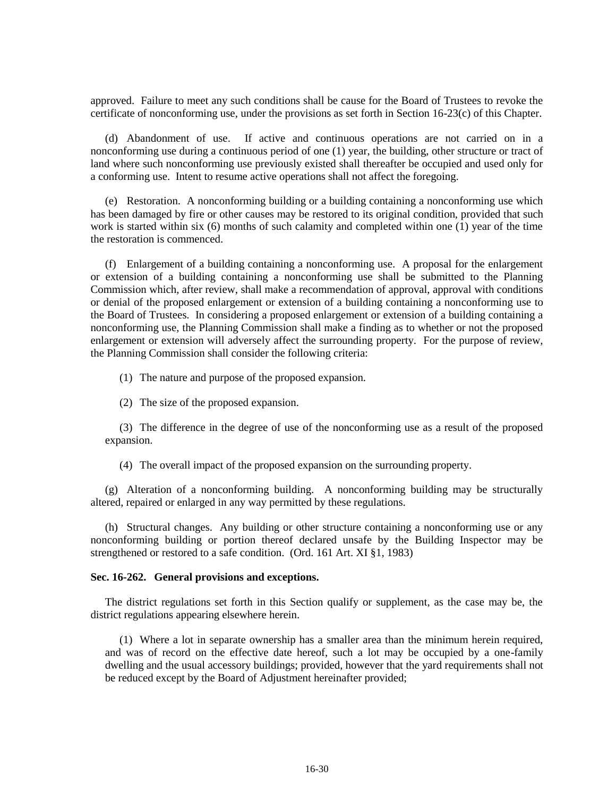approved. Failure to meet any such conditions shall be cause for the Board of Trustees to revoke the certificate of nonconforming use, under the provisions as set forth in Section 16-23(c) of this Chapter.

(d) Abandonment of use. If active and continuous operations are not carried on in a nonconforming use during a continuous period of one (1) year, the building, other structure or tract of land where such nonconforming use previously existed shall thereafter be occupied and used only for a conforming use. Intent to resume active operations shall not affect the foregoing.

(e) Restoration. A nonconforming building or a building containing a nonconforming use which has been damaged by fire or other causes may be restored to its original condition, provided that such work is started within six (6) months of such calamity and completed within one (1) year of the time the restoration is commenced.

(f) Enlargement of a building containing a nonconforming use. A proposal for the enlargement or extension of a building containing a nonconforming use shall be submitted to the Planning Commission which, after review, shall make a recommendation of approval, approval with conditions or denial of the proposed enlargement or extension of a building containing a nonconforming use to the Board of Trustees. In considering a proposed enlargement or extension of a building containing a nonconforming use, the Planning Commission shall make a finding as to whether or not the proposed enlargement or extension will adversely affect the surrounding property. For the purpose of review, the Planning Commission shall consider the following criteria:

(1) The nature and purpose of the proposed expansion.

(2) The size of the proposed expansion.

(3) The difference in the degree of use of the nonconforming use as a result of the proposed expansion.

(4) The overall impact of the proposed expansion on the surrounding property.

(g) Alteration of a nonconforming building. A nonconforming building may be structurally altered, repaired or enlarged in any way permitted by these regulations.

(h) Structural changes. Any building or other structure containing a nonconforming use or any nonconforming building or portion thereof declared unsafe by the Building Inspector may be strengthened or restored to a safe condition. (Ord. 161 Art. XI §1, 1983)

## **Sec. 16-262. General provisions and exceptions.**

The district regulations set forth in this Section qualify or supplement, as the case may be, the district regulations appearing elsewhere herein.

(1) Where a lot in separate ownership has a smaller area than the minimum herein required, and was of record on the effective date hereof, such a lot may be occupied by a one-family dwelling and the usual accessory buildings; provided, however that the yard requirements shall not be reduced except by the Board of Adjustment hereinafter provided;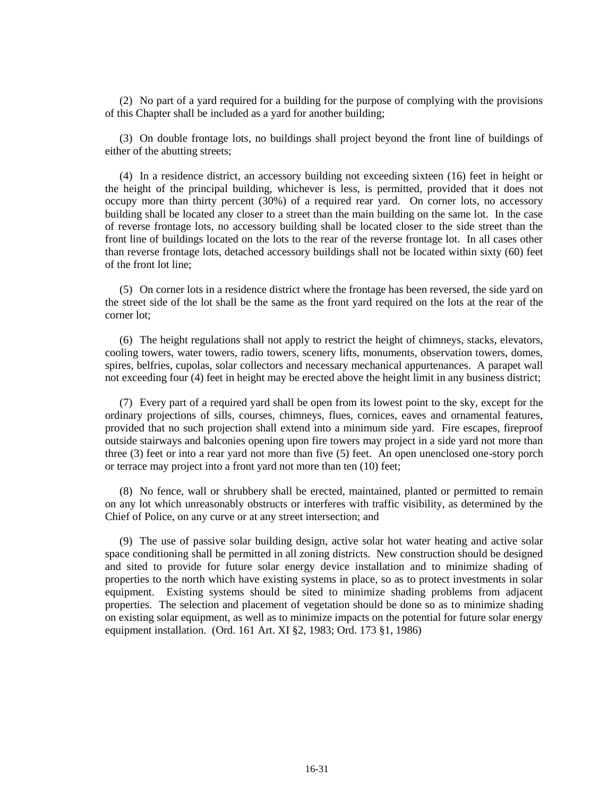(2) No part of a yard required for a building for the purpose of complying with the provisions of this Chapter shall be included as a yard for another building;

(3) On double frontage lots, no buildings shall project beyond the front line of buildings of either of the abutting streets;

(4) In a residence district, an accessory building not exceeding sixteen (16) feet in height or the height of the principal building, whichever is less, is permitted, provided that it does not occupy more than thirty percent (30%) of a required rear yard. On corner lots, no accessory building shall be located any closer to a street than the main building on the same lot. In the case of reverse frontage lots, no accessory building shall be located closer to the side street than the front line of buildings located on the lots to the rear of the reverse frontage lot. In all cases other than reverse frontage lots, detached accessory buildings shall not be located within sixty (60) feet of the front lot line;

(5) On corner lots in a residence district where the frontage has been reversed, the side yard on the street side of the lot shall be the same as the front yard required on the lots at the rear of the corner lot;

(6) The height regulations shall not apply to restrict the height of chimneys, stacks, elevators, cooling towers, water towers, radio towers, scenery lifts, monuments, observation towers, domes, spires, belfries, cupolas, solar collectors and necessary mechanical appurtenances. A parapet wall not exceeding four (4) feet in height may be erected above the height limit in any business district;

(7) Every part of a required yard shall be open from its lowest point to the sky, except for the ordinary projections of sills, courses, chimneys, flues, cornices, eaves and ornamental features, provided that no such projection shall extend into a minimum side yard. Fire escapes, fireproof outside stairways and balconies opening upon fire towers may project in a side yard not more than three (3) feet or into a rear yard not more than five (5) feet. An open unenclosed one-story porch or terrace may project into a front yard not more than ten (10) feet;

(8) No fence, wall or shrubbery shall be erected, maintained, planted or permitted to remain on any lot which unreasonably obstructs or interferes with traffic visibility, as determined by the Chief of Police, on any curve or at any street intersection; and

(9) The use of passive solar building design, active solar hot water heating and active solar space conditioning shall be permitted in all zoning districts. New construction should be designed and sited to provide for future solar energy device installation and to minimize shading of properties to the north which have existing systems in place, so as to protect investments in solar equipment. Existing systems should be sited to minimize shading problems from adjacent properties. The selection and placement of vegetation should be done so as to minimize shading on existing solar equipment, as well as to minimize impacts on the potential for future solar energy equipment installation. (Ord. 161 Art. XI §2, 1983; Ord. 173 §1, 1986)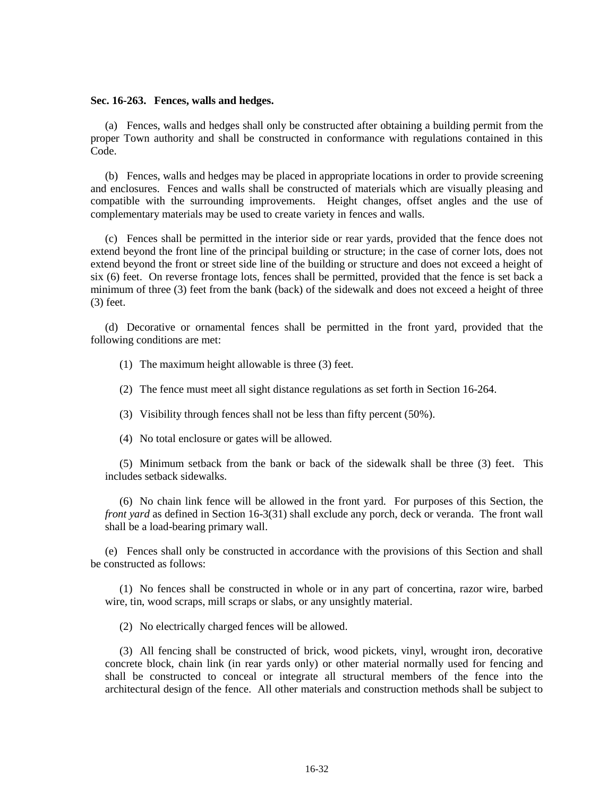#### **Sec. 16-263. Fences, walls and hedges.**

(a) Fences, walls and hedges shall only be constructed after obtaining a building permit from the proper Town authority and shall be constructed in conformance with regulations contained in this Code.

(b) Fences, walls and hedges may be placed in appropriate locations in order to provide screening and enclosures. Fences and walls shall be constructed of materials which are visually pleasing and compatible with the surrounding improvements. Height changes, offset angles and the use of complementary materials may be used to create variety in fences and walls.

(c) Fences shall be permitted in the interior side or rear yards, provided that the fence does not extend beyond the front line of the principal building or structure; in the case of corner lots, does not extend beyond the front or street side line of the building or structure and does not exceed a height of six (6) feet. On reverse frontage lots, fences shall be permitted, provided that the fence is set back a minimum of three (3) feet from the bank (back) of the sidewalk and does not exceed a height of three (3) feet.

(d) Decorative or ornamental fences shall be permitted in the front yard, provided that the following conditions are met:

(1) The maximum height allowable is three (3) feet.

(2) The fence must meet all sight distance regulations as set forth in Section 16-264.

(3) Visibility through fences shall not be less than fifty percent (50%).

(4) No total enclosure or gates will be allowed.

(5) Minimum setback from the bank or back of the sidewalk shall be three (3) feet. This includes setback sidewalks.

(6) No chain link fence will be allowed in the front yard. For purposes of this Section, the *front yard* as defined in Section 16-3(31) shall exclude any porch, deck or veranda. The front wall shall be a load-bearing primary wall.

(e) Fences shall only be constructed in accordance with the provisions of this Section and shall be constructed as follows:

(1) No fences shall be constructed in whole or in any part of concertina, razor wire, barbed wire, tin, wood scraps, mill scraps or slabs, or any unsightly material.

(2) No electrically charged fences will be allowed.

(3) All fencing shall be constructed of brick, wood pickets, vinyl, wrought iron, decorative concrete block, chain link (in rear yards only) or other material normally used for fencing and shall be constructed to conceal or integrate all structural members of the fence into the architectural design of the fence. All other materials and construction methods shall be subject to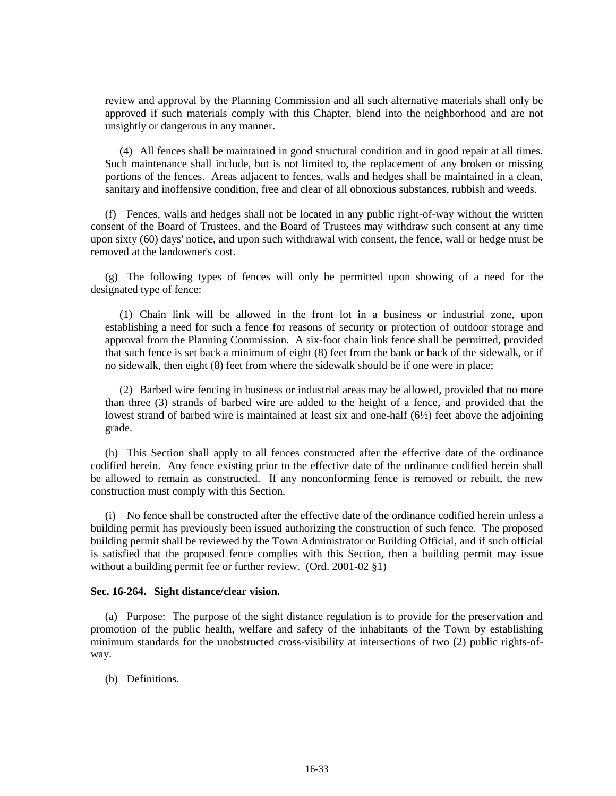review and approval by the Planning Commission and all such alternative materials shall only be approved if such materials comply with this Chapter, blend into the neighborhood and are not unsightly or dangerous in any manner.

(4) All fences shall be maintained in good structural condition and in good repair at all times. Such maintenance shall include, but is not limited to, the replacement of any broken or missing portions of the fences. Areas adjacent to fences, walls and hedges shall be maintained in a clean, sanitary and inoffensive condition, free and clear of all obnoxious substances, rubbish and weeds.

(f) Fences, walls and hedges shall not be located in any public right-of-way without the written consent of the Board of Trustees, and the Board of Trustees may withdraw such consent at any time upon sixty (60) days' notice, and upon such withdrawal with consent, the fence, wall or hedge must be removed at the landowner's cost.

(g) The following types of fences will only be permitted upon showing of a need for the designated type of fence:

(1) Chain link will be allowed in the front lot in a business or industrial zone, upon establishing a need for such a fence for reasons of security or protection of outdoor storage and approval from the Planning Commission. A six-foot chain link fence shall be permitted, provided that such fence is set back a minimum of eight (8) feet from the bank or back of the sidewalk, or if no sidewalk, then eight (8) feet from where the sidewalk should be if one were in place;

(2) Barbed wire fencing in business or industrial areas may be allowed, provided that no more than three (3) strands of barbed wire are added to the height of a fence, and provided that the lowest strand of barbed wire is maintained at least six and one-half (6½) feet above the adjoining grade.

(h) This Section shall apply to all fences constructed after the effective date of the ordinance codified herein. Any fence existing prior to the effective date of the ordinance codified herein shall be allowed to remain as constructed. If any nonconforming fence is removed or rebuilt, the new construction must comply with this Section.

(i) No fence shall be constructed after the effective date of the ordinance codified herein unless a building permit has previously been issued authorizing the construction of such fence. The proposed building permit shall be reviewed by the Town Administrator or Building Official, and if such official is satisfied that the proposed fence complies with this Section, then a building permit may issue without a building permit fee or further review. (Ord. 2001-02 §1)

## **Sec. 16-264. Sight distance/clear vision.**

(a) Purpose: The purpose of the sight distance regulation is to provide for the preservation and promotion of the public health, welfare and safety of the inhabitants of the Town by establishing minimum standards for the unobstructed cross-visibility at intersections of two (2) public rights-ofway.

(b) Definitions.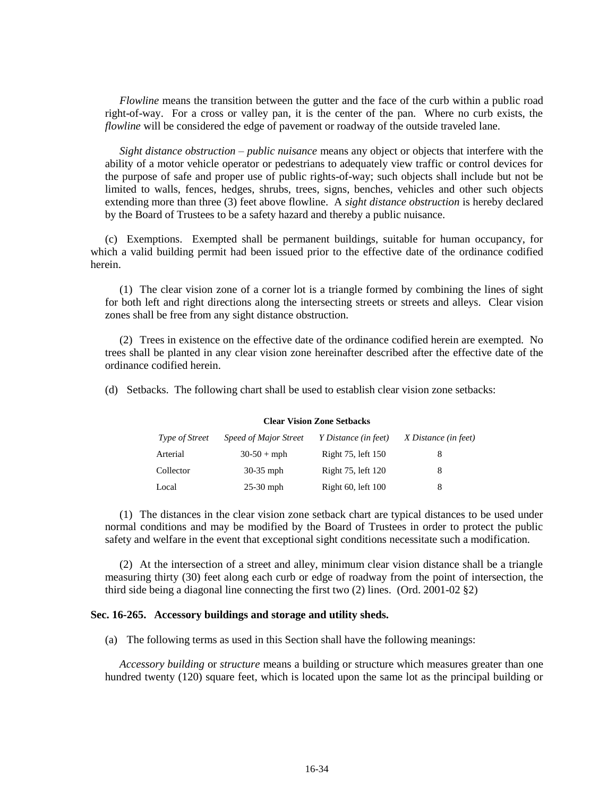*Flowline* means the transition between the gutter and the face of the curb within a public road right-of-way. For a cross or valley pan, it is the center of the pan. Where no curb exists, the *flowline* will be considered the edge of pavement or roadway of the outside traveled lane.

*Sight distance obstruction – public nuisance* means any object or objects that interfere with the ability of a motor vehicle operator or pedestrians to adequately view traffic or control devices for the purpose of safe and proper use of public rights-of-way; such objects shall include but not be limited to walls, fences, hedges, shrubs, trees, signs, benches, vehicles and other such objects extending more than three (3) feet above flowline. A *sight distance obstruction* is hereby declared by the Board of Trustees to be a safety hazard and thereby a public nuisance.

(c) Exemptions. Exempted shall be permanent buildings, suitable for human occupancy, for which a valid building permit had been issued prior to the effective date of the ordinance codified herein.

(1) The clear vision zone of a corner lot is a triangle formed by combining the lines of sight for both left and right directions along the intersecting streets or streets and alleys. Clear vision zones shall be free from any sight distance obstruction.

(2) Trees in existence on the effective date of the ordinance codified herein are exempted. No trees shall be planted in any clear vision zone hereinafter described after the effective date of the ordinance codified herein.

(d) Setbacks. The following chart shall be used to establish clear vision zone setbacks:

#### **Clear Vision Zone Setbacks**

| <i>Type of Street</i> | Speed of Major Street | Y Distance (in feet) | X Distance (in feet) |
|-----------------------|-----------------------|----------------------|----------------------|
| Arterial              | $30-50+mph$           | Right 75, left 150   | 8                    |
| Collector             | $30-35$ mph           | Right 75, left 120   | 8                    |
| Local                 | $25-30$ mph           | Right 60, left 100   | 8                    |

(1) The distances in the clear vision zone setback chart are typical distances to be used under normal conditions and may be modified by the Board of Trustees in order to protect the public safety and welfare in the event that exceptional sight conditions necessitate such a modification.

(2) At the intersection of a street and alley, minimum clear vision distance shall be a triangle measuring thirty (30) feet along each curb or edge of roadway from the point of intersection, the third side being a diagonal line connecting the first two (2) lines. (Ord. 2001-02 §2)

### **Sec. 16-265. Accessory buildings and storage and utility sheds.**

(a) The following terms as used in this Section shall have the following meanings:

*Accessory building* or *structure* means a building or structure which measures greater than one hundred twenty (120) square feet, which is located upon the same lot as the principal building or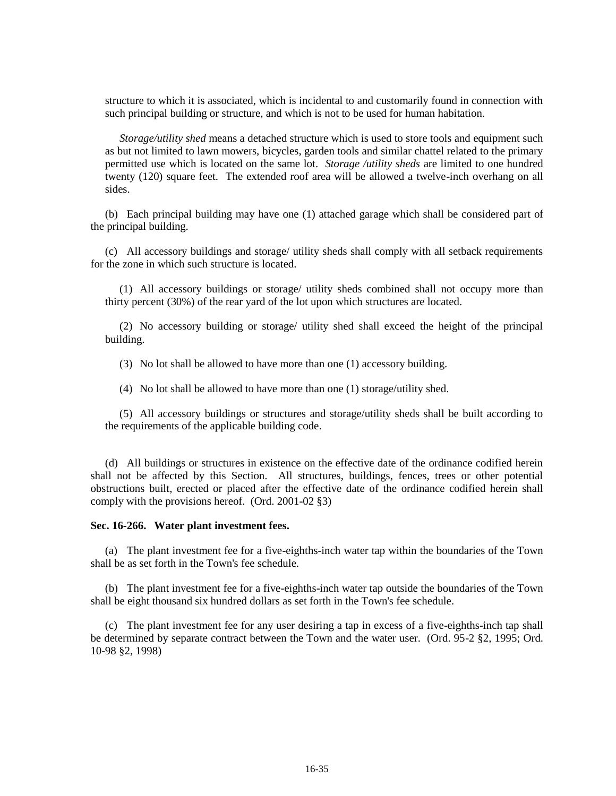structure to which it is associated, which is incidental to and customarily found in connection with such principal building or structure, and which is not to be used for human habitation.

*Storage/utility shed* means a detached structure which is used to store tools and equipment such as but not limited to lawn mowers, bicycles, garden tools and similar chattel related to the primary permitted use which is located on the same lot. *Storage /utility sheds* are limited to one hundred twenty (120) square feet. The extended roof area will be allowed a twelve-inch overhang on all sides.

(b) Each principal building may have one (1) attached garage which shall be considered part of the principal building.

(c) All accessory buildings and storage/ utility sheds shall comply with all setback requirements for the zone in which such structure is located.

(1) All accessory buildings or storage/ utility sheds combined shall not occupy more than thirty percent (30%) of the rear yard of the lot upon which structures are located.

(2) No accessory building or storage/ utility shed shall exceed the height of the principal building.

(3) No lot shall be allowed to have more than one (1) accessory building.

(4) No lot shall be allowed to have more than one (1) storage/utility shed.

(5) All accessory buildings or structures and storage/utility sheds shall be built according to the requirements of the applicable building code.

(d) All buildings or structures in existence on the effective date of the ordinance codified herein shall not be affected by this Section. All structures, buildings, fences, trees or other potential obstructions built, erected or placed after the effective date of the ordinance codified herein shall comply with the provisions hereof. (Ord. 2001-02 §3)

### **Sec. 16-266. Water plant investment fees.**

(a) The plant investment fee for a five-eighths-inch water tap within the boundaries of the Town shall be as set forth in the Town's fee schedule.

(b) The plant investment fee for a five-eighths-inch water tap outside the boundaries of the Town shall be eight thousand six hundred dollars as set forth in the Town's fee schedule.

(c) The plant investment fee for any user desiring a tap in excess of a five-eighths-inch tap shall be determined by separate contract between the Town and the water user. (Ord. 95-2 §2, 1995; Ord. 10-98 §2, 1998)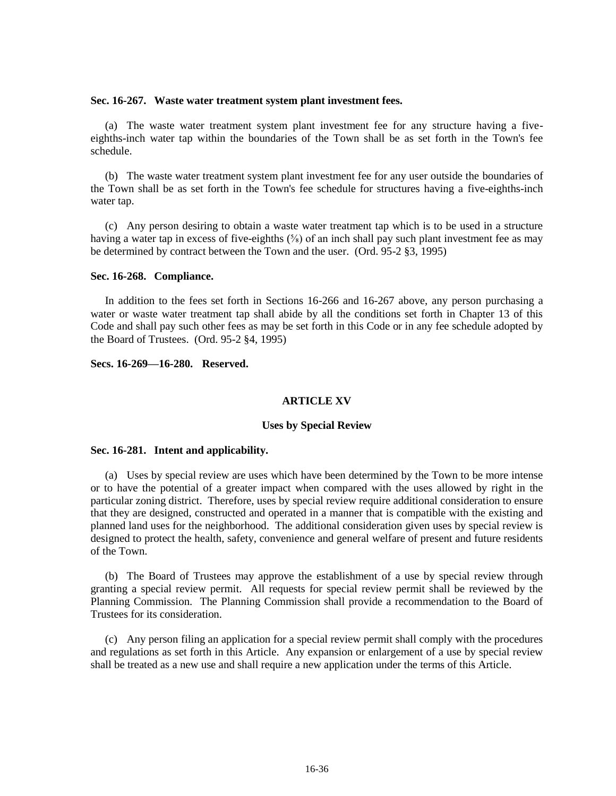#### **Sec. 16-267. Waste water treatment system plant investment fees.**

(a) The waste water treatment system plant investment fee for any structure having a fiveeighths-inch water tap within the boundaries of the Town shall be as set forth in the Town's fee schedule.

(b) The waste water treatment system plant investment fee for any user outside the boundaries of the Town shall be as set forth in the Town's fee schedule for structures having a five-eighths-inch water tap.

(c) Any person desiring to obtain a waste water treatment tap which is to be used in a structure having a water tap in excess of five-eighths  $(\frac{5}{8})$  of an inch shall pay such plant investment fee as may be determined by contract between the Town and the user. (Ord. 95-2 §3, 1995)

### **Sec. 16-268. Compliance.**

In addition to the fees set forth in Sections 16-266 and 16-267 above, any person purchasing a water or waste water treatment tap shall abide by all the conditions set forth in Chapter 13 of this Code and shall pay such other fees as may be set forth in this Code or in any fee schedule adopted by the Board of Trustees. (Ord. 95-2 §4, 1995)

**Secs. 16-269—16-280. Reserved.**

### **ARTICLE XV**

## **Uses by Special Review**

#### **Sec. 16-281. Intent and applicability.**

(a) Uses by special review are uses which have been determined by the Town to be more intense or to have the potential of a greater impact when compared with the uses allowed by right in the particular zoning district. Therefore, uses by special review require additional consideration to ensure that they are designed, constructed and operated in a manner that is compatible with the existing and planned land uses for the neighborhood. The additional consideration given uses by special review is designed to protect the health, safety, convenience and general welfare of present and future residents of the Town.

(b) The Board of Trustees may approve the establishment of a use by special review through granting a special review permit. All requests for special review permit shall be reviewed by the Planning Commission. The Planning Commission shall provide a recommendation to the Board of Trustees for its consideration.

(c) Any person filing an application for a special review permit shall comply with the procedures and regulations as set forth in this Article. Any expansion or enlargement of a use by special review shall be treated as a new use and shall require a new application under the terms of this Article.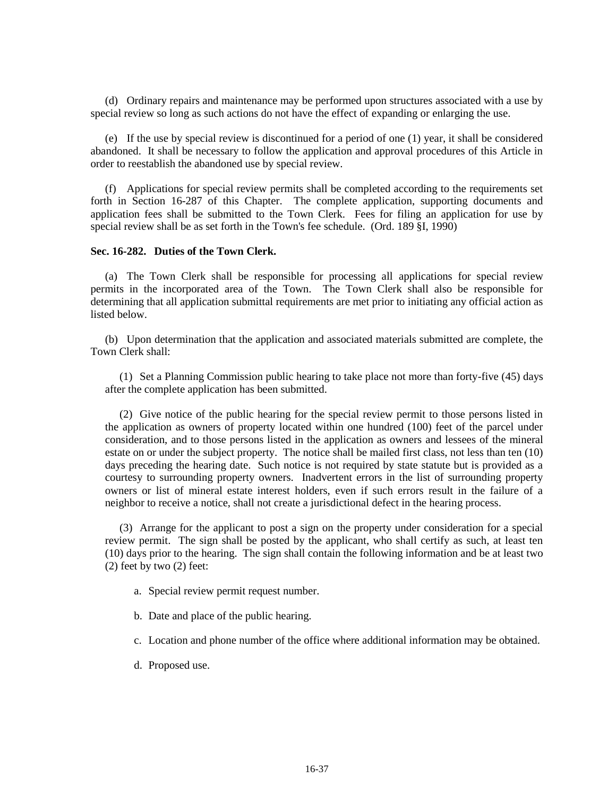(d) Ordinary repairs and maintenance may be performed upon structures associated with a use by special review so long as such actions do not have the effect of expanding or enlarging the use.

(e) If the use by special review is discontinued for a period of one (1) year, it shall be considered abandoned. It shall be necessary to follow the application and approval procedures of this Article in order to reestablish the abandoned use by special review.

(f) Applications for special review permits shall be completed according to the requirements set forth in Section 16-287 of this Chapter. The complete application, supporting documents and application fees shall be submitted to the Town Clerk. Fees for filing an application for use by special review shall be as set forth in the Town's fee schedule. (Ord. 189 §I, 1990)

## **Sec. 16-282. Duties of the Town Clerk.**

(a) The Town Clerk shall be responsible for processing all applications for special review permits in the incorporated area of the Town. The Town Clerk shall also be responsible for determining that all application submittal requirements are met prior to initiating any official action as listed below.

(b) Upon determination that the application and associated materials submitted are complete, the Town Clerk shall:

(1) Set a Planning Commission public hearing to take place not more than forty-five (45) days after the complete application has been submitted.

(2) Give notice of the public hearing for the special review permit to those persons listed in the application as owners of property located within one hundred (100) feet of the parcel under consideration, and to those persons listed in the application as owners and lessees of the mineral estate on or under the subject property. The notice shall be mailed first class, not less than ten (10) days preceding the hearing date. Such notice is not required by state statute but is provided as a courtesy to surrounding property owners. Inadvertent errors in the list of surrounding property owners or list of mineral estate interest holders, even if such errors result in the failure of a neighbor to receive a notice, shall not create a jurisdictional defect in the hearing process.

(3) Arrange for the applicant to post a sign on the property under consideration for a special review permit. The sign shall be posted by the applicant, who shall certify as such, at least ten (10) days prior to the hearing. The sign shall contain the following information and be at least two (2) feet by two (2) feet:

a. Special review permit request number.

b. Date and place of the public hearing.

c. Location and phone number of the office where additional information may be obtained.

d. Proposed use.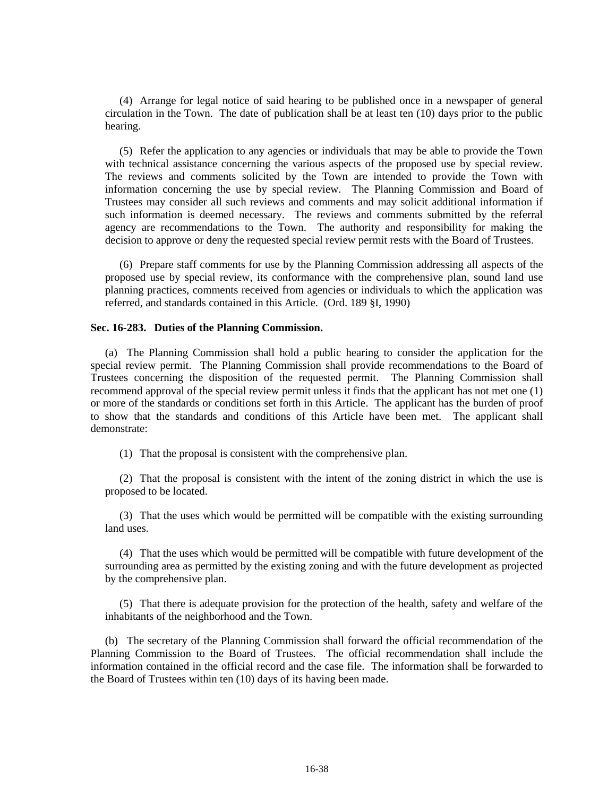(4) Arrange for legal notice of said hearing to be published once in a newspaper of general circulation in the Town. The date of publication shall be at least ten (10) days prior to the public hearing.

(5) Refer the application to any agencies or individuals that may be able to provide the Town with technical assistance concerning the various aspects of the proposed use by special review. The reviews and comments solicited by the Town are intended to provide the Town with information concerning the use by special review. The Planning Commission and Board of Trustees may consider all such reviews and comments and may solicit additional information if such information is deemed necessary. The reviews and comments submitted by the referral agency are recommendations to the Town. The authority and responsibility for making the decision to approve or deny the requested special review permit rests with the Board of Trustees.

(6) Prepare staff comments for use by the Planning Commission addressing all aspects of the proposed use by special review, its conformance with the comprehensive plan, sound land use planning practices, comments received from agencies or individuals to which the application was referred, and standards contained in this Article. (Ord. 189 §I, 1990)

### **Sec. 16-283. Duties of the Planning Commission.**

(a) The Planning Commission shall hold a public hearing to consider the application for the special review permit. The Planning Commission shall provide recommendations to the Board of Trustees concerning the disposition of the requested permit. The Planning Commission shall recommend approval of the special review permit unless it finds that the applicant has not met one (1) or more of the standards or conditions set forth in this Article. The applicant has the burden of proof to show that the standards and conditions of this Article have been met. The applicant shall demonstrate:

(1) That the proposal is consistent with the comprehensive plan.

(2) That the proposal is consistent with the intent of the zoning district in which the use is proposed to be located.

(3) That the uses which would be permitted will be compatible with the existing surrounding land uses.

(4) That the uses which would be permitted will be compatible with future development of the surrounding area as permitted by the existing zoning and with the future development as projected by the comprehensive plan.

(5) That there is adequate provision for the protection of the health, safety and welfare of the inhabitants of the neighborhood and the Town.

(b) The secretary of the Planning Commission shall forward the official recommendation of the Planning Commission to the Board of Trustees. The official recommendation shall include the information contained in the official record and the case file. The information shall be forwarded to the Board of Trustees within ten (10) days of its having been made.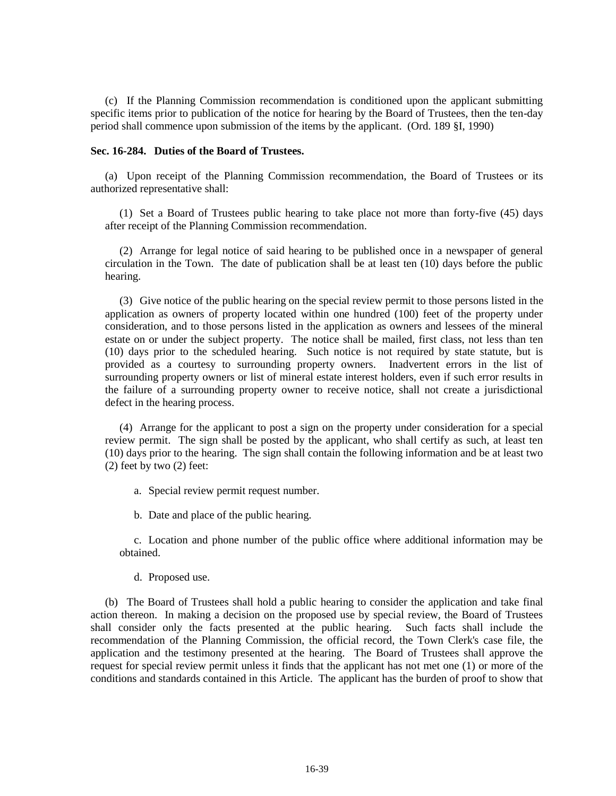(c) If the Planning Commission recommendation is conditioned upon the applicant submitting specific items prior to publication of the notice for hearing by the Board of Trustees, then the ten-day period shall commence upon submission of the items by the applicant. (Ord. 189 §I, 1990)

### **Sec. 16-284. Duties of the Board of Trustees.**

(a) Upon receipt of the Planning Commission recommendation, the Board of Trustees or its authorized representative shall:

(1) Set a Board of Trustees public hearing to take place not more than forty-five (45) days after receipt of the Planning Commission recommendation.

(2) Arrange for legal notice of said hearing to be published once in a newspaper of general circulation in the Town. The date of publication shall be at least ten (10) days before the public hearing.

(3) Give notice of the public hearing on the special review permit to those persons listed in the application as owners of property located within one hundred (100) feet of the property under consideration, and to those persons listed in the application as owners and lessees of the mineral estate on or under the subject property. The notice shall be mailed, first class, not less than ten (10) days prior to the scheduled hearing. Such notice is not required by state statute, but is provided as a courtesy to surrounding property owners. Inadvertent errors in the list of surrounding property owners or list of mineral estate interest holders, even if such error results in the failure of a surrounding property owner to receive notice, shall not create a jurisdictional defect in the hearing process.

(4) Arrange for the applicant to post a sign on the property under consideration for a special review permit. The sign shall be posted by the applicant, who shall certify as such, at least ten (10) days prior to the hearing. The sign shall contain the following information and be at least two  $(2)$  feet by two  $(2)$  feet:

a. Special review permit request number.

b. Date and place of the public hearing.

c. Location and phone number of the public office where additional information may be obtained.

d. Proposed use.

(b) The Board of Trustees shall hold a public hearing to consider the application and take final action thereon. In making a decision on the proposed use by special review, the Board of Trustees shall consider only the facts presented at the public hearing. Such facts shall include the recommendation of the Planning Commission, the official record, the Town Clerk's case file, the application and the testimony presented at the hearing. The Board of Trustees shall approve the request for special review permit unless it finds that the applicant has not met one (1) or more of the conditions and standards contained in this Article. The applicant has the burden of proof to show that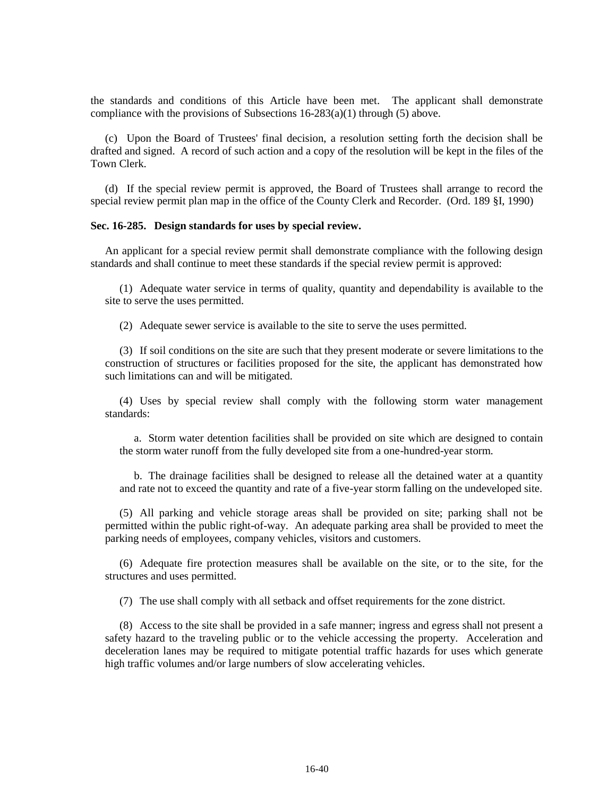the standards and conditions of this Article have been met. The applicant shall demonstrate compliance with the provisions of Subsections  $16-283(a)(1)$  through (5) above.

(c) Upon the Board of Trustees' final decision, a resolution setting forth the decision shall be drafted and signed. A record of such action and a copy of the resolution will be kept in the files of the Town Clerk.

(d) If the special review permit is approved, the Board of Trustees shall arrange to record the special review permit plan map in the office of the County Clerk and Recorder. (Ord. 189 §I, 1990)

## **Sec. 16-285. Design standards for uses by special review.**

An applicant for a special review permit shall demonstrate compliance with the following design standards and shall continue to meet these standards if the special review permit is approved:

(1) Adequate water service in terms of quality, quantity and dependability is available to the site to serve the uses permitted.

(2) Adequate sewer service is available to the site to serve the uses permitted.

(3) If soil conditions on the site are such that they present moderate or severe limitations to the construction of structures or facilities proposed for the site, the applicant has demonstrated how such limitations can and will be mitigated.

(4) Uses by special review shall comply with the following storm water management standards:

a. Storm water detention facilities shall be provided on site which are designed to contain the storm water runoff from the fully developed site from a one-hundred-year storm.

b. The drainage facilities shall be designed to release all the detained water at a quantity and rate not to exceed the quantity and rate of a five-year storm falling on the undeveloped site.

(5) All parking and vehicle storage areas shall be provided on site; parking shall not be permitted within the public right-of-way. An adequate parking area shall be provided to meet the parking needs of employees, company vehicles, visitors and customers.

(6) Adequate fire protection measures shall be available on the site, or to the site, for the structures and uses permitted.

(7) The use shall comply with all setback and offset requirements for the zone district.

(8) Access to the site shall be provided in a safe manner; ingress and egress shall not present a safety hazard to the traveling public or to the vehicle accessing the property. Acceleration and deceleration lanes may be required to mitigate potential traffic hazards for uses which generate high traffic volumes and/or large numbers of slow accelerating vehicles.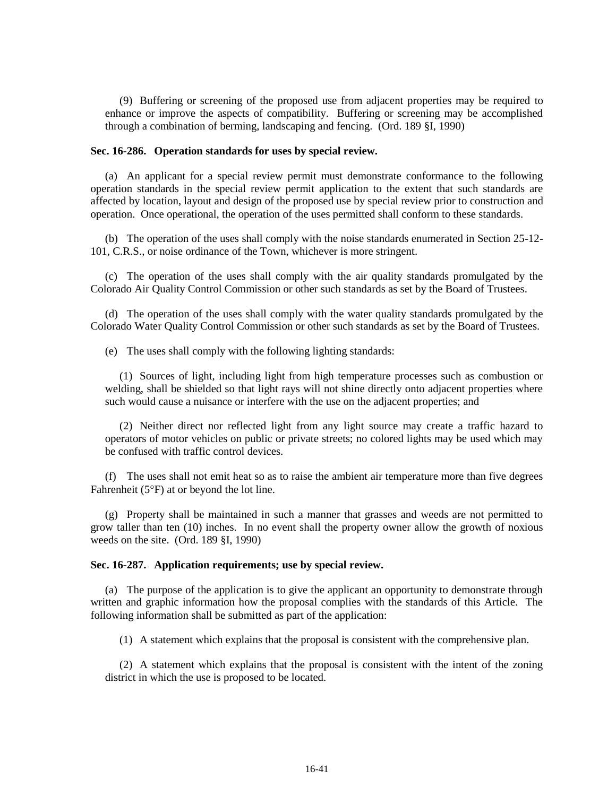(9) Buffering or screening of the proposed use from adjacent properties may be required to enhance or improve the aspects of compatibility. Buffering or screening may be accomplished through a combination of berming, landscaping and fencing. (Ord. 189 §I, 1990)

### **Sec. 16-286. Operation standards for uses by special review.**

(a) An applicant for a special review permit must demonstrate conformance to the following operation standards in the special review permit application to the extent that such standards are affected by location, layout and design of the proposed use by special review prior to construction and operation. Once operational, the operation of the uses permitted shall conform to these standards.

(b) The operation of the uses shall comply with the noise standards enumerated in Section 25-12- 101, C.R.S., or noise ordinance of the Town, whichever is more stringent.

(c) The operation of the uses shall comply with the air quality standards promulgated by the Colorado Air Quality Control Commission or other such standards as set by the Board of Trustees.

(d) The operation of the uses shall comply with the water quality standards promulgated by the Colorado Water Quality Control Commission or other such standards as set by the Board of Trustees.

(e) The uses shall comply with the following lighting standards:

(1) Sources of light, including light from high temperature processes such as combustion or welding, shall be shielded so that light rays will not shine directly onto adjacent properties where such would cause a nuisance or interfere with the use on the adjacent properties; and

(2) Neither direct nor reflected light from any light source may create a traffic hazard to operators of motor vehicles on public or private streets; no colored lights may be used which may be confused with traffic control devices.

(f) The uses shall not emit heat so as to raise the ambient air temperature more than five degrees Fahrenheit ( $5^{\circ}$ F) at or beyond the lot line.

(g) Property shall be maintained in such a manner that grasses and weeds are not permitted to grow taller than ten (10) inches. In no event shall the property owner allow the growth of noxious weeds on the site. (Ord. 189 §I, 1990)

#### **Sec. 16-287. Application requirements; use by special review.**

(a) The purpose of the application is to give the applicant an opportunity to demonstrate through written and graphic information how the proposal complies with the standards of this Article. The following information shall be submitted as part of the application:

(1) A statement which explains that the proposal is consistent with the comprehensive plan.

(2) A statement which explains that the proposal is consistent with the intent of the zoning district in which the use is proposed to be located.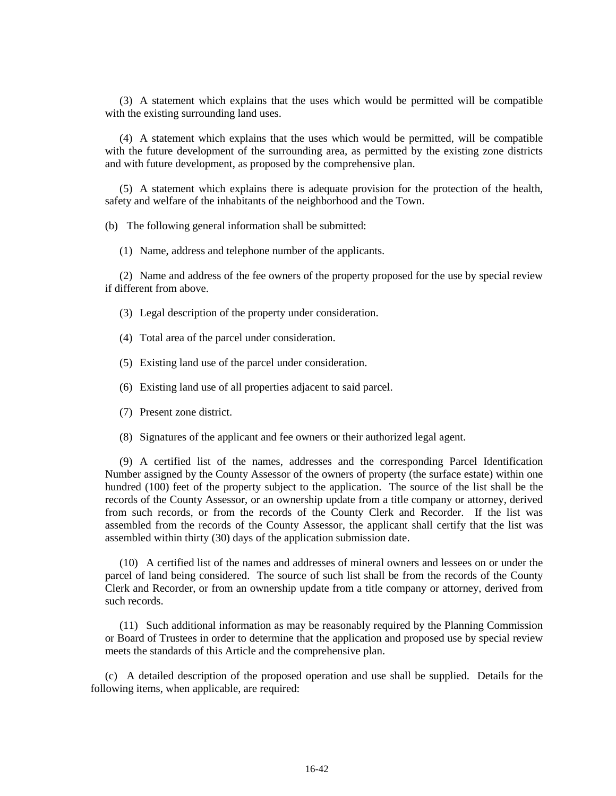(3) A statement which explains that the uses which would be permitted will be compatible with the existing surrounding land uses.

(4) A statement which explains that the uses which would be permitted, will be compatible with the future development of the surrounding area, as permitted by the existing zone districts and with future development, as proposed by the comprehensive plan.

(5) A statement which explains there is adequate provision for the protection of the health, safety and welfare of the inhabitants of the neighborhood and the Town.

(b) The following general information shall be submitted:

(1) Name, address and telephone number of the applicants.

(2) Name and address of the fee owners of the property proposed for the use by special review if different from above.

(3) Legal description of the property under consideration.

- (4) Total area of the parcel under consideration.
- (5) Existing land use of the parcel under consideration.
- (6) Existing land use of all properties adjacent to said parcel.
- (7) Present zone district.
- (8) Signatures of the applicant and fee owners or their authorized legal agent.

(9) A certified list of the names, addresses and the corresponding Parcel Identification Number assigned by the County Assessor of the owners of property (the surface estate) within one hundred (100) feet of the property subject to the application. The source of the list shall be the records of the County Assessor, or an ownership update from a title company or attorney, derived from such records, or from the records of the County Clerk and Recorder. If the list was assembled from the records of the County Assessor, the applicant shall certify that the list was assembled within thirty (30) days of the application submission date.

(10) A certified list of the names and addresses of mineral owners and lessees on or under the parcel of land being considered. The source of such list shall be from the records of the County Clerk and Recorder, or from an ownership update from a title company or attorney, derived from such records.

(11) Such additional information as may be reasonably required by the Planning Commission or Board of Trustees in order to determine that the application and proposed use by special review meets the standards of this Article and the comprehensive plan.

(c) A detailed description of the proposed operation and use shall be supplied. Details for the following items, when applicable, are required: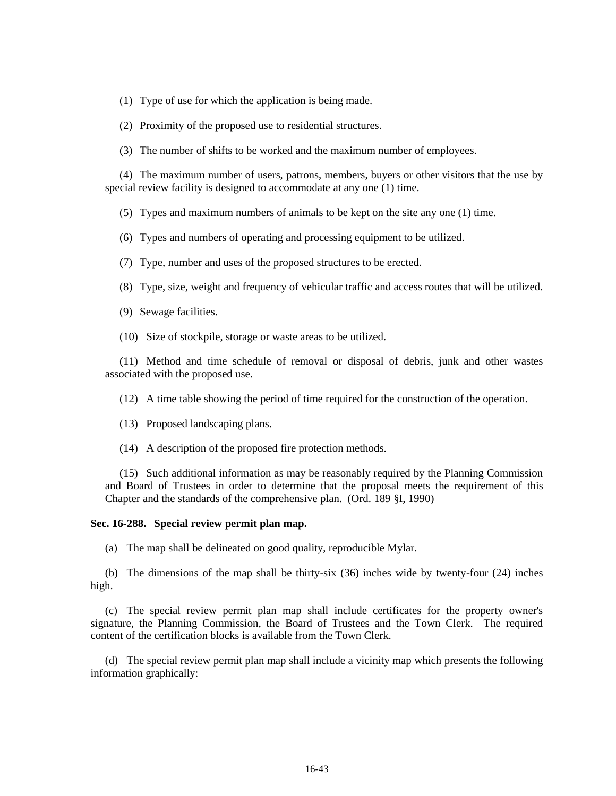(1) Type of use for which the application is being made.

(2) Proximity of the proposed use to residential structures.

(3) The number of shifts to be worked and the maximum number of employees.

(4) The maximum number of users, patrons, members, buyers or other visitors that the use by special review facility is designed to accommodate at any one (1) time.

(5) Types and maximum numbers of animals to be kept on the site any one (1) time.

(6) Types and numbers of operating and processing equipment to be utilized.

(7) Type, number and uses of the proposed structures to be erected.

(8) Type, size, weight and frequency of vehicular traffic and access routes that will be utilized.

- (9) Sewage facilities.
- (10) Size of stockpile, storage or waste areas to be utilized.

(11) Method and time schedule of removal or disposal of debris, junk and other wastes associated with the proposed use.

(12) A time table showing the period of time required for the construction of the operation.

(13) Proposed landscaping plans.

(14) A description of the proposed fire protection methods.

(15) Such additional information as may be reasonably required by the Planning Commission and Board of Trustees in order to determine that the proposal meets the requirement of this Chapter and the standards of the comprehensive plan. (Ord. 189 §I, 1990)

### **Sec. 16-288. Special review permit plan map.**

(a) The map shall be delineated on good quality, reproducible Mylar.

(b) The dimensions of the map shall be thirty-six (36) inches wide by twenty-four (24) inches high.

(c) The special review permit plan map shall include certificates for the property owner's signature, the Planning Commission, the Board of Trustees and the Town Clerk. The required content of the certification blocks is available from the Town Clerk.

(d) The special review permit plan map shall include a vicinity map which presents the following information graphically: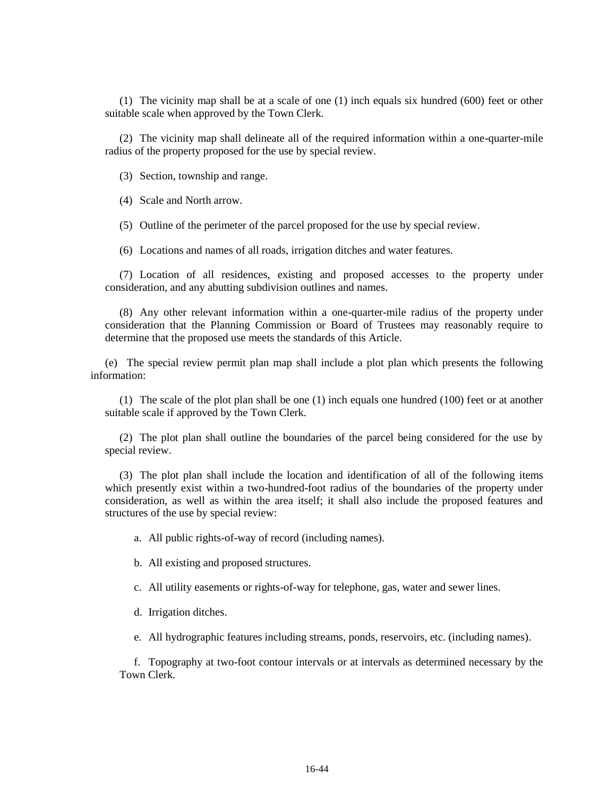(1) The vicinity map shall be at a scale of one (1) inch equals six hundred (600) feet or other suitable scale when approved by the Town Clerk.

(2) The vicinity map shall delineate all of the required information within a one-quarter-mile radius of the property proposed for the use by special review.

(3) Section, township and range.

(4) Scale and North arrow.

(5) Outline of the perimeter of the parcel proposed for the use by special review.

(6) Locations and names of all roads, irrigation ditches and water features.

(7) Location of all residences, existing and proposed accesses to the property under consideration, and any abutting subdivision outlines and names.

(8) Any other relevant information within a one-quarter-mile radius of the property under consideration that the Planning Commission or Board of Trustees may reasonably require to determine that the proposed use meets the standards of this Article.

(e) The special review permit plan map shall include a plot plan which presents the following information:

(1) The scale of the plot plan shall be one (1) inch equals one hundred (100) feet or at another suitable scale if approved by the Town Clerk.

(2) The plot plan shall outline the boundaries of the parcel being considered for the use by special review.

(3) The plot plan shall include the location and identification of all of the following items which presently exist within a two-hundred-foot radius of the boundaries of the property under consideration, as well as within the area itself; it shall also include the proposed features and structures of the use by special review:

a. All public rights-of-way of record (including names).

b. All existing and proposed structures.

c. All utility easements or rights-of-way for telephone, gas, water and sewer lines.

d. Irrigation ditches.

e. All hydrographic features including streams, ponds, reservoirs, etc. (including names).

f. Topography at two-foot contour intervals or at intervals as determined necessary by the Town Clerk.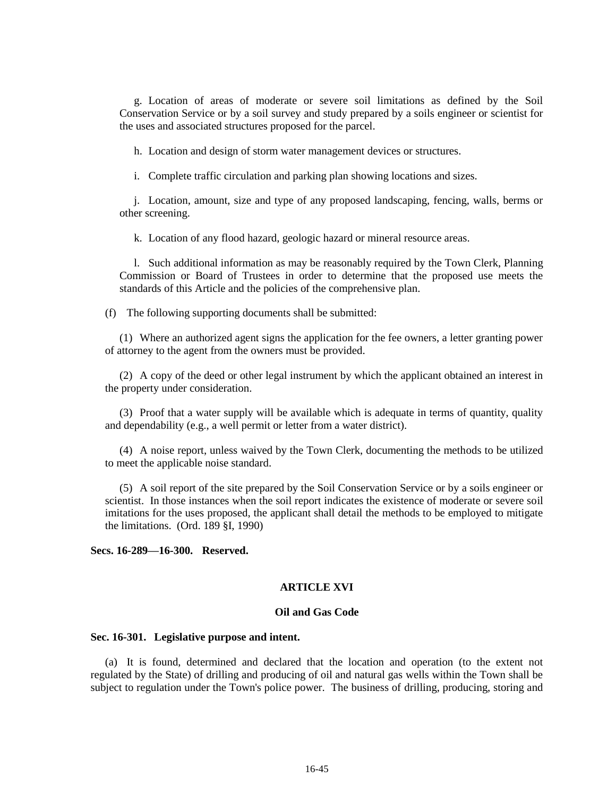g. Location of areas of moderate or severe soil limitations as defined by the Soil Conservation Service or by a soil survey and study prepared by a soils engineer or scientist for the uses and associated structures proposed for the parcel.

h. Location and design of storm water management devices or structures.

i. Complete traffic circulation and parking plan showing locations and sizes.

j. Location, amount, size and type of any proposed landscaping, fencing, walls, berms or other screening.

k. Location of any flood hazard, geologic hazard or mineral resource areas.

l. Such additional information as may be reasonably required by the Town Clerk, Planning Commission or Board of Trustees in order to determine that the proposed use meets the standards of this Article and the policies of the comprehensive plan.

(f) The following supporting documents shall be submitted:

(1) Where an authorized agent signs the application for the fee owners, a letter granting power of attorney to the agent from the owners must be provided.

(2) A copy of the deed or other legal instrument by which the applicant obtained an interest in the property under consideration.

(3) Proof that a water supply will be available which is adequate in terms of quantity, quality and dependability (e.g., a well permit or letter from a water district).

(4) A noise report, unless waived by the Town Clerk, documenting the methods to be utilized to meet the applicable noise standard.

(5) A soil report of the site prepared by the Soil Conservation Service or by a soils engineer or scientist. In those instances when the soil report indicates the existence of moderate or severe soil imitations for the uses proposed, the applicant shall detail the methods to be employed to mitigate the limitations. (Ord. 189 §I, 1990)

**Secs. 16-289—16-300. Reserved.**

## **ARTICLE XVI**

#### **Oil and Gas Code**

### **Sec. 16-301. Legislative purpose and intent.**

(a) It is found, determined and declared that the location and operation (to the extent not regulated by the State) of drilling and producing of oil and natural gas wells within the Town shall be subject to regulation under the Town's police power. The business of drilling, producing, storing and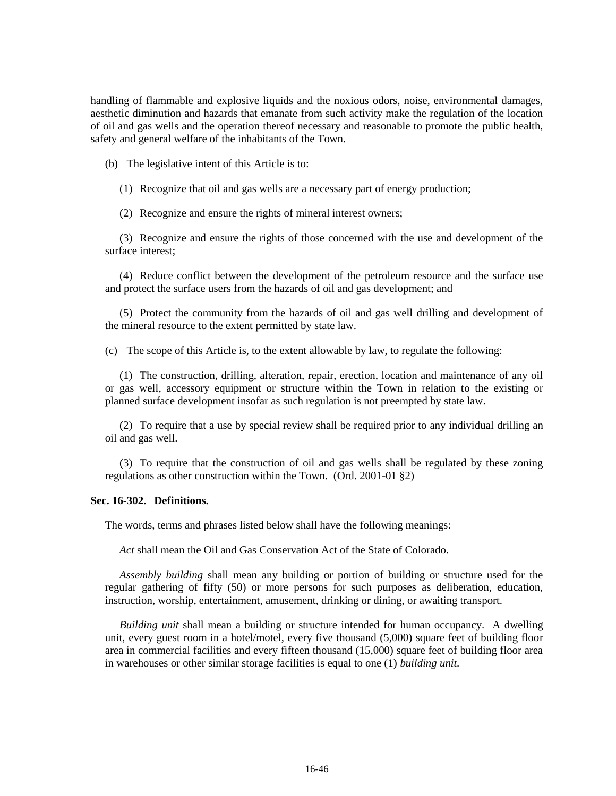handling of flammable and explosive liquids and the noxious odors, noise, environmental damages, aesthetic diminution and hazards that emanate from such activity make the regulation of the location of oil and gas wells and the operation thereof necessary and reasonable to promote the public health, safety and general welfare of the inhabitants of the Town.

(b) The legislative intent of this Article is to:

(1) Recognize that oil and gas wells are a necessary part of energy production;

(2) Recognize and ensure the rights of mineral interest owners;

(3) Recognize and ensure the rights of those concerned with the use and development of the surface interest;

(4) Reduce conflict between the development of the petroleum resource and the surface use and protect the surface users from the hazards of oil and gas development; and

(5) Protect the community from the hazards of oil and gas well drilling and development of the mineral resource to the extent permitted by state law.

(c) The scope of this Article is, to the extent allowable by law, to regulate the following:

(1) The construction, drilling, alteration, repair, erection, location and maintenance of any oil or gas well, accessory equipment or structure within the Town in relation to the existing or planned surface development insofar as such regulation is not preempted by state law.

(2) To require that a use by special review shall be required prior to any individual drilling an oil and gas well.

(3) To require that the construction of oil and gas wells shall be regulated by these zoning regulations as other construction within the Town. (Ord. 2001-01 §2)

### **Sec. 16-302. Definitions.**

The words, terms and phrases listed below shall have the following meanings:

*Act* shall mean the Oil and Gas Conservation Act of the State of Colorado.

*Assembly building* shall mean any building or portion of building or structure used for the regular gathering of fifty (50) or more persons for such purposes as deliberation, education, instruction, worship, entertainment, amusement, drinking or dining, or awaiting transport.

*Building unit* shall mean a building or structure intended for human occupancy. A dwelling unit, every guest room in a hotel/motel, every five thousand (5,000) square feet of building floor area in commercial facilities and every fifteen thousand (15,000) square feet of building floor area in warehouses or other similar storage facilities is equal to one (1) *building unit.*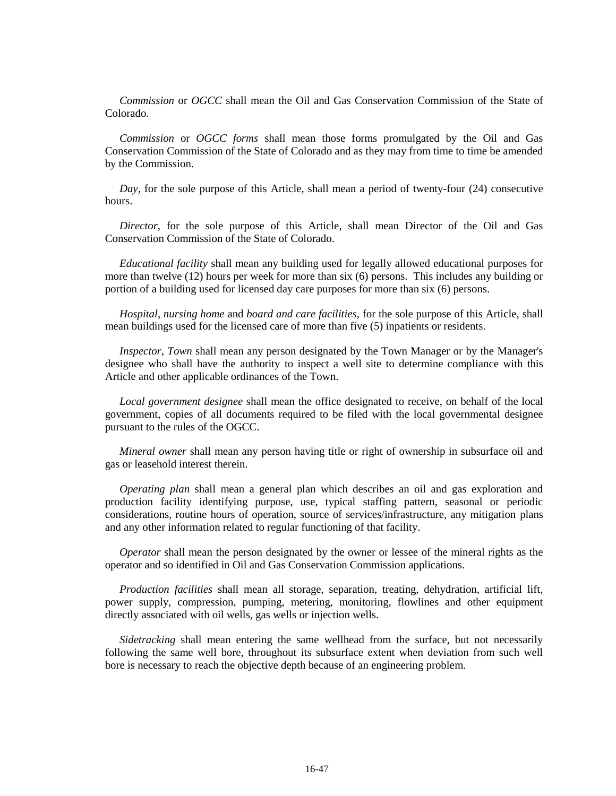*Commission* or *OGCC* shall mean the Oil and Gas Conservation Commission of the State of Colorado.

*Commission* or *OGCC forms* shall mean those forms promulgated by the Oil and Gas Conservation Commission of the State of Colorado and as they may from time to time be amended by the Commission.

*Day,* for the sole purpose of this Article, shall mean a period of twenty-four (24) consecutive hours.

*Director,* for the sole purpose of this Article, shall mean Director of the Oil and Gas Conservation Commission of the State of Colorado.

*Educational facility* shall mean any building used for legally allowed educational purposes for more than twelve (12) hours per week for more than six (6) persons. This includes any building or portion of a building used for licensed day care purposes for more than six (6) persons.

*Hospital, nursing home* and *board and care facilities,* for the sole purpose of this Article, shall mean buildings used for the licensed care of more than five (5) inpatients or residents.

*Inspector, Town* shall mean any person designated by the Town Manager or by the Manager's designee who shall have the authority to inspect a well site to determine compliance with this Article and other applicable ordinances of the Town.

*Local government designee* shall mean the office designated to receive, on behalf of the local government, copies of all documents required to be filed with the local governmental designee pursuant to the rules of the OGCC.

*Mineral owner* shall mean any person having title or right of ownership in subsurface oil and gas or leasehold interest therein.

*Operating plan* shall mean a general plan which describes an oil and gas exploration and production facility identifying purpose, use, typical staffing pattern, seasonal or periodic considerations, routine hours of operation, source of services/infrastructure, any mitigation plans and any other information related to regular functioning of that facility.

*Operator* shall mean the person designated by the owner or lessee of the mineral rights as the operator and so identified in Oil and Gas Conservation Commission applications.

*Production facilities* shall mean all storage, separation, treating, dehydration, artificial lift, power supply, compression, pumping, metering, monitoring, flowlines and other equipment directly associated with oil wells, gas wells or injection wells.

*Sidetracking* shall mean entering the same wellhead from the surface, but not necessarily following the same well bore, throughout its subsurface extent when deviation from such well bore is necessary to reach the objective depth because of an engineering problem.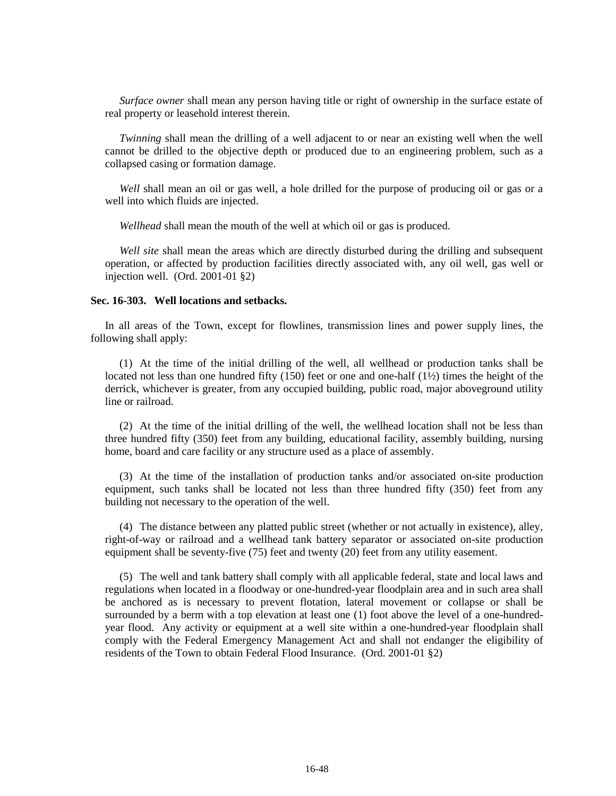*Surface owner* shall mean any person having title or right of ownership in the surface estate of real property or leasehold interest therein.

*Twinning* shall mean the drilling of a well adjacent to or near an existing well when the well cannot be drilled to the objective depth or produced due to an engineering problem, such as a collapsed casing or formation damage.

*Well* shall mean an oil or gas well, a hole drilled for the purpose of producing oil or gas or a well into which fluids are injected.

*Wellhead* shall mean the mouth of the well at which oil or gas is produced.

*Well site* shall mean the areas which are directly disturbed during the drilling and subsequent operation, or affected by production facilities directly associated with, any oil well, gas well or injection well. (Ord. 2001-01 §2)

#### **Sec. 16-303. Well locations and setbacks.**

In all areas of the Town, except for flowlines, transmission lines and power supply lines, the following shall apply:

(1) At the time of the initial drilling of the well, all wellhead or production tanks shall be located not less than one hundred fifty (150) feet or one and one-half  $(1\frac{1}{2})$  times the height of the derrick, whichever is greater, from any occupied building, public road, major aboveground utility line or railroad.

(2) At the time of the initial drilling of the well, the wellhead location shall not be less than three hundred fifty (350) feet from any building, educational facility, assembly building, nursing home, board and care facility or any structure used as a place of assembly.

(3) At the time of the installation of production tanks and/or associated on-site production equipment, such tanks shall be located not less than three hundred fifty (350) feet from any building not necessary to the operation of the well.

(4) The distance between any platted public street (whether or not actually in existence), alley, right-of-way or railroad and a wellhead tank battery separator or associated on-site production equipment shall be seventy-five (75) feet and twenty (20) feet from any utility easement.

(5) The well and tank battery shall comply with all applicable federal, state and local laws and regulations when located in a floodway or one-hundred-year floodplain area and in such area shall be anchored as is necessary to prevent flotation, lateral movement or collapse or shall be surrounded by a berm with a top elevation at least one (1) foot above the level of a one-hundredyear flood. Any activity or equipment at a well site within a one-hundred-year floodplain shall comply with the Federal Emergency Management Act and shall not endanger the eligibility of residents of the Town to obtain Federal Flood Insurance. (Ord. 2001-01 §2)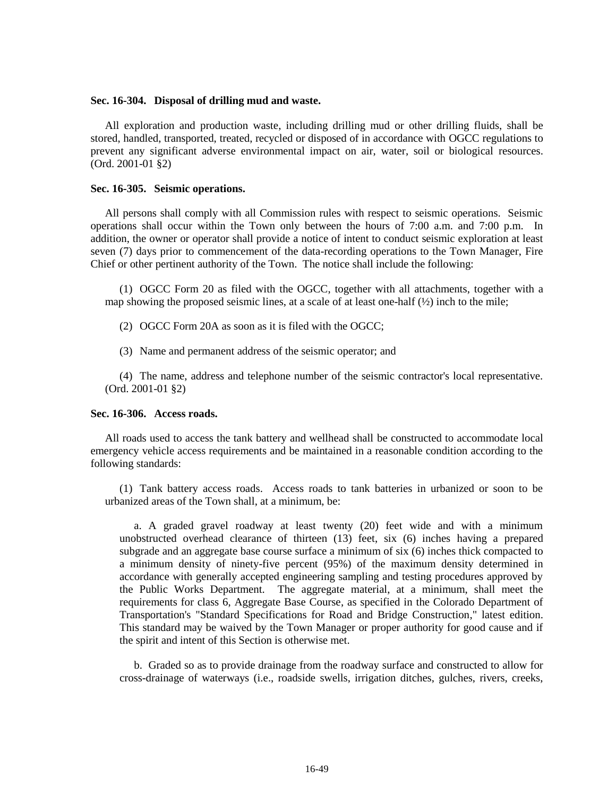#### **Sec. 16-304. Disposal of drilling mud and waste.**

All exploration and production waste, including drilling mud or other drilling fluids, shall be stored, handled, transported, treated, recycled or disposed of in accordance with OGCC regulations to prevent any significant adverse environmental impact on air, water, soil or biological resources. (Ord. 2001-01 §2)

#### **Sec. 16-305. Seismic operations.**

All persons shall comply with all Commission rules with respect to seismic operations. Seismic operations shall occur within the Town only between the hours of 7:00 a.m. and 7:00 p.m. In addition, the owner or operator shall provide a notice of intent to conduct seismic exploration at least seven (7) days prior to commencement of the data-recording operations to the Town Manager, Fire Chief or other pertinent authority of the Town. The notice shall include the following:

(1) OGCC Form 20 as filed with the OGCC, together with all attachments, together with a map showing the proposed seismic lines, at a scale of at least one-half  $\frac{1}{2}$  inch to the mile;

(2) OGCC Form 20A as soon as it is filed with the OGCC;

(3) Name and permanent address of the seismic operator; and

(4) The name, address and telephone number of the seismic contractor's local representative. (Ord. 2001-01 §2)

### **Sec. 16-306. Access roads.**

All roads used to access the tank battery and wellhead shall be constructed to accommodate local emergency vehicle access requirements and be maintained in a reasonable condition according to the following standards:

(1) Tank battery access roads. Access roads to tank batteries in urbanized or soon to be urbanized areas of the Town shall, at a minimum, be:

a. A graded gravel roadway at least twenty (20) feet wide and with a minimum unobstructed overhead clearance of thirteen (13) feet, six (6) inches having a prepared subgrade and an aggregate base course surface a minimum of six (6) inches thick compacted to a minimum density of ninety-five percent (95%) of the maximum density determined in accordance with generally accepted engineering sampling and testing procedures approved by the Public Works Department. The aggregate material, at a minimum, shall meet the requirements for class 6, Aggregate Base Course, as specified in the Colorado Department of Transportation's "Standard Specifications for Road and Bridge Construction," latest edition. This standard may be waived by the Town Manager or proper authority for good cause and if the spirit and intent of this Section is otherwise met.

b. Graded so as to provide drainage from the roadway surface and constructed to allow for cross-drainage of waterways (i.e., roadside swells, irrigation ditches, gulches, rivers, creeks,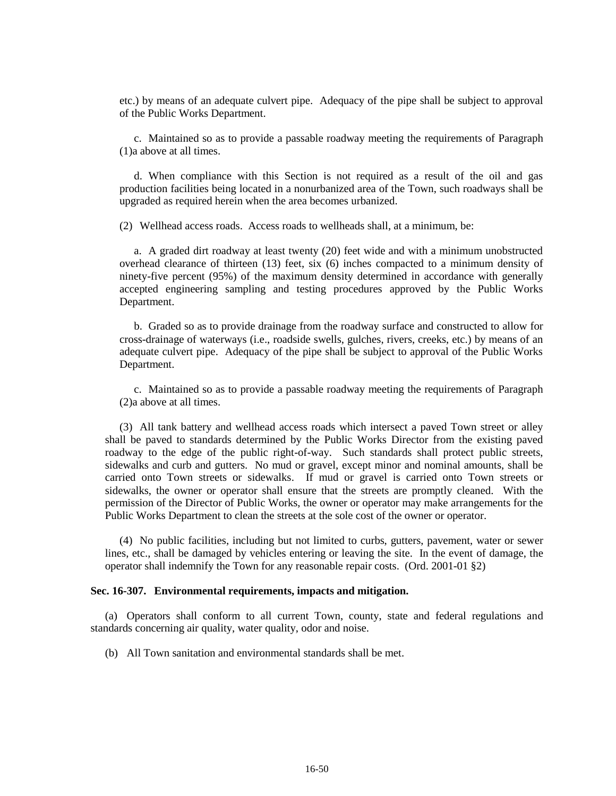etc.) by means of an adequate culvert pipe. Adequacy of the pipe shall be subject to approval of the Public Works Department.

c. Maintained so as to provide a passable roadway meeting the requirements of Paragraph (1)a above at all times.

d. When compliance with this Section is not required as a result of the oil and gas production facilities being located in a nonurbanized area of the Town, such roadways shall be upgraded as required herein when the area becomes urbanized.

(2) Wellhead access roads. Access roads to wellheads shall, at a minimum, be:

a. A graded dirt roadway at least twenty (20) feet wide and with a minimum unobstructed overhead clearance of thirteen (13) feet, six (6) inches compacted to a minimum density of ninety-five percent (95%) of the maximum density determined in accordance with generally accepted engineering sampling and testing procedures approved by the Public Works Department.

b. Graded so as to provide drainage from the roadway surface and constructed to allow for cross-drainage of waterways (i.e., roadside swells, gulches, rivers, creeks, etc.) by means of an adequate culvert pipe. Adequacy of the pipe shall be subject to approval of the Public Works Department.

c. Maintained so as to provide a passable roadway meeting the requirements of Paragraph (2)a above at all times.

(3) All tank battery and wellhead access roads which intersect a paved Town street or alley shall be paved to standards determined by the Public Works Director from the existing paved roadway to the edge of the public right-of-way. Such standards shall protect public streets, sidewalks and curb and gutters. No mud or gravel, except minor and nominal amounts, shall be carried onto Town streets or sidewalks. If mud or gravel is carried onto Town streets or sidewalks, the owner or operator shall ensure that the streets are promptly cleaned. With the permission of the Director of Public Works, the owner or operator may make arrangements for the Public Works Department to clean the streets at the sole cost of the owner or operator.

(4) No public facilities, including but not limited to curbs, gutters, pavement, water or sewer lines, etc., shall be damaged by vehicles entering or leaving the site. In the event of damage, the operator shall indemnify the Town for any reasonable repair costs. (Ord. 2001-01 §2)

#### **Sec. 16-307. Environmental requirements, impacts and mitigation.**

(a) Operators shall conform to all current Town, county, state and federal regulations and standards concerning air quality, water quality, odor and noise.

(b) All Town sanitation and environmental standards shall be met.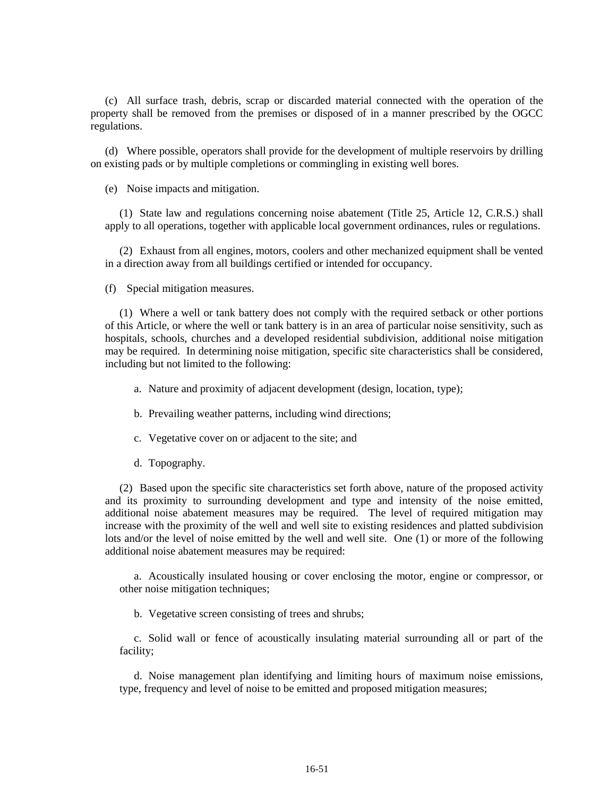(c) All surface trash, debris, scrap or discarded material connected with the operation of the property shall be removed from the premises or disposed of in a manner prescribed by the OGCC regulations.

(d) Where possible, operators shall provide for the development of multiple reservoirs by drilling on existing pads or by multiple completions or commingling in existing well bores.

(e) Noise impacts and mitigation.

(1) State law and regulations concerning noise abatement (Title 25, Article 12, C.R.S.) shall apply to all operations, together with applicable local government ordinances, rules or regulations.

(2) Exhaust from all engines, motors, coolers and other mechanized equipment shall be vented in a direction away from all buildings certified or intended for occupancy.

(f) Special mitigation measures.

(1) Where a well or tank battery does not comply with the required setback or other portions of this Article, or where the well or tank battery is in an area of particular noise sensitivity, such as hospitals, schools, churches and a developed residential subdivision, additional noise mitigation may be required. In determining noise mitigation, specific site characteristics shall be considered, including but not limited to the following:

a. Nature and proximity of adjacent development (design, location, type);

b. Prevailing weather patterns, including wind directions;

c. Vegetative cover on or adjacent to the site; and

d. Topography.

(2) Based upon the specific site characteristics set forth above, nature of the proposed activity and its proximity to surrounding development and type and intensity of the noise emitted, additional noise abatement measures may be required. The level of required mitigation may increase with the proximity of the well and well site to existing residences and platted subdivision lots and/or the level of noise emitted by the well and well site. One (1) or more of the following additional noise abatement measures may be required:

a. Acoustically insulated housing or cover enclosing the motor, engine or compressor, or other noise mitigation techniques;

b. Vegetative screen consisting of trees and shrubs;

c. Solid wall or fence of acoustically insulating material surrounding all or part of the facility;

d. Noise management plan identifying and limiting hours of maximum noise emissions, type, frequency and level of noise to be emitted and proposed mitigation measures;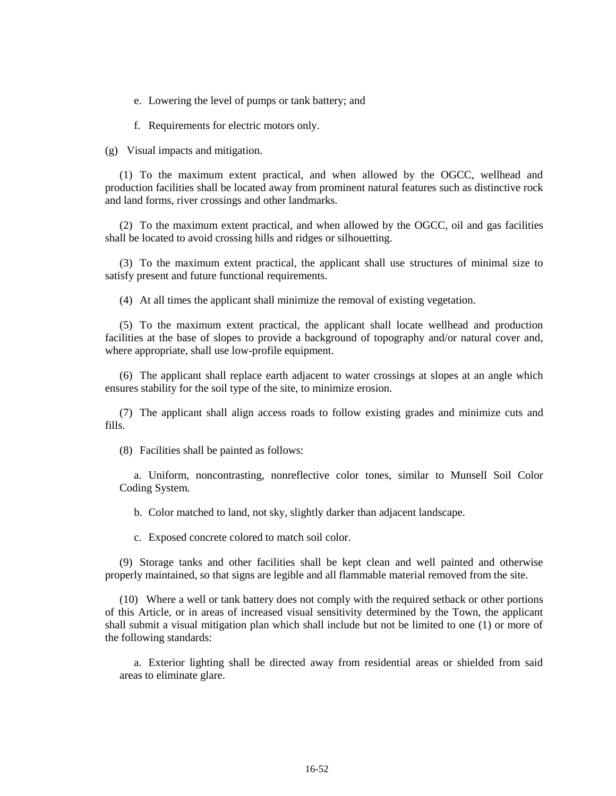e. Lowering the level of pumps or tank battery; and

f. Requirements for electric motors only.

(g) Visual impacts and mitigation.

(1) To the maximum extent practical, and when allowed by the OGCC, wellhead and production facilities shall be located away from prominent natural features such as distinctive rock and land forms, river crossings and other landmarks.

(2) To the maximum extent practical, and when allowed by the OGCC, oil and gas facilities shall be located to avoid crossing hills and ridges or silhouetting.

(3) To the maximum extent practical, the applicant shall use structures of minimal size to satisfy present and future functional requirements.

(4) At all times the applicant shall minimize the removal of existing vegetation.

(5) To the maximum extent practical, the applicant shall locate wellhead and production facilities at the base of slopes to provide a background of topography and/or natural cover and, where appropriate, shall use low-profile equipment.

(6) The applicant shall replace earth adjacent to water crossings at slopes at an angle which ensures stability for the soil type of the site, to minimize erosion.

(7) The applicant shall align access roads to follow existing grades and minimize cuts and fills.

(8) Facilities shall be painted as follows:

a. Uniform, noncontrasting, nonreflective color tones, similar to Munsell Soil Color Coding System.

b. Color matched to land, not sky, slightly darker than adjacent landscape.

c. Exposed concrete colored to match soil color.

(9) Storage tanks and other facilities shall be kept clean and well painted and otherwise properly maintained, so that signs are legible and all flammable material removed from the site.

(10) Where a well or tank battery does not comply with the required setback or other portions of this Article, or in areas of increased visual sensitivity determined by the Town, the applicant shall submit a visual mitigation plan which shall include but not be limited to one (1) or more of the following standards:

a. Exterior lighting shall be directed away from residential areas or shielded from said areas to eliminate glare.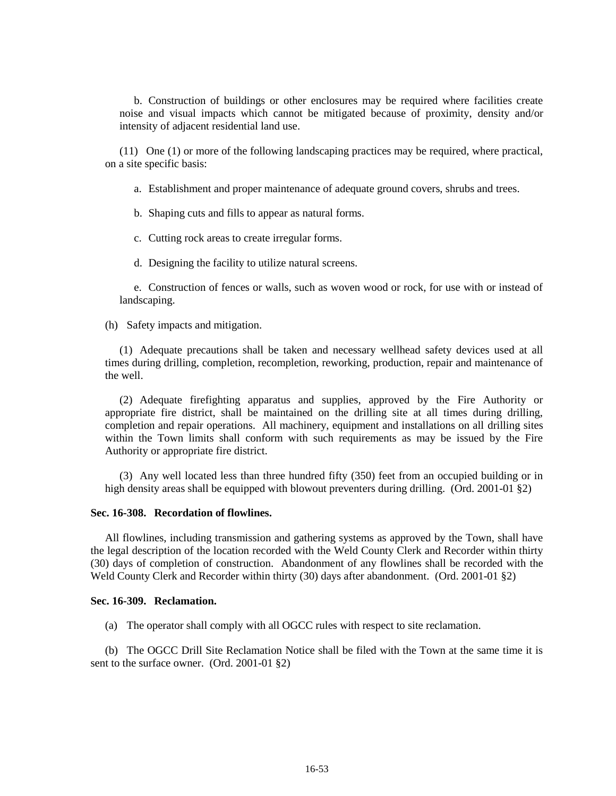b. Construction of buildings or other enclosures may be required where facilities create noise and visual impacts which cannot be mitigated because of proximity, density and/or intensity of adjacent residential land use.

(11) One (1) or more of the following landscaping practices may be required, where practical, on a site specific basis:

a. Establishment and proper maintenance of adequate ground covers, shrubs and trees.

b. Shaping cuts and fills to appear as natural forms.

c. Cutting rock areas to create irregular forms.

d. Designing the facility to utilize natural screens.

e. Construction of fences or walls, such as woven wood or rock, for use with or instead of landscaping.

(h) Safety impacts and mitigation.

(1) Adequate precautions shall be taken and necessary wellhead safety devices used at all times during drilling, completion, recompletion, reworking, production, repair and maintenance of the well.

(2) Adequate firefighting apparatus and supplies, approved by the Fire Authority or appropriate fire district, shall be maintained on the drilling site at all times during drilling, completion and repair operations. All machinery, equipment and installations on all drilling sites within the Town limits shall conform with such requirements as may be issued by the Fire Authority or appropriate fire district.

(3) Any well located less than three hundred fifty (350) feet from an occupied building or in high density areas shall be equipped with blowout preventers during drilling. (Ord. 2001-01 §2)

## **Sec. 16-308. Recordation of flowlines.**

All flowlines, including transmission and gathering systems as approved by the Town, shall have the legal description of the location recorded with the Weld County Clerk and Recorder within thirty (30) days of completion of construction. Abandonment of any flowlines shall be recorded with the Weld County Clerk and Recorder within thirty (30) days after abandonment. (Ord. 2001-01 §2)

#### **Sec. 16-309. Reclamation.**

(a) The operator shall comply with all OGCC rules with respect to site reclamation.

(b) The OGCC Drill Site Reclamation Notice shall be filed with the Town at the same time it is sent to the surface owner. (Ord. 2001-01 §2)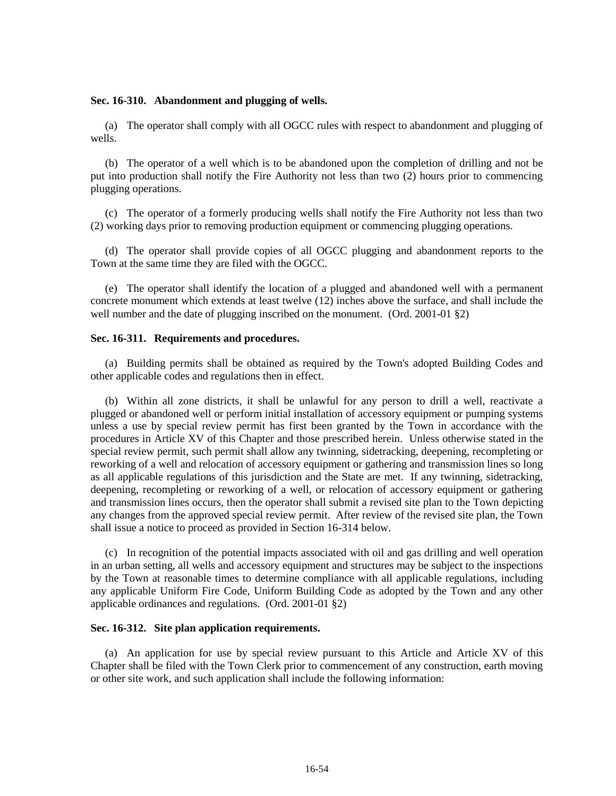### **Sec. 16-310. Abandonment and plugging of wells.**

(a) The operator shall comply with all OGCC rules with respect to abandonment and plugging of wells.

(b) The operator of a well which is to be abandoned upon the completion of drilling and not be put into production shall notify the Fire Authority not less than two (2) hours prior to commencing plugging operations.

(c) The operator of a formerly producing wells shall notify the Fire Authority not less than two (2) working days prior to removing production equipment or commencing plugging operations.

(d) The operator shall provide copies of all OGCC plugging and abandonment reports to the Town at the same time they are filed with the OGCC.

(e) The operator shall identify the location of a plugged and abandoned well with a permanent concrete monument which extends at least twelve (12) inches above the surface, and shall include the well number and the date of plugging inscribed on the monument. (Ord. 2001-01 §2)

### **Sec. 16-311. Requirements and procedures.**

(a) Building permits shall be obtained as required by the Town's adopted Building Codes and other applicable codes and regulations then in effect.

(b) Within all zone districts, it shall be unlawful for any person to drill a well, reactivate a plugged or abandoned well or perform initial installation of accessory equipment or pumping systems unless a use by special review permit has first been granted by the Town in accordance with the procedures in Article XV of this Chapter and those prescribed herein. Unless otherwise stated in the special review permit, such permit shall allow any twinning, sidetracking, deepening, recompleting or reworking of a well and relocation of accessory equipment or gathering and transmission lines so long as all applicable regulations of this jurisdiction and the State are met. If any twinning, sidetracking, deepening, recompleting or reworking of a well, or relocation of accessory equipment or gathering and transmission lines occurs, then the operator shall submit a revised site plan to the Town depicting any changes from the approved special review permit. After review of the revised site plan, the Town shall issue a notice to proceed as provided in Section 16-314 below.

(c) In recognition of the potential impacts associated with oil and gas drilling and well operation in an urban setting, all wells and accessory equipment and structures may be subject to the inspections by the Town at reasonable times to determine compliance with all applicable regulations, including any applicable Uniform Fire Code, Uniform Building Code as adopted by the Town and any other applicable ordinances and regulations. (Ord. 2001-01 §2)

## **Sec. 16-312. Site plan application requirements.**

(a) An application for use by special review pursuant to this Article and Article XV of this Chapter shall be filed with the Town Clerk prior to commencement of any construction, earth moving or other site work, and such application shall include the following information: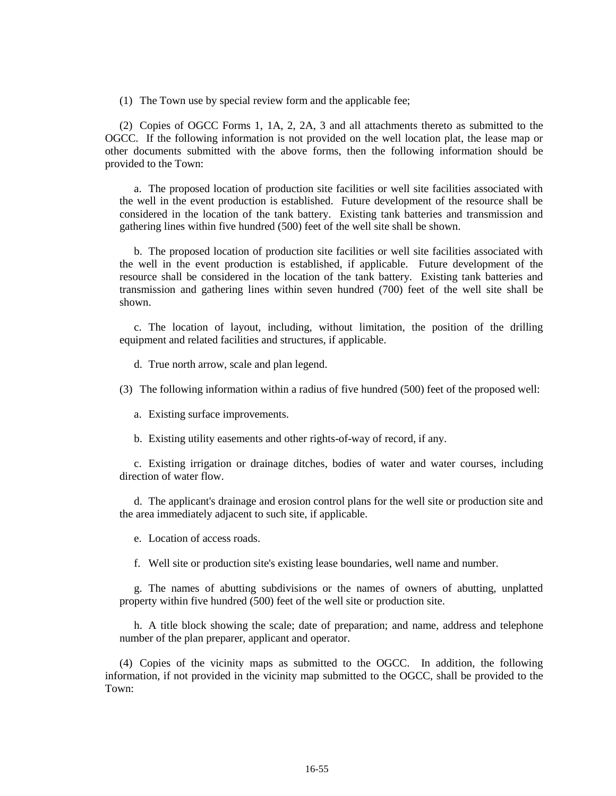(1) The Town use by special review form and the applicable fee;

(2) Copies of OGCC Forms 1, 1A, 2, 2A, 3 and all attachments thereto as submitted to the OGCC. If the following information is not provided on the well location plat, the lease map or other documents submitted with the above forms, then the following information should be provided to the Town:

a. The proposed location of production site facilities or well site facilities associated with the well in the event production is established. Future development of the resource shall be considered in the location of the tank battery. Existing tank batteries and transmission and gathering lines within five hundred (500) feet of the well site shall be shown.

b. The proposed location of production site facilities or well site facilities associated with the well in the event production is established, if applicable. Future development of the resource shall be considered in the location of the tank battery. Existing tank batteries and transmission and gathering lines within seven hundred (700) feet of the well site shall be shown.

c. The location of layout, including, without limitation, the position of the drilling equipment and related facilities and structures, if applicable.

d. True north arrow, scale and plan legend.

(3) The following information within a radius of five hundred (500) feet of the proposed well:

a. Existing surface improvements.

b. Existing utility easements and other rights-of-way of record, if any.

c. Existing irrigation or drainage ditches, bodies of water and water courses, including direction of water flow.

d. The applicant's drainage and erosion control plans for the well site or production site and the area immediately adjacent to such site, if applicable.

e. Location of access roads.

f. Well site or production site's existing lease boundaries, well name and number.

g. The names of abutting subdivisions or the names of owners of abutting, unplatted property within five hundred (500) feet of the well site or production site.

h. A title block showing the scale; date of preparation; and name, address and telephone number of the plan preparer, applicant and operator.

(4) Copies of the vicinity maps as submitted to the OGCC. In addition, the following information, if not provided in the vicinity map submitted to the OGCC, shall be provided to the Town: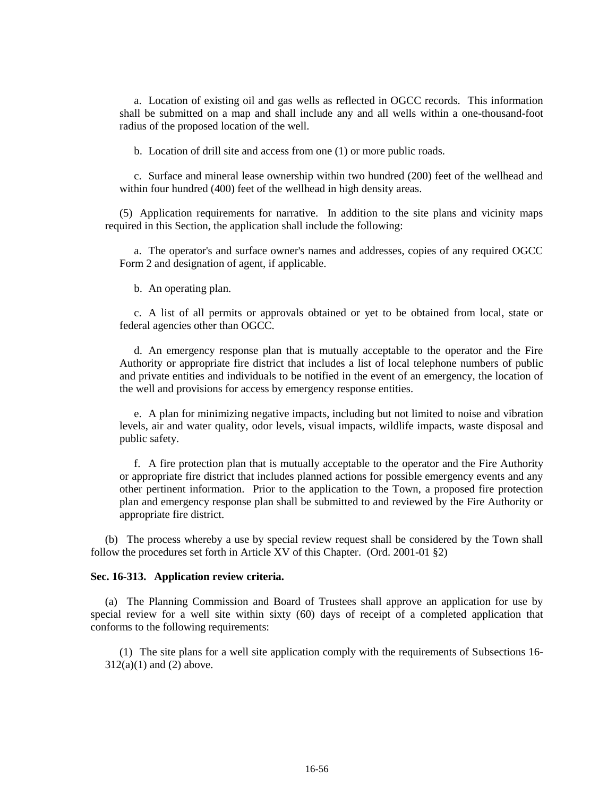a. Location of existing oil and gas wells as reflected in OGCC records. This information shall be submitted on a map and shall include any and all wells within a one-thousand-foot radius of the proposed location of the well.

b. Location of drill site and access from one (1) or more public roads.

c. Surface and mineral lease ownership within two hundred (200) feet of the wellhead and within four hundred (400) feet of the wellhead in high density areas.

(5) Application requirements for narrative. In addition to the site plans and vicinity maps required in this Section, the application shall include the following:

a. The operator's and surface owner's names and addresses, copies of any required OGCC Form 2 and designation of agent, if applicable.

b. An operating plan.

c. A list of all permits or approvals obtained or yet to be obtained from local, state or federal agencies other than OGCC.

d. An emergency response plan that is mutually acceptable to the operator and the Fire Authority or appropriate fire district that includes a list of local telephone numbers of public and private entities and individuals to be notified in the event of an emergency, the location of the well and provisions for access by emergency response entities.

e. A plan for minimizing negative impacts, including but not limited to noise and vibration levels, air and water quality, odor levels, visual impacts, wildlife impacts, waste disposal and public safety.

f. A fire protection plan that is mutually acceptable to the operator and the Fire Authority or appropriate fire district that includes planned actions for possible emergency events and any other pertinent information. Prior to the application to the Town, a proposed fire protection plan and emergency response plan shall be submitted to and reviewed by the Fire Authority or appropriate fire district.

(b) The process whereby a use by special review request shall be considered by the Town shall follow the procedures set forth in Article XV of this Chapter. (Ord. 2001-01 §2)

### **Sec. 16-313. Application review criteria.**

(a) The Planning Commission and Board of Trustees shall approve an application for use by special review for a well site within sixty (60) days of receipt of a completed application that conforms to the following requirements:

(1) The site plans for a well site application comply with the requirements of Subsections 16-  $312(a)(1)$  and  $(2)$  above.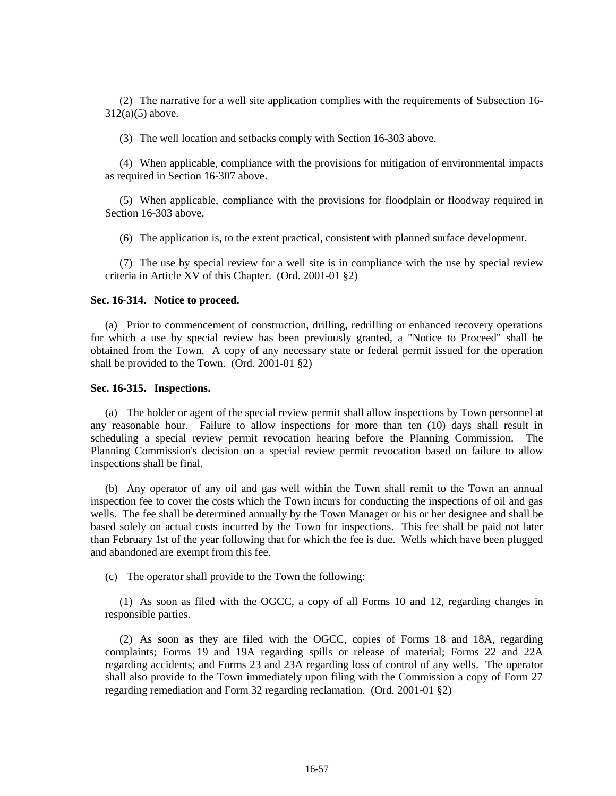(2) The narrative for a well site application complies with the requirements of Subsection 16- 312(a)(5) above.

(3) The well location and setbacks comply with Section 16-303 above.

(4) When applicable, compliance with the provisions for mitigation of environmental impacts as required in Section 16-307 above.

(5) When applicable, compliance with the provisions for floodplain or floodway required in Section 16-303 above.

(6) The application is, to the extent practical, consistent with planned surface development.

(7) The use by special review for a well site is in compliance with the use by special review criteria in Article XV of this Chapter. (Ord. 2001-01 §2)

#### **Sec. 16-314. Notice to proceed.**

(a) Prior to commencement of construction, drilling, redrilling or enhanced recovery operations for which a use by special review has been previously granted, a "Notice to Proceed" shall be obtained from the Town. A copy of any necessary state or federal permit issued for the operation shall be provided to the Town. (Ord. 2001-01 §2)

#### **Sec. 16-315. Inspections.**

(a) The holder or agent of the special review permit shall allow inspections by Town personnel at any reasonable hour. Failure to allow inspections for more than ten (10) days shall result in scheduling a special review permit revocation hearing before the Planning Commission. The Planning Commission's decision on a special review permit revocation based on failure to allow inspections shall be final.

(b) Any operator of any oil and gas well within the Town shall remit to the Town an annual inspection fee to cover the costs which the Town incurs for conducting the inspections of oil and gas wells. The fee shall be determined annually by the Town Manager or his or her designee and shall be based solely on actual costs incurred by the Town for inspections. This fee shall be paid not later than February 1st of the year following that for which the fee is due. Wells which have been plugged and abandoned are exempt from this fee.

(c) The operator shall provide to the Town the following:

(1) As soon as filed with the OGCC, a copy of all Forms 10 and 12, regarding changes in responsible parties.

(2) As soon as they are filed with the OGCC, copies of Forms 18 and 18A, regarding complaints; Forms 19 and 19A regarding spills or release of material; Forms 22 and 22A regarding accidents; and Forms 23 and 23A regarding loss of control of any wells. The operator shall also provide to the Town immediately upon filing with the Commission a copy of Form 27 regarding remediation and Form 32 regarding reclamation. (Ord. 2001-01 §2)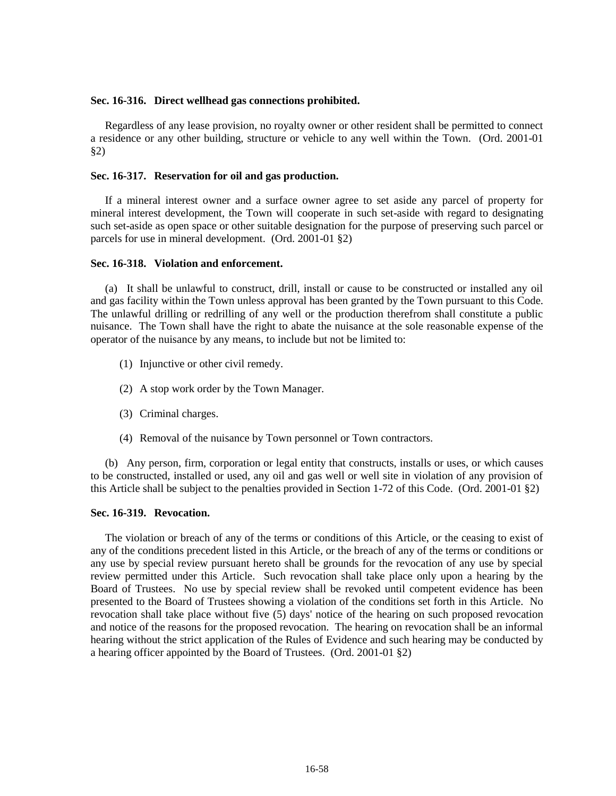### **Sec. 16-316. Direct wellhead gas connections prohibited.**

Regardless of any lease provision, no royalty owner or other resident shall be permitted to connect a residence or any other building, structure or vehicle to any well within the Town. (Ord. 2001-01 §2)

### **Sec. 16-317. Reservation for oil and gas production.**

If a mineral interest owner and a surface owner agree to set aside any parcel of property for mineral interest development, the Town will cooperate in such set-aside with regard to designating such set-aside as open space or other suitable designation for the purpose of preserving such parcel or parcels for use in mineral development. (Ord. 2001-01 §2)

### **Sec. 16-318. Violation and enforcement.**

(a) It shall be unlawful to construct, drill, install or cause to be constructed or installed any oil and gas facility within the Town unless approval has been granted by the Town pursuant to this Code. The unlawful drilling or redrilling of any well or the production therefrom shall constitute a public nuisance. The Town shall have the right to abate the nuisance at the sole reasonable expense of the operator of the nuisance by any means, to include but not be limited to:

- (1) Injunctive or other civil remedy.
- (2) A stop work order by the Town Manager.
- (3) Criminal charges.
- (4) Removal of the nuisance by Town personnel or Town contractors.

(b) Any person, firm, corporation or legal entity that constructs, installs or uses, or which causes to be constructed, installed or used, any oil and gas well or well site in violation of any provision of this Article shall be subject to the penalties provided in Section 1-72 of this Code. (Ord. 2001-01 §2)

## **Sec. 16-319. Revocation.**

The violation or breach of any of the terms or conditions of this Article, or the ceasing to exist of any of the conditions precedent listed in this Article, or the breach of any of the terms or conditions or any use by special review pursuant hereto shall be grounds for the revocation of any use by special review permitted under this Article. Such revocation shall take place only upon a hearing by the Board of Trustees. No use by special review shall be revoked until competent evidence has been presented to the Board of Trustees showing a violation of the conditions set forth in this Article. No revocation shall take place without five (5) days' notice of the hearing on such proposed revocation and notice of the reasons for the proposed revocation. The hearing on revocation shall be an informal hearing without the strict application of the Rules of Evidence and such hearing may be conducted by a hearing officer appointed by the Board of Trustees. (Ord. 2001-01 §2)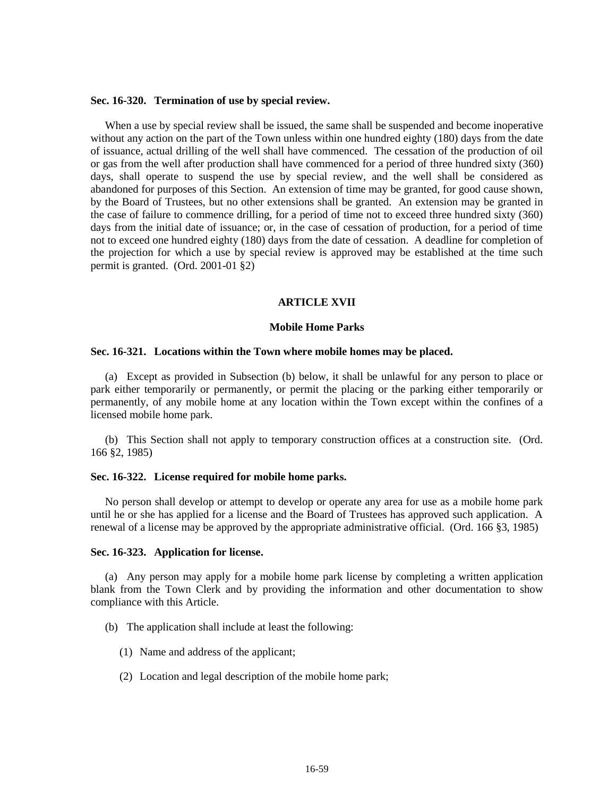#### **Sec. 16-320. Termination of use by special review.**

When a use by special review shall be issued, the same shall be suspended and become inoperative without any action on the part of the Town unless within one hundred eighty (180) days from the date of issuance, actual drilling of the well shall have commenced. The cessation of the production of oil or gas from the well after production shall have commenced for a period of three hundred sixty (360) days, shall operate to suspend the use by special review, and the well shall be considered as abandoned for purposes of this Section. An extension of time may be granted, for good cause shown, by the Board of Trustees, but no other extensions shall be granted. An extension may be granted in the case of failure to commence drilling, for a period of time not to exceed three hundred sixty (360) days from the initial date of issuance; or, in the case of cessation of production, for a period of time not to exceed one hundred eighty (180) days from the date of cessation. A deadline for completion of the projection for which a use by special review is approved may be established at the time such permit is granted. (Ord. 2001-01 §2)

#### **ARTICLE XVII**

#### **Mobile Home Parks**

#### **Sec. 16-321. Locations within the Town where mobile homes may be placed.**

(a) Except as provided in Subsection (b) below, it shall be unlawful for any person to place or park either temporarily or permanently, or permit the placing or the parking either temporarily or permanently, of any mobile home at any location within the Town except within the confines of a licensed mobile home park.

(b) This Section shall not apply to temporary construction offices at a construction site. (Ord. 166 §2, 1985)

### **Sec. 16-322. License required for mobile home parks.**

No person shall develop or attempt to develop or operate any area for use as a mobile home park until he or she has applied for a license and the Board of Trustees has approved such application. A renewal of a license may be approved by the appropriate administrative official. (Ord. 166 §3, 1985)

#### **Sec. 16-323. Application for license.**

(a) Any person may apply for a mobile home park license by completing a written application blank from the Town Clerk and by providing the information and other documentation to show compliance with this Article.

- (b) The application shall include at least the following:
	- (1) Name and address of the applicant;
	- (2) Location and legal description of the mobile home park;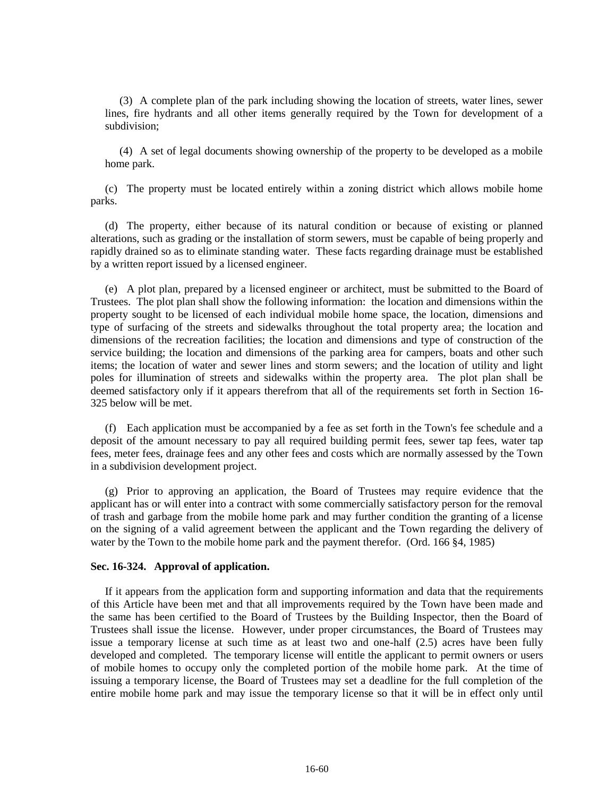(3) A complete plan of the park including showing the location of streets, water lines, sewer lines, fire hydrants and all other items generally required by the Town for development of a subdivision;

(4) A set of legal documents showing ownership of the property to be developed as a mobile home park.

(c) The property must be located entirely within a zoning district which allows mobile home parks.

(d) The property, either because of its natural condition or because of existing or planned alterations, such as grading or the installation of storm sewers, must be capable of being properly and rapidly drained so as to eliminate standing water. These facts regarding drainage must be established by a written report issued by a licensed engineer.

(e) A plot plan, prepared by a licensed engineer or architect, must be submitted to the Board of Trustees. The plot plan shall show the following information: the location and dimensions within the property sought to be licensed of each individual mobile home space, the location, dimensions and type of surfacing of the streets and sidewalks throughout the total property area; the location and dimensions of the recreation facilities; the location and dimensions and type of construction of the service building; the location and dimensions of the parking area for campers, boats and other such items; the location of water and sewer lines and storm sewers; and the location of utility and light poles for illumination of streets and sidewalks within the property area. The plot plan shall be deemed satisfactory only if it appears therefrom that all of the requirements set forth in Section 16- 325 below will be met.

(f) Each application must be accompanied by a fee as set forth in the Town's fee schedule and a deposit of the amount necessary to pay all required building permit fees, sewer tap fees, water tap fees, meter fees, drainage fees and any other fees and costs which are normally assessed by the Town in a subdivision development project.

(g) Prior to approving an application, the Board of Trustees may require evidence that the applicant has or will enter into a contract with some commercially satisfactory person for the removal of trash and garbage from the mobile home park and may further condition the granting of a license on the signing of a valid agreement between the applicant and the Town regarding the delivery of water by the Town to the mobile home park and the payment therefor. (Ord. 166 §4, 1985)

## **Sec. 16-324. Approval of application.**

If it appears from the application form and supporting information and data that the requirements of this Article have been met and that all improvements required by the Town have been made and the same has been certified to the Board of Trustees by the Building Inspector, then the Board of Trustees shall issue the license. However, under proper circumstances, the Board of Trustees may issue a temporary license at such time as at least two and one-half (2.5) acres have been fully developed and completed. The temporary license will entitle the applicant to permit owners or users of mobile homes to occupy only the completed portion of the mobile home park. At the time of issuing a temporary license, the Board of Trustees may set a deadline for the full completion of the entire mobile home park and may issue the temporary license so that it will be in effect only until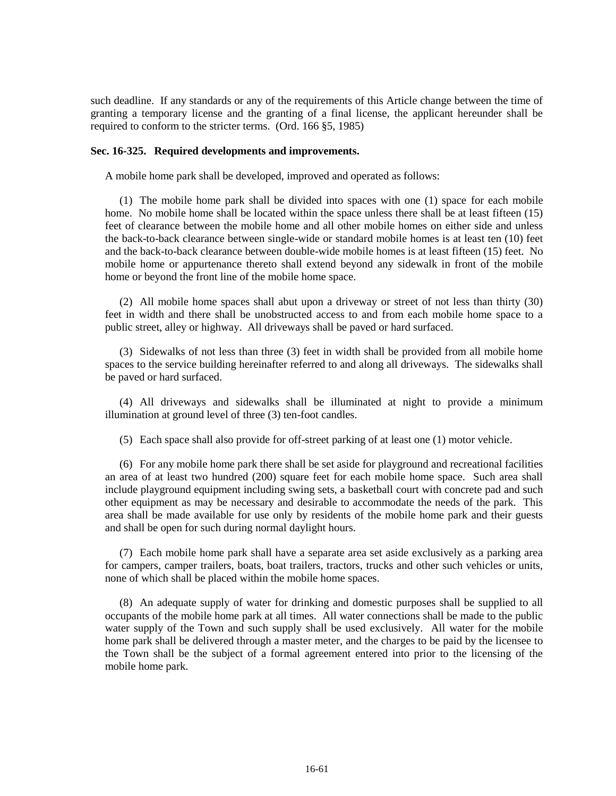such deadline. If any standards or any of the requirements of this Article change between the time of granting a temporary license and the granting of a final license, the applicant hereunder shall be required to conform to the stricter terms. (Ord. 166 §5, 1985)

### **Sec. 16-325. Required developments and improvements.**

A mobile home park shall be developed, improved and operated as follows:

(1) The mobile home park shall be divided into spaces with one (1) space for each mobile home. No mobile home shall be located within the space unless there shall be at least fifteen (15) feet of clearance between the mobile home and all other mobile homes on either side and unless the back-to-back clearance between single-wide or standard mobile homes is at least ten (10) feet and the back-to-back clearance between double-wide mobile homes is at least fifteen (15) feet. No mobile home or appurtenance thereto shall extend beyond any sidewalk in front of the mobile home or beyond the front line of the mobile home space.

(2) All mobile home spaces shall abut upon a driveway or street of not less than thirty (30) feet in width and there shall be unobstructed access to and from each mobile home space to a public street, alley or highway. All driveways shall be paved or hard surfaced.

(3) Sidewalks of not less than three (3) feet in width shall be provided from all mobile home spaces to the service building hereinafter referred to and along all driveways. The sidewalks shall be paved or hard surfaced.

(4) All driveways and sidewalks shall be illuminated at night to provide a minimum illumination at ground level of three (3) ten-foot candles.

(5) Each space shall also provide for off-street parking of at least one (1) motor vehicle.

(6) For any mobile home park there shall be set aside for playground and recreational facilities an area of at least two hundred (200) square feet for each mobile home space. Such area shall include playground equipment including swing sets, a basketball court with concrete pad and such other equipment as may be necessary and desirable to accommodate the needs of the park. This area shall be made available for use only by residents of the mobile home park and their guests and shall be open for such during normal daylight hours.

(7) Each mobile home park shall have a separate area set aside exclusively as a parking area for campers, camper trailers, boats, boat trailers, tractors, trucks and other such vehicles or units, none of which shall be placed within the mobile home spaces.

(8) An adequate supply of water for drinking and domestic purposes shall be supplied to all occupants of the mobile home park at all times. All water connections shall be made to the public water supply of the Town and such supply shall be used exclusively. All water for the mobile home park shall be delivered through a master meter, and the charges to be paid by the licensee to the Town shall be the subject of a formal agreement entered into prior to the licensing of the mobile home park.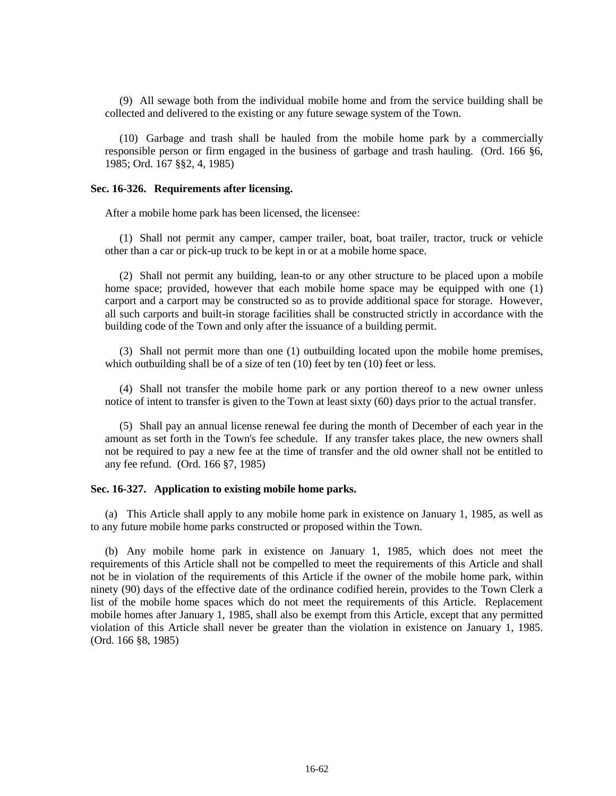(9) All sewage both from the individual mobile home and from the service building shall be collected and delivered to the existing or any future sewage system of the Town.

(10) Garbage and trash shall be hauled from the mobile home park by a commercially responsible person or firm engaged in the business of garbage and trash hauling. (Ord. 166 §6, 1985; Ord. 167 §§2, 4, 1985)

### **Sec. 16-326. Requirements after licensing.**

After a mobile home park has been licensed, the licensee:

(1) Shall not permit any camper, camper trailer, boat, boat trailer, tractor, truck or vehicle other than a car or pick-up truck to be kept in or at a mobile home space.

(2) Shall not permit any building, lean-to or any other structure to be placed upon a mobile home space; provided, however that each mobile home space may be equipped with one (1) carport and a carport may be constructed so as to provide additional space for storage. However, all such carports and built-in storage facilities shall be constructed strictly in accordance with the building code of the Town and only after the issuance of a building permit.

(3) Shall not permit more than one (1) outbuilding located upon the mobile home premises, which outbuilding shall be of a size of ten (10) feet by ten (10) feet or less.

(4) Shall not transfer the mobile home park or any portion thereof to a new owner unless notice of intent to transfer is given to the Town at least sixty (60) days prior to the actual transfer.

(5) Shall pay an annual license renewal fee during the month of December of each year in the amount as set forth in the Town's fee schedule. If any transfer takes place, the new owners shall not be required to pay a new fee at the time of transfer and the old owner shall not be entitled to any fee refund. (Ord. 166 §7, 1985)

## **Sec. 16-327. Application to existing mobile home parks.**

(a) This Article shall apply to any mobile home park in existence on January 1, 1985, as well as to any future mobile home parks constructed or proposed within the Town.

(b) Any mobile home park in existence on January 1, 1985, which does not meet the requirements of this Article shall not be compelled to meet the requirements of this Article and shall not be in violation of the requirements of this Article if the owner of the mobile home park, within ninety (90) days of the effective date of the ordinance codified herein, provides to the Town Clerk a list of the mobile home spaces which do not meet the requirements of this Article. Replacement mobile homes after January 1, 1985, shall also be exempt from this Article, except that any permitted violation of this Article shall never be greater than the violation in existence on January 1, 1985. (Ord. 166 §8, 1985)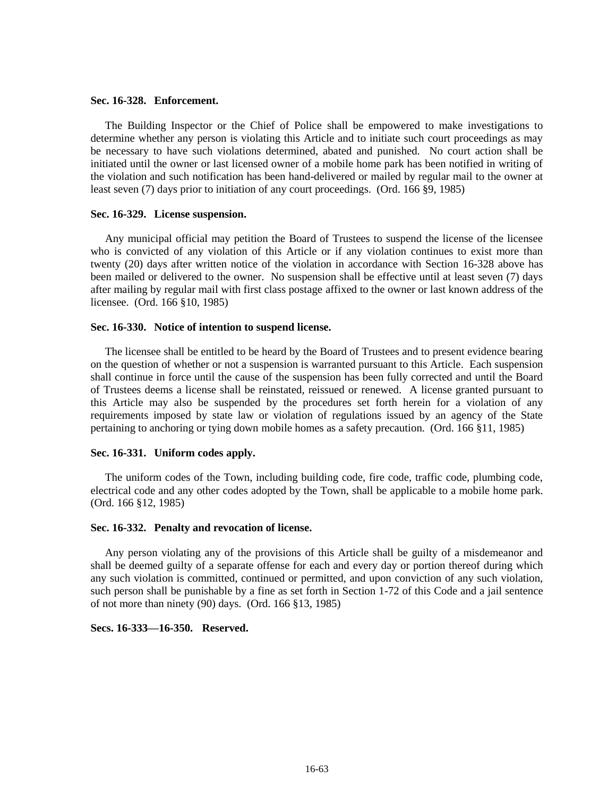#### **Sec. 16-328. Enforcement.**

The Building Inspector or the Chief of Police shall be empowered to make investigations to determine whether any person is violating this Article and to initiate such court proceedings as may be necessary to have such violations determined, abated and punished. No court action shall be initiated until the owner or last licensed owner of a mobile home park has been notified in writing of the violation and such notification has been hand-delivered or mailed by regular mail to the owner at least seven (7) days prior to initiation of any court proceedings. (Ord. 166 §9, 1985)

### **Sec. 16-329. License suspension.**

Any municipal official may petition the Board of Trustees to suspend the license of the licensee who is convicted of any violation of this Article or if any violation continues to exist more than twenty (20) days after written notice of the violation in accordance with Section 16-328 above has been mailed or delivered to the owner. No suspension shall be effective until at least seven (7) days after mailing by regular mail with first class postage affixed to the owner or last known address of the licensee. (Ord. 166 §10, 1985)

#### **Sec. 16-330. Notice of intention to suspend license.**

The licensee shall be entitled to be heard by the Board of Trustees and to present evidence bearing on the question of whether or not a suspension is warranted pursuant to this Article. Each suspension shall continue in force until the cause of the suspension has been fully corrected and until the Board of Trustees deems a license shall be reinstated, reissued or renewed. A license granted pursuant to this Article may also be suspended by the procedures set forth herein for a violation of any requirements imposed by state law or violation of regulations issued by an agency of the State pertaining to anchoring or tying down mobile homes as a safety precaution. (Ord. 166 §11, 1985)

### **Sec. 16-331. Uniform codes apply.**

The uniform codes of the Town, including building code, fire code, traffic code, plumbing code, electrical code and any other codes adopted by the Town, shall be applicable to a mobile home park. (Ord. 166 §12, 1985)

### **Sec. 16-332. Penalty and revocation of license.**

Any person violating any of the provisions of this Article shall be guilty of a misdemeanor and shall be deemed guilty of a separate offense for each and every day or portion thereof during which any such violation is committed, continued or permitted, and upon conviction of any such violation, such person shall be punishable by a fine as set forth in Section 1-72 of this Code and a jail sentence of not more than ninety (90) days. (Ord. 166 §13, 1985)

## **Secs. 16-333—16-350. Reserved.**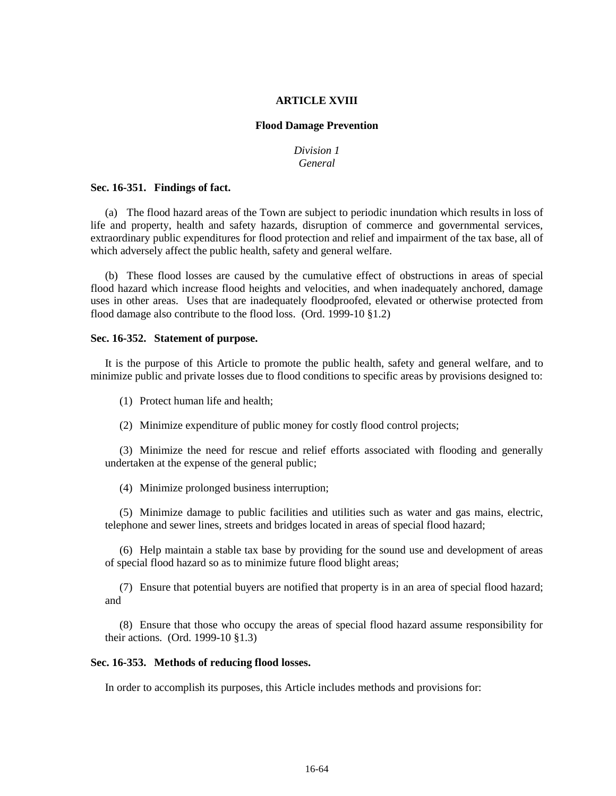#### **ARTICLE XVIII**

### **Flood Damage Prevention**

## *Division 1 General*

### **Sec. 16-351. Findings of fact.**

(a) The flood hazard areas of the Town are subject to periodic inundation which results in loss of life and property, health and safety hazards, disruption of commerce and governmental services, extraordinary public expenditures for flood protection and relief and impairment of the tax base, all of which adversely affect the public health, safety and general welfare.

(b) These flood losses are caused by the cumulative effect of obstructions in areas of special flood hazard which increase flood heights and velocities, and when inadequately anchored, damage uses in other areas. Uses that are inadequately floodproofed, elevated or otherwise protected from flood damage also contribute to the flood loss. (Ord. 1999-10 §1.2)

### **Sec. 16-352. Statement of purpose.**

It is the purpose of this Article to promote the public health, safety and general welfare, and to minimize public and private losses due to flood conditions to specific areas by provisions designed to:

(1) Protect human life and health;

(2) Minimize expenditure of public money for costly flood control projects;

(3) Minimize the need for rescue and relief efforts associated with flooding and generally undertaken at the expense of the general public;

(4) Minimize prolonged business interruption;

(5) Minimize damage to public facilities and utilities such as water and gas mains, electric, telephone and sewer lines, streets and bridges located in areas of special flood hazard;

(6) Help maintain a stable tax base by providing for the sound use and development of areas of special flood hazard so as to minimize future flood blight areas;

(7) Ensure that potential buyers are notified that property is in an area of special flood hazard; and

(8) Ensure that those who occupy the areas of special flood hazard assume responsibility for their actions. (Ord. 1999-10 §1.3)

### **Sec. 16-353. Methods of reducing flood losses.**

In order to accomplish its purposes, this Article includes methods and provisions for: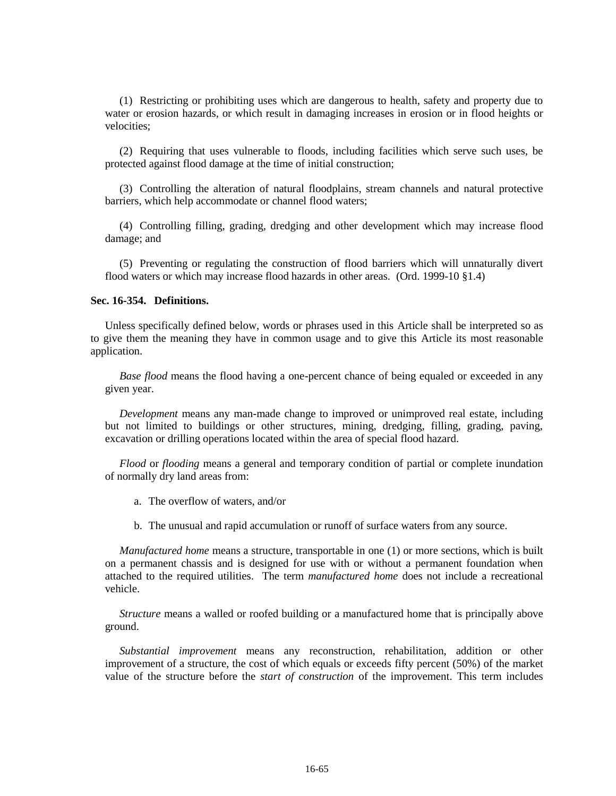(1) Restricting or prohibiting uses which are dangerous to health, safety and property due to water or erosion hazards, or which result in damaging increases in erosion or in flood heights or velocities;

(2) Requiring that uses vulnerable to floods, including facilities which serve such uses, be protected against flood damage at the time of initial construction;

(3) Controlling the alteration of natural floodplains, stream channels and natural protective barriers, which help accommodate or channel flood waters;

(4) Controlling filling, grading, dredging and other development which may increase flood damage; and

(5) Preventing or regulating the construction of flood barriers which will unnaturally divert flood waters or which may increase flood hazards in other areas. (Ord. 1999-10 §1.4)

### **Sec. 16-354. Definitions.**

Unless specifically defined below, words or phrases used in this Article shall be interpreted so as to give them the meaning they have in common usage and to give this Article its most reasonable application.

*Base flood* means the flood having a one-percent chance of being equaled or exceeded in any given year.

*Development* means any man-made change to improved or unimproved real estate, including but not limited to buildings or other structures, mining, dredging, filling, grading, paving, excavation or drilling operations located within the area of special flood hazard.

*Flood* or *flooding* means a general and temporary condition of partial or complete inundation of normally dry land areas from:

- a. The overflow of waters, and/or
- b. The unusual and rapid accumulation or runoff of surface waters from any source.

*Manufactured home* means a structure, transportable in one (1) or more sections, which is built on a permanent chassis and is designed for use with or without a permanent foundation when attached to the required utilities. The term *manufactured home* does not include a recreational vehicle.

*Structure* means a walled or roofed building or a manufactured home that is principally above ground.

*Substantial improvement* means any reconstruction, rehabilitation, addition or other improvement of a structure, the cost of which equals or exceeds fifty percent (50%) of the market value of the structure before the *start of construction* of the improvement. This term includes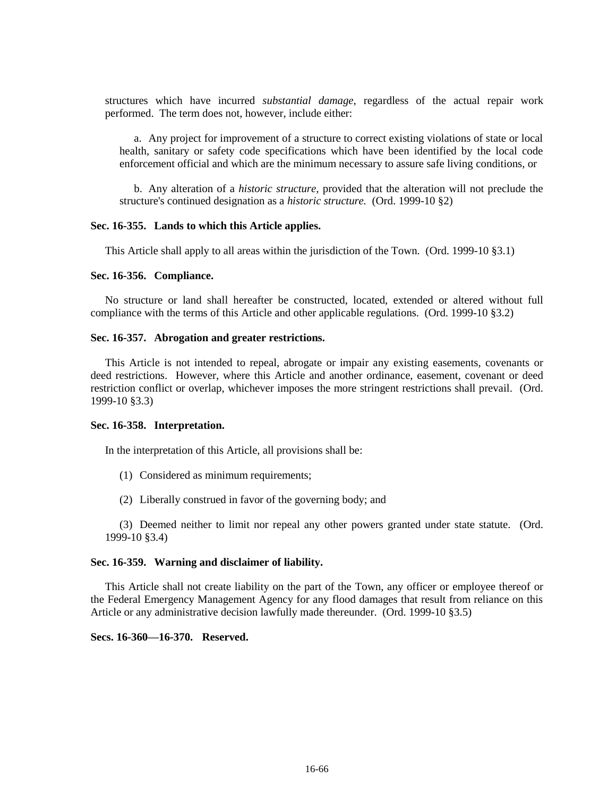structures which have incurred *substantial damage,* regardless of the actual repair work performed. The term does not, however, include either:

a. Any project for improvement of a structure to correct existing violations of state or local health, sanitary or safety code specifications which have been identified by the local code enforcement official and which are the minimum necessary to assure safe living conditions, or

b. Any alteration of a *historic structure,* provided that the alteration will not preclude the structure's continued designation as a *historic structure.* (Ord. 1999-10 §2)

## **Sec. 16-355. Lands to which this Article applies.**

This Article shall apply to all areas within the jurisdiction of the Town. (Ord. 1999-10 §3.1)

#### **Sec. 16-356. Compliance.**

No structure or land shall hereafter be constructed, located, extended or altered without full compliance with the terms of this Article and other applicable regulations. (Ord. 1999-10 §3.2)

### **Sec. 16-357. Abrogation and greater restrictions.**

This Article is not intended to repeal, abrogate or impair any existing easements, covenants or deed restrictions. However, where this Article and another ordinance, easement, covenant or deed restriction conflict or overlap, whichever imposes the more stringent restrictions shall prevail. (Ord. 1999-10 §3.3)

#### **Sec. 16-358. Interpretation.**

In the interpretation of this Article, all provisions shall be:

- (1) Considered as minimum requirements;
- (2) Liberally construed in favor of the governing body; and

(3) Deemed neither to limit nor repeal any other powers granted under state statute. (Ord. 1999-10 §3.4)

## **Sec. 16-359. Warning and disclaimer of liability.**

This Article shall not create liability on the part of the Town, any officer or employee thereof or the Federal Emergency Management Agency for any flood damages that result from reliance on this Article or any administrative decision lawfully made thereunder. (Ord. 1999-10 §3.5)

**Secs. 16-360—16-370. Reserved.**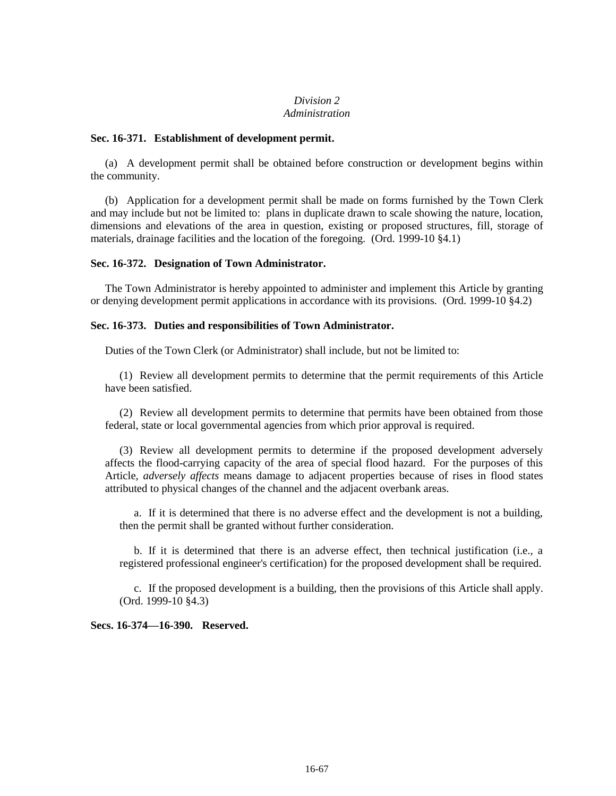## *Division 2 Administration*

## **Sec. 16-371. Establishment of development permit.**

(a) A development permit shall be obtained before construction or development begins within the community.

(b) Application for a development permit shall be made on forms furnished by the Town Clerk and may include but not be limited to: plans in duplicate drawn to scale showing the nature, location, dimensions and elevations of the area in question, existing or proposed structures, fill, storage of materials, drainage facilities and the location of the foregoing. (Ord. 1999-10 §4.1)

## **Sec. 16-372. Designation of Town Administrator.**

The Town Administrator is hereby appointed to administer and implement this Article by granting or denying development permit applications in accordance with its provisions. (Ord. 1999-10 §4.2)

## **Sec. 16-373. Duties and responsibilities of Town Administrator.**

Duties of the Town Clerk (or Administrator) shall include, but not be limited to:

(1) Review all development permits to determine that the permit requirements of this Article have been satisfied.

(2) Review all development permits to determine that permits have been obtained from those federal, state or local governmental agencies from which prior approval is required.

(3) Review all development permits to determine if the proposed development adversely affects the flood-carrying capacity of the area of special flood hazard. For the purposes of this Article, *adversely affects* means damage to adjacent properties because of rises in flood states attributed to physical changes of the channel and the adjacent overbank areas.

a. If it is determined that there is no adverse effect and the development is not a building, then the permit shall be granted without further consideration.

b. If it is determined that there is an adverse effect, then technical justification (i.e., a registered professional engineer's certification) for the proposed development shall be required.

c. If the proposed development is a building, then the provisions of this Article shall apply. (Ord. 1999-10 §4.3)

**Secs. 16-374—16-390. Reserved.**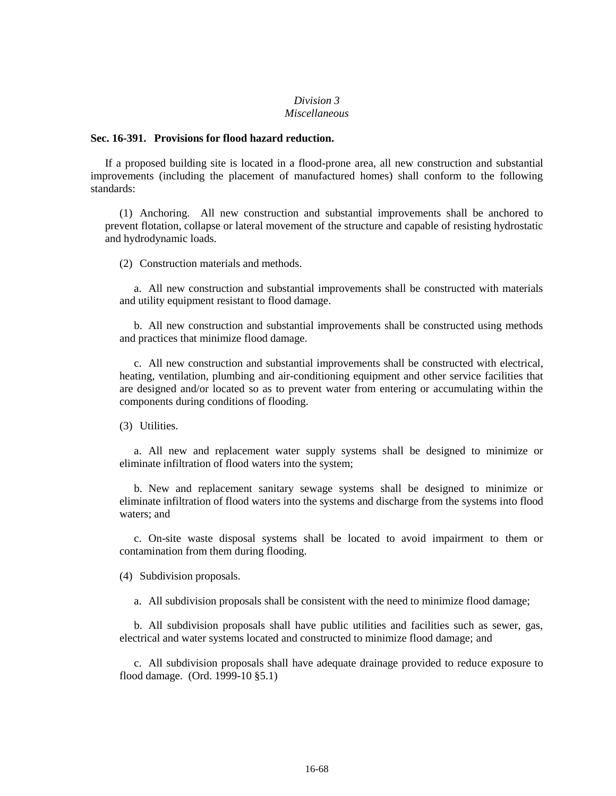### *Division 3 Miscellaneous*

### **Sec. 16-391. Provisions for flood hazard reduction.**

If a proposed building site is located in a flood-prone area, all new construction and substantial improvements (including the placement of manufactured homes) shall conform to the following standards:

(1) Anchoring. All new construction and substantial improvements shall be anchored to prevent flotation, collapse or lateral movement of the structure and capable of resisting hydrostatic and hydrodynamic loads.

(2) Construction materials and methods.

a. All new construction and substantial improvements shall be constructed with materials and utility equipment resistant to flood damage.

b. All new construction and substantial improvements shall be constructed using methods and practices that minimize flood damage.

c. All new construction and substantial improvements shall be constructed with electrical, heating, ventilation, plumbing and air-conditioning equipment and other service facilities that are designed and/or located so as to prevent water from entering or accumulating within the components during conditions of flooding.

(3) Utilities.

a. All new and replacement water supply systems shall be designed to minimize or eliminate infiltration of flood waters into the system;

b. New and replacement sanitary sewage systems shall be designed to minimize or eliminate infiltration of flood waters into the systems and discharge from the systems into flood waters; and

c. On-site waste disposal systems shall be located to avoid impairment to them or contamination from them during flooding.

(4) Subdivision proposals.

a. All subdivision proposals shall be consistent with the need to minimize flood damage;

b. All subdivision proposals shall have public utilities and facilities such as sewer, gas, electrical and water systems located and constructed to minimize flood damage; and

c. All subdivision proposals shall have adequate drainage provided to reduce exposure to flood damage. (Ord. 1999-10 §5.1)